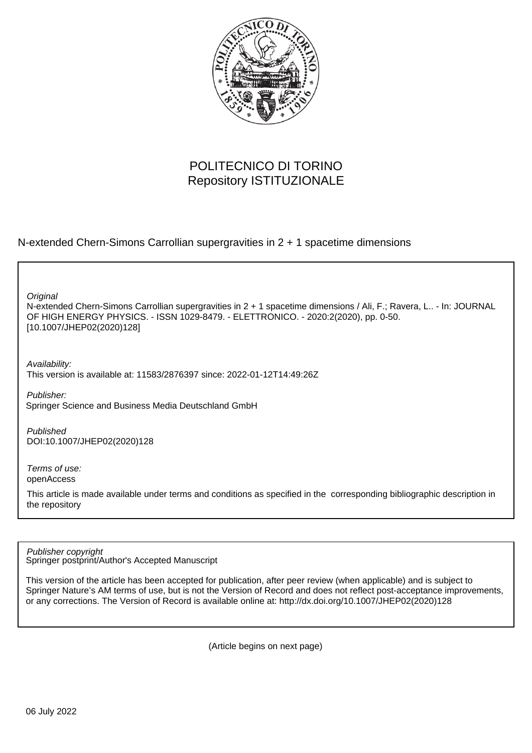

## POLITECNICO DI TORINO Repository ISTITUZIONALE

N-extended Chern-Simons Carrollian supergravities in 2 + 1 spacetime dimensions

N-extended Chern-Simons Carrollian supergravities in 2 + 1 spacetime dimensions / Ali, F.; Ravera, L.. - In: JOURNAL OF HIGH ENERGY PHYSICS. - ISSN 1029-8479. - ELETTRONICO. - 2020:2(2020), pp. 0-50. [10.1007/JHEP02(2020)128] **Original** 

Availability: This version is available at: 11583/2876397 since: 2022-01-12T14:49:26Z

Publisher: Springer Science and Business Media Deutschland GmbH

Published DOI:10.1007/JHEP02(2020)128

Terms of use: openAccess

This article is made available under terms and conditions as specified in the corresponding bibliographic description in the repository

Springer postprint/Author's Accepted Manuscript Publisher copyright

This version of the article has been accepted for publication, after peer review (when applicable) and is subject to Springer Nature's AM terms of use, but is not the Version of Record and does not reflect post-acceptance improvements, or any corrections. The Version of Record is available online at: http://dx.doi.org/10.1007/JHEP02(2020)128

(Article begins on next page)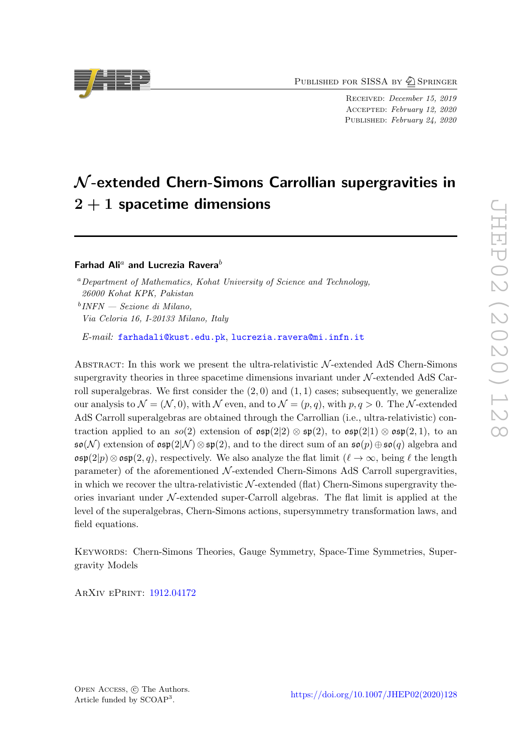PUBLISHED FOR SISSA BY 2 SPRINGER

Received: December 15, 2019 Accepted: February 12, 2020 PUBLISHED: February 24, 2020

# $\mathcal N$ -extended Chern-Simons Carrollian supergravities in  $2+1$  spacetime dimensions

Farhad Ali<sup>a</sup> and Lucrezia Ravera<sup>b</sup>

<sup>a</sup>Department of Mathematics, Kohat University of Science and Technology, 26000 Kohat KPK, Pakistan b INFN — Sezione di Milano, Via Celoria 16, I-20133 Milano, Italy

E-mail: [farhadali@kust.edu.pk](mailto:farhadali@kust.edu.pk), [lucrezia.ravera@mi.infn.it](mailto:lucrezia.ravera@mi.infn.it)

ABSTRACT: In this work we present the ultra-relativistic  $N$ -extended AdS Chern-Simons supergravity theories in three spacetime dimensions invariant under  $\mathcal{N}$ -extended AdS Carroll superalgebras. We first consider the  $(2,0)$  and  $(1,1)$  cases; subsequently, we generalize our analysis to  $\mathcal{N} = (\mathcal{N}, 0)$ , with  $\mathcal{N}$  even, and to  $\mathcal{N} = (p, q)$ , with  $p, q > 0$ . The N-extended AdS Carroll superalgebras are obtained through the Carrollian (i.e., ultra-relativistic) contraction applied to an  $so(2)$  extension of  $\mathfrak{osp}(2|2) \otimes \mathfrak{sp}(2)$ , to  $\mathfrak{osp}(2|1) \otimes \mathfrak{osp}(2,1)$ , to an  $\mathfrak{so}(\mathcal{N})$  extension of  $\mathfrak{osp}(2|\mathcal{N})\otimes\mathfrak{sp}(2)$ , and to the direct sum of an  $\mathfrak{so}(p)\oplus\mathfrak{so}(q)$  algebra and  $\mathfrak{osp}(2|p) \otimes \mathfrak{osp}(2, q)$ , respectively. We also analyze the flat limit  $(\ell \to \infty$ , being  $\ell$  the length parameter) of the aforementioned  $\mathcal{N}$ -extended Chern-Simons AdS Carroll supergravities, in which we recover the ultra-relativistic  $N$ -extended (flat) Chern-Simons supergravity theories invariant under  $N$ -extended super-Carroll algebras. The flat limit is applied at the level of the superalgebras, Chern-Simons actions, supersymmetry transformation laws, and field equations.

Keywords: Chern-Simons Theories, Gauge Symmetry, Space-Time Symmetries, Supergravity Models

ArXiv ePrint: [1912.04172](https://arxiv.org/abs/1912.04172)

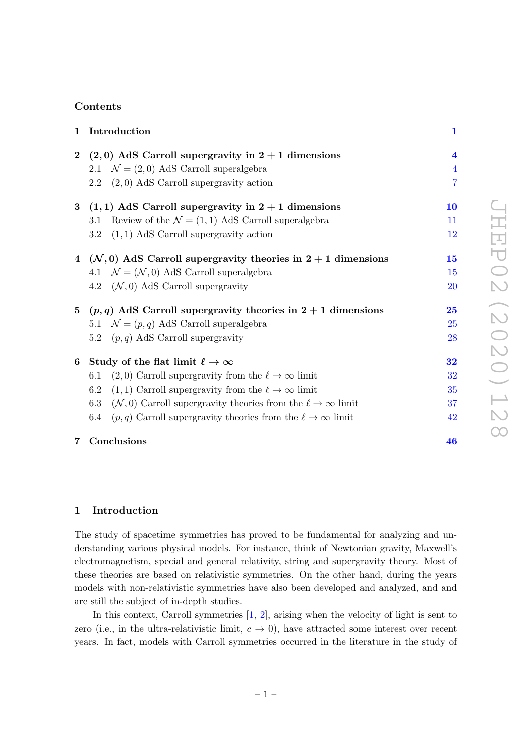#### Contents

| 1              | Introduction                                                                            | $\mathbf{1}$            |
|----------------|-----------------------------------------------------------------------------------------|-------------------------|
|                | 2 (2,0) AdS Carroll supergravity in $2 + 1$ dimensions                                  | $\overline{\mathbf{4}}$ |
|                | 2.1 $\mathcal{N} = (2,0)$ AdS Carroll superalgebra                                      | $\overline{4}$          |
|                | $(2,0)$ AdS Carroll supergravity action<br>2.2                                          | $\overline{7}$          |
|                | 3 $(1,1)$ AdS Carroll supergravity in $2+1$ dimensions                                  | 10                      |
|                | Review of the $\mathcal{N} = (1, 1)$ AdS Carroll superalgebra<br>3.1                    | 11                      |
|                | 3.2<br>$(1,1)$ AdS Carroll supergravity action                                          | 12                      |
|                | 4 ( $\mathcal{N}, 0$ ) AdS Carroll supergravity theories in $2 + 1$ dimensions          | 15                      |
|                | 4.1 $\mathcal{N} = (\mathcal{N}, 0)$ AdS Carroll superalgebra                           | 15                      |
|                | 4.2 $(\mathcal{N},0)$ AdS Carroll supergravity                                          | <b>20</b>               |
|                | 5 $(p,q)$ AdS Carroll supergravity theories in $2+1$ dimensions                         | 25                      |
|                | 5.1 $\mathcal{N} = (p, q)$ AdS Carroll superalgebra                                     | <b>25</b>               |
|                | $(p, q)$ AdS Carroll supergravity<br>$5.2\,$                                            | 28                      |
|                | 6 Study of the flat limit $\ell \to \infty$                                             | 32                      |
|                | $(2,0)$ Carroll supergravity from the $\ell \to \infty$ limit<br>6.1                    | 32                      |
|                | $(1,1)$ Carroll supergravity from the $\ell \to \infty$ limit<br>6.2                    | 35                      |
|                | $(\mathcal{N},0)$ Carroll supergravity theories from the $\ell \to \infty$ limit<br>6.3 | 37                      |
|                | $(p, q)$ Carroll supergravity theories from the $\ell \to \infty$ limit<br>6.4          | 42                      |
| $\overline{7}$ | Conclusions                                                                             | 46                      |

#### 1 Introduction

The study of spacetime symmetries has proved to be fundamental for analyzing and understanding various physical models. For instance, think of Newtonian gravity, Maxwell's electromagnetism, special and general relativity, string and supergravity theory. Most of these theories are based on relativistic symmetries. On the other hand, during the years models with non-relativistic symmetries have also been developed and analyzed, and and are still the subject of in-depth studies.

In this context, Carroll symmetries  $[1, 2]$ , arising when the velocity of light is sent to zero (i.e., in the ultra-relativistic limit,  $c \to 0$ ), have attracted some interest over recent years. In fact, models with Carroll symmetries occurred in the literature in the study of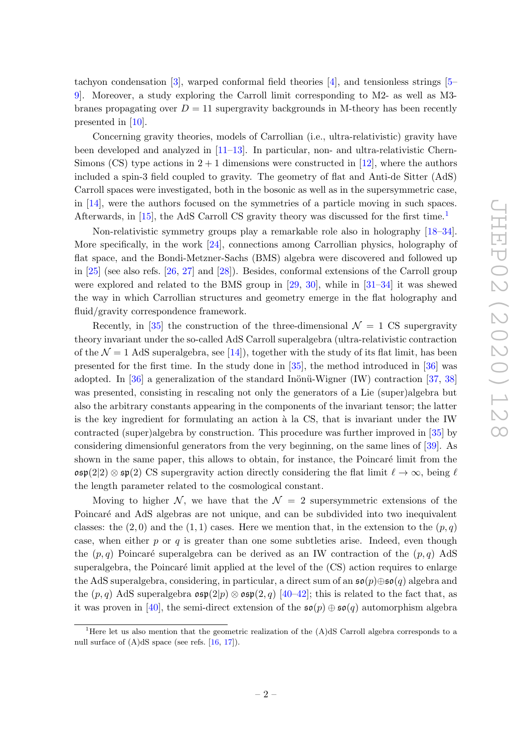tachyon condensation [3], warped conformal field theories [4], and tensionless strings [5– 9]. Moreover, a study exploring the Carroll limit corresponding to M2- as well as M3 branes propagating over  $D = 11$  supergravity backgrounds in M-theory has been recently presented in [10].

Concerning gravity theories, models of Carrollian (i.e., ultra-relativistic) gravity have been developed and analyzed in [11–13]. In particular, non- and ultra-relativistic Chern-Simons (CS) type actions in  $2+1$  dimensions were constructed in [12], where the authors included a spin-3 field coupled to gravity. The geometry of flat and Anti-de Sitter (AdS) Carroll spaces were investigated, both in the bosonic as well as in the supersymmetric case, in [14], were the authors focused on the symmetries of a particle moving in such spaces. Afterwards, in [15], the AdS Carroll CS gravity theory was discussed for the first time.<sup>1</sup>

Non-relativistic symmetry groups play a remarkable role also in holography [18–34]. More specifically, in the work [24], connections among Carrollian physics, holography of flat space, and the Bondi-Metzner-Sachs (BMS) algebra were discovered and followed up in [25] (see also refs. [26, 27] and [28]). Besides, conformal extensions of the Carroll group were explored and related to the BMS group in [29, 30], while in [31–34] it was shewed the way in which Carrollian structures and geometry emerge in the flat holography and fluid/gravity correspondence framework.

Recently, in [35] the construction of the three-dimensional  $\mathcal{N} = 1$  CS supergravity theory invariant under the so-called AdS Carroll superalgebra (ultra-relativistic contraction of the  $\mathcal{N} = 1$  AdS superalgebra, see [14]), together with the study of its flat limit, has been presented for the first time. In the study done in [35], the method introduced in [36] was adopted. In [36] a generalization of the standard Inönü-Wigner (IW) contraction [37, 38] was presented, consisting in rescaling not only the generators of a Lie (super)algebra but also the arbitrary constants appearing in the components of the invariant tensor; the latter is the key ingredient for formulating an action à la CS, that is invariant under the IW contracted (super)algebra by construction. This procedure was further improved in [35] by considering dimensionful generators from the very beginning, on the same lines of [39]. As shown in the same paper, this allows to obtain, for instance, the Poincaré limit from the  $\mathfrak{osp}(2|2) \otimes \mathfrak{sp}(2)$  CS supergravity action directly considering the flat limit  $\ell \to \infty$ , being  $\ell$ the length parameter related to the cosmological constant.

Moving to higher N, we have that the  $\mathcal{N} = 2$  supersymmetric extensions of the Poincaré and AdS algebras are not unique, and can be subdivided into two inequivalent classes: the  $(2,0)$  and the  $(1,1)$  cases. Here we mention that, in the extension to the  $(p,q)$ case, when either  $p$  or  $q$  is greater than one some subtleties arise. Indeed, even though the  $(p, q)$  Poincaré superalgebra can be derived as an IW contraction of the  $(p, q)$  AdS superalgebra, the Poincaré limit applied at the level of the (CS) action requires to enlarge the AdS superalgebra, considering, in particular, a direct sum of an  $\mathfrak{so}(p) \oplus \mathfrak{so}(q)$  algebra and the  $(p, q)$  AdS superalgebra  $\mathfrak{osp}(2|p) \otimes \mathfrak{osp}(2, q)$  [40–42]; this is related to the fact that, as it was proven in [40], the semi-direct extension of the  $\mathfrak{so}(p) \oplus \mathfrak{so}(q)$  automorphism algebra

<sup>&</sup>lt;sup>1</sup>Here let us also mention that the geometric realization of the  $(A)dS$  Carroll algebra corresponds to a null surface of  $(A)dS$  space (see refs. [16, 17]).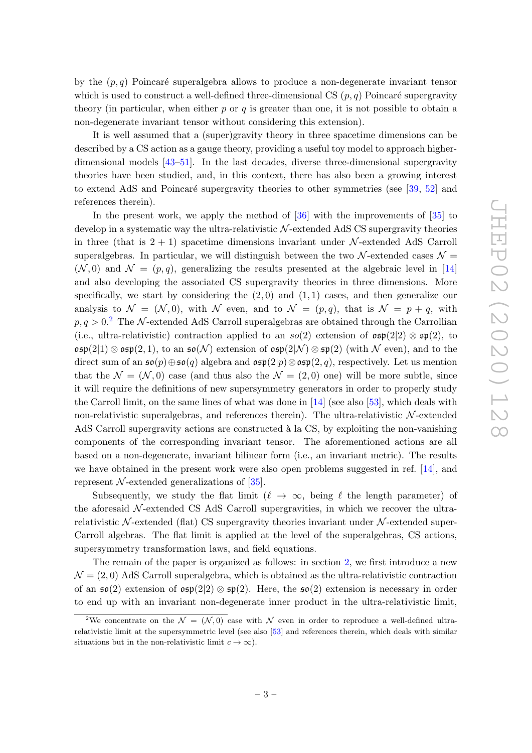by the  $(p, q)$  Poincaré superalgebra allows to produce a non-degenerate invariant tensor which is used to construct a well-defined three-dimensional CS  $(p, q)$  Poincaré supergravity theory (in particular, when either  $p$  or  $q$  is greater than one, it is not possible to obtain a non-degenerate invariant tensor without considering this extension).

It is well assumed that a (super)gravity theory in three spacetime dimensions can be described by a CS action as a gauge theory, providing a useful toy model to approach higherdimensional models [43–51]. In the last decades, diverse three-dimensional supergravity theories have been studied, and, in this context, there has also been a growing interest to extend AdS and Poincaré supergravity theories to other symmetries (see [39, 52] and references therein).

In the present work, we apply the method of [36] with the improvements of [35] to develop in a systematic way the ultra-relativistic  $N$ -extended AdS CS supergravity theories in three (that is  $2 + 1$ ) spacetime dimensions invariant under N-extended AdS Carroll superalgebras. In particular, we will distinguish between the two  $\mathcal{N}$ -extended cases  $\mathcal{N} =$  $(N, 0)$  and  $\mathcal{N} = (p, q)$ , generalizing the results presented at the algebraic level in [14] and also developing the associated CS supergravity theories in three dimensions. More specifically, we start by considering the  $(2,0)$  and  $(1,1)$  cases, and then generalize our analysis to  $\mathcal{N} = (\mathcal{N}, 0)$ , with  $\mathcal{N}$  even, and to  $\mathcal{N} = (p, q)$ , that is  $\mathcal{N} = p + q$ , with  $p, q > 0.2$  The N-extended AdS Carroll superalgebras are obtained through the Carrollian (i.e., ultra-relativistic) contraction applied to an so(2) extension of  $\mathfrak{osp}(2|2) \otimes \mathfrak{sp}(2)$ , to  $\mathfrak{osp}(2|1) \otimes \mathfrak{osp}(2,1)$ , to an  $\mathfrak{so}(\mathcal{N})$  extension of  $\mathfrak{osp}(2|\mathcal{N}) \otimes \mathfrak{sp}(2)$  (with  $\mathcal N$  even), and to the direct sum of an  $\mathfrak{so}(p) \oplus \mathfrak{so}(q)$  algebra and  $\mathfrak{osp}(2|p) \otimes \mathfrak{osp}(2,q)$ , respectively. Let us mention that the  $\mathcal{N} = (\mathcal{N}, 0)$  case (and thus also the  $\mathcal{N} = (2, 0)$  one) will be more subtle, since it will require the definitions of new supersymmetry generators in order to properly study the Carroll limit, on the same lines of what was done in  $[14]$  (see also  $[53]$ , which deals with non-relativistic superalgebras, and references therein). The ultra-relativistic  $N$ -extended AdS Carroll supergravity actions are constructed à la CS, by exploiting the non-vanishing components of the corresponding invariant tensor. The aforementioned actions are all based on a non-degenerate, invariant bilinear form (i.e., an invariant metric). The results we have obtained in the present work were also open problems suggested in ref. [14], and represent  $\mathcal{N}$ -extended generalizations of [35].

Subsequently, we study the flat limit ( $\ell \to \infty$ , being  $\ell$  the length parameter) of the aforesaid  $\mathcal{N}$ -extended CS AdS Carroll supergravities, in which we recover the ultrarelativistic  $\mathcal{N}$ -extended (flat) CS supergravity theories invariant under  $\mathcal{N}$ -extended super-Carroll algebras. The flat limit is applied at the level of the superalgebras, CS actions, supersymmetry transformation laws, and field equations.

The remain of the paper is organized as follows: in section 2, we first introduce a new  $\mathcal{N} = (2, 0)$  AdS Carroll superalgebra, which is obtained as the ultra-relativistic contraction of an  $\mathfrak{so}(2)$  extension of  $\mathfrak{osp}(2|2)\otimes \mathfrak{sp}(2)$ . Here, the  $\mathfrak{so}(2)$  extension is necessary in order to end up with an invariant non-degenerate inner product in the ultra-relativistic limit,

<sup>&</sup>lt;sup>2</sup>We concentrate on the  $\mathcal{N} = (\mathcal{N}, 0)$  case with  $\mathcal{N}$  even in order to reproduce a well-defined ultrarelativistic limit at the supersymmetric level (see also [53] and references therein, which deals with similar situations but in the non-relativistic limit  $c \to \infty$ ).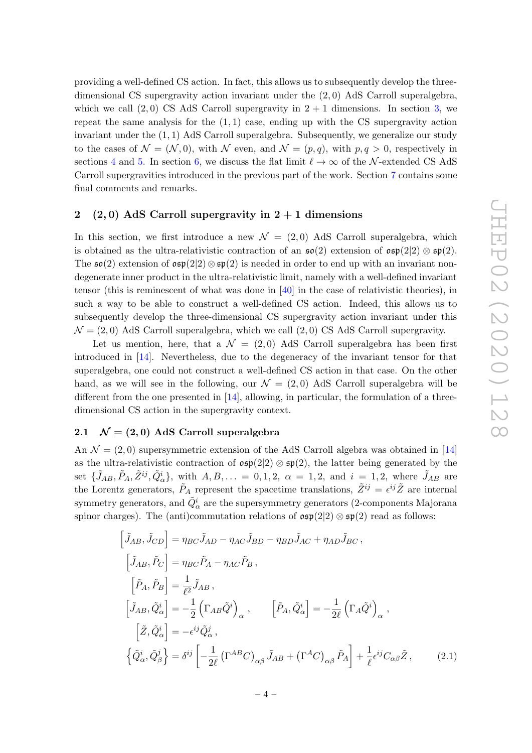providing a well-defined CS action. In fact, this allows us to subsequently develop the threedimensional CS supergravity action invariant under the (2, 0) AdS Carroll superalgebra, which we call  $(2,0)$  CS AdS Carroll supergravity in  $2+1$  dimensions. In section 3, we repeat the same analysis for the  $(1,1)$  case, ending up with the CS supergravity action invariant under the  $(1, 1)$  AdS Carroll superalgebra. Subsequently, we generalize our study to the cases of  $\mathcal{N} = (\mathcal{N}, 0)$ , with  $\mathcal{N}$  even, and  $\mathcal{N} = (p, q)$ , with  $p, q > 0$ , respectively in sections 4 and 5. In section 6, we discuss the flat limit  $\ell \to \infty$  of the N-extended CS AdS Carroll supergravities introduced in the previous part of the work. Section 7 contains some final comments and remarks.

#### 2 (2,0) AdS Carroll supergravity in  $2 + 1$  dimensions

In this section, we first introduce a new  $\mathcal{N} = (2,0)$  AdS Carroll superalgebra, which is obtained as the ultra-relativistic contraction of an  $\mathfrak{so}(2)$  extension of  $\mathfrak{osp}(2|2) \otimes \mathfrak{sp}(2)$ . The  $\mathfrak{so}(2)$  extension of  $\mathfrak{osp}(2) \otimes \mathfrak{sp}(2)$  is needed in order to end up with an invariant nondegenerate inner product in the ultra-relativistic limit, namely with a well-defined invariant tensor (this is reminescent of what was done in [40] in the case of relativistic theories), in such a way to be able to construct a well-defined CS action. Indeed, this allows us to subsequently develop the three-dimensional CS supergravity action invariant under this  $\mathcal{N} = (2, 0)$  AdS Carroll superalgebra, which we call  $(2, 0)$  CS AdS Carroll supergravity.

Let us mention, here, that a  $\mathcal{N} = (2, 0)$  AdS Carroll superalgebra has been first introduced in [14]. Nevertheless, due to the degeneracy of the invariant tensor for that superalgebra, one could not construct a well-defined CS action in that case. On the other hand, as we will see in the following, our  $\mathcal{N} = (2,0)$  AdS Carroll superalgebra will be different from the one presented in [14], allowing, in particular, the formulation of a threedimensional CS action in the supergravity context.

#### 2.1  $\mathcal{N} = (2, 0)$  AdS Carroll superalgebra

An  $\mathcal{N} = (2, 0)$  supersymmetric extension of the AdS Carroll algebra was obtained in [14] as the ultra-relativistic contraction of  $\mathfrak{osp}(2|2) \otimes \mathfrak{sp}(2)$ , the latter being generated by the set  $\{\tilde{J}_{AB}, \tilde{P}_A, \tilde{Z}^{ij}, \tilde{Q}^i_\alpha\}$ , with  $A, B, \ldots = 0, 1, 2, \alpha = 1, 2, \text{ and } i = 1, 2, \text{ where } \tilde{J}_{AB}$  are the Lorentz generators,  $\tilde{P}_A$  represent the spacetime translations,  $\tilde{Z}^{ij} = \epsilon^{ij}\tilde{Z}$  are internal symmetry generators, and  $\tilde{Q}^i_\alpha$  are the supersymmetry generators (2-components Majorana spinor charges). The (anti)commutation relations of  $\mathfrak{osp}(2|2) \otimes \mathfrak{sp}(2)$  read as follows:

$$
\begin{aligned}\n\left[\tilde{J}_{AB}, \tilde{J}_{CD}\right] &= \eta_{BC} \tilde{J}_{AD} - \eta_{AC} \tilde{J}_{BD} - \eta_{BD} \tilde{J}_{AC} + \eta_{AD} \tilde{J}_{BC} \,, \\
\left[\tilde{J}_{AB}, \tilde{P}_C\right] &= \eta_{BC} \tilde{P}_A - \eta_{AC} \tilde{P}_B \,, \\
\left[\tilde{P}_A, \tilde{P}_B\right] &= \frac{1}{\ell^2} \tilde{J}_{AB} \,, \\
\left[\tilde{J}_{AB}, \tilde{Q}^i_{\alpha}\right] &= -\frac{1}{2} \left(\Gamma_{AB} \tilde{Q}^i\right)_{\alpha} \,, \qquad \left[\tilde{P}_A, \tilde{Q}^i_{\alpha}\right] = -\frac{1}{2\ell} \left(\Gamma_A \tilde{Q}^i\right)_{\alpha} \,, \\
\left[\tilde{Z}, \tilde{Q}^i_{\alpha}\right] &= -\epsilon^{ij} \tilde{Q}^j_{\alpha} \,, \\
\left\{\tilde{Q}^i_{\alpha}, \tilde{Q}^j_{\beta}\right\} &= \delta^{ij} \left[-\frac{1}{2\ell} \left(\Gamma^{AB} C\right)_{\alpha\beta} \tilde{J}_{AB} + \left(\Gamma^A C\right)_{\alpha\beta} \tilde{P}_A\right] + \frac{1}{\ell} \epsilon^{ij} C_{\alpha\beta} \tilde{Z} \,,\n\end{aligned} \tag{2.1}
$$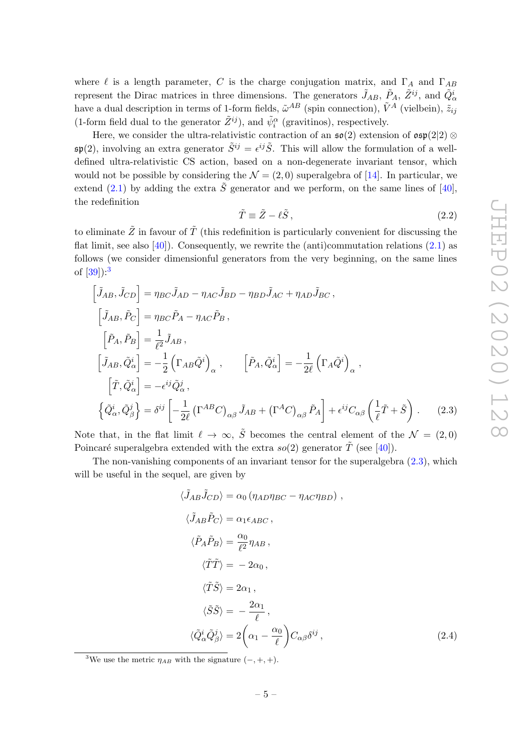where  $\ell$  is a length parameter, C is the charge conjugation matrix, and  $\Gamma_A$  and  $\Gamma_{AB}$ represent the Dirac matrices in three dimensions. The generators  $\tilde{J}_{AB}$ ,  $\tilde{P}_A$ ,  $\tilde{Z}^{ij}$ , and  $\tilde{Q}^i_{\alpha}$ have a dual description in terms of 1-form fields,  $\tilde{\omega}^{AB}$  (spin connection),  $\tilde{V}^A$  (vielbein),  $\tilde{z}_{ij}$ (1-form field dual to the generator  $\tilde{Z}^{ij}$ ), and  $\tilde{\psi}_i^{\alpha}$  (gravitinos), respectively.

Here, we consider the ultra-relativistic contraction of an  $\mathfrak{so}(2)$  extension of  $\mathfrak{osp}(2|2)$  ⊗  $\mathfrak{sp}(2)$ , involving an extra generator  $\tilde{S}^{ij} = \epsilon^{ij}\tilde{S}$ . This will allow the formulation of a welldefined ultra-relativistic CS action, based on a non-degenerate invariant tensor, which would not be possible by considering the  $\mathcal{N} = (2,0)$  superalgebra of [14]. In particular, we extend (2.1) by adding the extra  $\tilde{S}$  generator and we perform, on the same lines of [40], the redefinition

$$
\tilde{T} \equiv \tilde{Z} - \ell \tilde{S} \,,\tag{2.2}
$$

to eliminate  $\tilde{Z}$  in favour of  $\tilde{T}$  (this redefinition is particularly convenient for discussing the flat limit, see also  $[40]$ . Consequently, we rewrite the (anti)commutation relations  $(2.1)$  as follows (we consider dimensionful generators from the very beginning, on the same lines of  $[39]$ :<sup>3</sup>

$$
\begin{aligned}\n\left[\tilde{J}_{AB}, \tilde{J}_{CD}\right] &= \eta_{BC} \tilde{J}_{AD} - \eta_{AC} \tilde{J}_{BD} - \eta_{BD} \tilde{J}_{AC} + \eta_{AD} \tilde{J}_{BC} ,\\ \n\left[\tilde{J}_{AB}, \tilde{P}_C\right] &= \eta_{BC} \tilde{P}_A - \eta_{AC} \tilde{P}_B ,\\ \n\left[\tilde{P}_A, \tilde{P}_B\right] &= \frac{1}{\ell^2} \tilde{J}_{AB} ,\\ \n\left[\tilde{J}_{AB}, \tilde{Q}^i_{\alpha}\right] &= -\frac{1}{2} \left(\Gamma_{AB} \tilde{Q}^i\right)_{\alpha} ,\\ \n\left[\tilde{P}_A, \tilde{Q}^i_{\alpha}\right] &= -\epsilon^{ij} \tilde{Q}^j_{\alpha} ,\\ \n\left\{\tilde{Q}^i_{\alpha}, \tilde{Q}^j_{\beta}\right\} &= \delta^{ij} \left[-\frac{1}{2\ell} \left(\Gamma^{AB} C\right)_{\alpha\beta} \tilde{J}_{AB} + \left(\Gamma^A C\right)_{\alpha\beta} \tilde{P}_A\right] + \epsilon^{ij} C_{\alpha\beta} \left(\frac{1}{\ell} \tilde{T} + \tilde{S}\right) .\n\end{aligned} \tag{2.3}
$$

Note that, in the flat limit  $\ell \to \infty$ ,  $\tilde{S}$  becomes the central element of the  $\mathcal{N} = (2, 0)$ Poincaré superalgebra extended with the extra  $so(2)$  generator  $\tilde{T}$  (see [40]).

The non-vanishing components of an invariant tensor for the superalgebra  $(2.3)$ , which will be useful in the sequel, are given by

$$
\langle \tilde{J}_{AB}\tilde{J}_{CD}\rangle = \alpha_0 \left(\eta_{AD}\eta_{BC} - \eta_{AC}\eta_{BD}\right),
$$
  
\n
$$
\langle \tilde{J}_{AB}\tilde{P}_{C}\rangle = \alpha_1 \epsilon_{ABC},
$$
  
\n
$$
\langle \tilde{P}_{A}\tilde{P}_{B}\rangle = \frac{\alpha_0}{\ell^2}\eta_{AB},
$$
  
\n
$$
\langle \tilde{T}\tilde{T}\rangle = -2\alpha_0,
$$
  
\n
$$
\langle \tilde{T}\tilde{S}\rangle = 2\alpha_1,
$$
  
\n
$$
\langle \tilde{S}\tilde{S}\rangle = -\frac{2\alpha_1}{\ell},
$$
  
\n
$$
\langle \tilde{Q}_{\alpha}^{i}\tilde{Q}_{\beta}^{j}\rangle = 2\left(\alpha_1 - \frac{\alpha_0}{\ell}\right)C_{\alpha\beta}\delta^{ij},
$$
\n(2.4)

<sup>&</sup>lt;sup>3</sup>We use the metric  $\eta_{AB}$  with the signature  $(-, +, +)$ .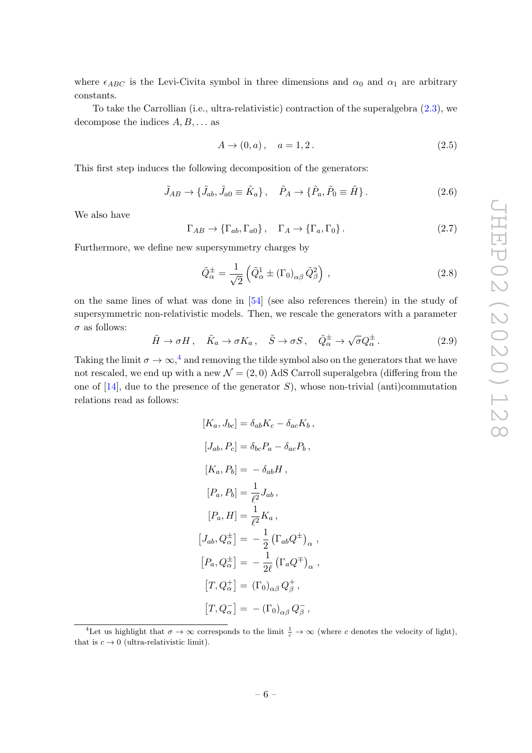where  $\epsilon_{ABC}$  is the Levi-Civita symbol in three dimensions and  $\alpha_0$  and  $\alpha_1$  are arbitrary constants.

To take the Carrollian (i.e., ultra-relativistic) contraction of the superalgebra (2.3), we decompose the indices  $A, B, \ldots$  as

$$
A \to (0, a), \quad a = 1, 2. \tag{2.5}
$$

This first step induces the following decomposition of the generators:

$$
\tilde{J}_{AB} \rightarrow \{\tilde{J}_{ab}, \tilde{J}_{a0} \equiv \tilde{K}_a\}, \quad \tilde{P}_A \rightarrow \{\tilde{P}_a, \tilde{P}_0 \equiv \tilde{H}\}.
$$
\n(2.6)

We also have

$$
\Gamma_{AB} \to \{\Gamma_{ab}, \Gamma_{a0}\}, \quad \Gamma_A \to \{\Gamma_a, \Gamma_0\}.
$$
 (2.7)

Furthermore, we define new supersymmetry charges by

$$
\tilde{Q}_{\alpha}^{\pm} = \frac{1}{\sqrt{2}} \left( \tilde{Q}_{\alpha}^{1} \pm (\Gamma_0)_{\alpha\beta} \, \tilde{Q}_{\beta}^{2} \right) , \qquad (2.8)
$$

on the same lines of what was done in [54] (see also references therein) in the study of supersymmetric non-relativistic models. Then, we rescale the generators with a parameter  $\sigma$  as follows:

$$
\tilde{H} \to \sigma H \,, \quad \tilde{K}_a \to \sigma K_a \,, \quad \tilde{S} \to \sigma S \,, \quad \tilde{Q}^{\pm}_{\alpha} \to \sqrt{\sigma} Q^{\pm}_{\alpha} \,. \tag{2.9}
$$

Taking the limit  $\sigma \to \infty$ ,<sup>4</sup> and removing the tilde symbol also on the generators that we have not rescaled, we end up with a new  $\mathcal{N} = (2,0)$  AdS Carroll superalgebra (differing from the one of  $[14]$ , due to the presence of the generator S), whose non-trivial (anti)commutation relations read as follows:

$$
[K_a, J_{bc}] = \delta_{ab} K_c - \delta_{ac} K_b,
$$
  
\n
$$
[J_{ab}, P_c] = \delta_{bc} P_a - \delta_{ac} P_b,
$$
  
\n
$$
[K_a, P_b] = -\delta_{ab} H,
$$
  
\n
$$
[P_a, P_b] = \frac{1}{\ell^2} J_{ab},
$$
  
\n
$$
[P_a, H] = \frac{1}{\ell^2} K_a,
$$
  
\n
$$
[J_{ab}, Q_{\alpha}^{\pm}] = -\frac{1}{2} (\Gamma_{ab} Q^{\pm})_{\alpha},
$$
  
\n
$$
[P_a, Q_{\alpha}^{\pm}] = -\frac{1}{2\ell} (\Gamma_a Q^{\mp})_{\alpha},
$$
  
\n
$$
[T, Q_{\alpha}^{\pm}] = (\Gamma_0)_{\alpha\beta} Q_{\beta}^{\pm},
$$
  
\n
$$
[T, Q_{\alpha}^-] = -(\Gamma_0)_{\alpha\beta} Q_{\beta}^-,
$$

<sup>&</sup>lt;sup>4</sup>Let us highlight that  $\sigma \to \infty$  corresponds to the limit  $\frac{1}{c} \to \infty$  (where c denotes the velocity of light), that is  $c \to 0$  (ultra-relativistic limit).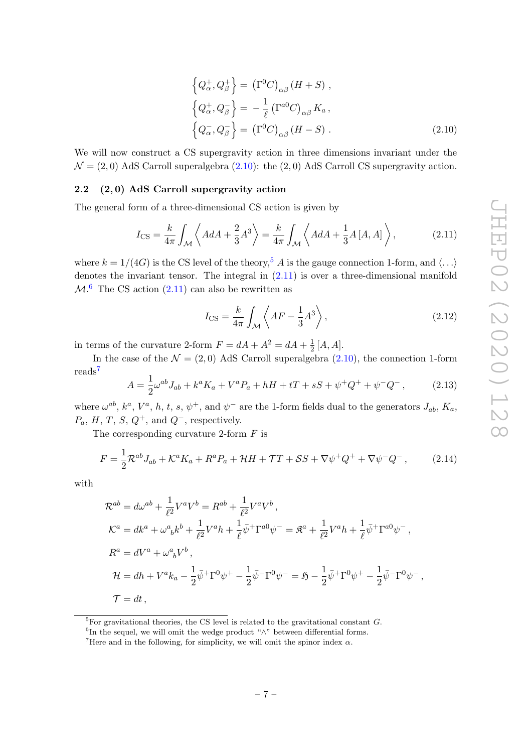$$
\left\{Q_{\alpha}^{+}, Q_{\beta}^{+}\right\} = \left(\Gamma^{0}C\right)_{\alpha\beta} (H+S) ,
$$
\n
$$
\left\{Q_{\alpha}^{+}, Q_{\beta}^{-}\right\} = -\frac{1}{\ell} \left(\Gamma^{a0}C\right)_{\alpha\beta} K_{a} ,
$$
\n
$$
\left\{Q_{\alpha}^{-}, Q_{\beta}^{-}\right\} = \left(\Gamma^{0}C\right)_{\alpha\beta} (H-S) .
$$
\n(2.10)

We will now construct a CS supergravity action in three dimensions invariant under the  $\mathcal{N} = (2, 0)$  AdS Carroll superalgebra  $(2.10)$ : the  $(2, 0)$  AdS Carroll CS supergravity action.

#### 2.2 (2, 0) AdS Carroll supergravity action

The general form of a three-dimensional CS action is given by

$$
I_{\text{CS}} = \frac{k}{4\pi} \int_{\mathcal{M}} \left\langle A dA + \frac{2}{3} A^3 \right\rangle = \frac{k}{4\pi} \int_{\mathcal{M}} \left\langle A dA + \frac{1}{3} A \left[ A, A \right] \right\rangle, \tag{2.11}
$$

where  $k = 1/(4G)$  is the CS level of the theory,<sup>5</sup> A is the gauge connection 1-form, and  $\langle \ldots \rangle$ denotes the invariant tensor. The integral in (2.11) is over a three-dimensional manifold  $\mathcal{M}$ <sup>6</sup> The CS action (2.11) can also be rewritten as

$$
I_{\rm CS} = \frac{k}{4\pi} \int_{\mathcal{M}} \left\langle AF - \frac{1}{3}A^3 \right\rangle,\tag{2.12}
$$

in terms of the curvature 2-form  $F = dA + A^2 = dA + \frac{1}{2}$  $\frac{1}{2}$  [*A*, *A*].

In the case of the  $\mathcal{N} = (2, 0)$  AdS Carroll superalgebra  $(2.10)$ , the connection 1-form reads<sup>7</sup>

$$
A = \frac{1}{2}\omega^{ab}J_{ab} + k^a K_a + V^a P_a + hH + tT + sS + \psi^+ Q^+ + \psi^- Q^-, \qquad (2.13)
$$

where  $\omega^{ab}$ ,  $k^a$ ,  $V^a$ , h, t, s,  $\psi^+$ , and  $\psi^-$  are the 1-form fields dual to the generators  $J_{ab}$ ,  $K_a$ ,  $P_a$ , H, T, S, Q<sup>+</sup>, and Q<sup>-</sup>, respectively.

The corresponding curvature 2-form  $F$  is

$$
F = \frac{1}{2} \mathcal{R}^{ab} J_{ab} + \mathcal{K}^a K_a + R^a P_a + \mathcal{H}H + \mathcal{T}T + \mathcal{S}S + \nabla \psi^+ Q^+ + \nabla \psi^- Q^-, \qquad (2.14)
$$

with

$$
\mathcal{R}^{ab} = d\omega^{ab} + \frac{1}{\ell^2} V^a V^b = R^{ab} + \frac{1}{\ell^2} V^a V^b,
$$
  
\n
$$
\mathcal{K}^a = dk^a + \omega^a{}_b k^b + \frac{1}{\ell^2} V^a h + \frac{1}{\ell} \bar{\psi}^+ \Gamma^{a0} \psi^- = \mathfrak{K}^a + \frac{1}{\ell^2} V^a h + \frac{1}{\ell} \bar{\psi}^+ \Gamma^{a0} \psi^-,
$$
  
\n
$$
R^a = dV^a + \omega^a{}_b V^b,
$$
  
\n
$$
\mathcal{H} = dh + V^a k_a - \frac{1}{2} \bar{\psi}^+ \Gamma^0 \psi^+ - \frac{1}{2} \bar{\psi}^- \Gamma^0 \psi^- = \mathfrak{H} - \frac{1}{2} \bar{\psi}^+ \Gamma^0 \psi^+ - \frac{1}{2} \bar{\psi}^- \Gamma^0 \psi^-,
$$
  
\n
$$
\mathcal{T} = dt,
$$

 ${}^{5}$ For gravitational theories, the CS level is related to the gravitational constant  $G$ .

 ${}^{6}$ In the sequel, we will omit the wedge product " $\wedge$ " between differential forms.

<sup>&</sup>lt;sup>7</sup>Here and in the following, for simplicity, we will omit the spinor index  $\alpha$ .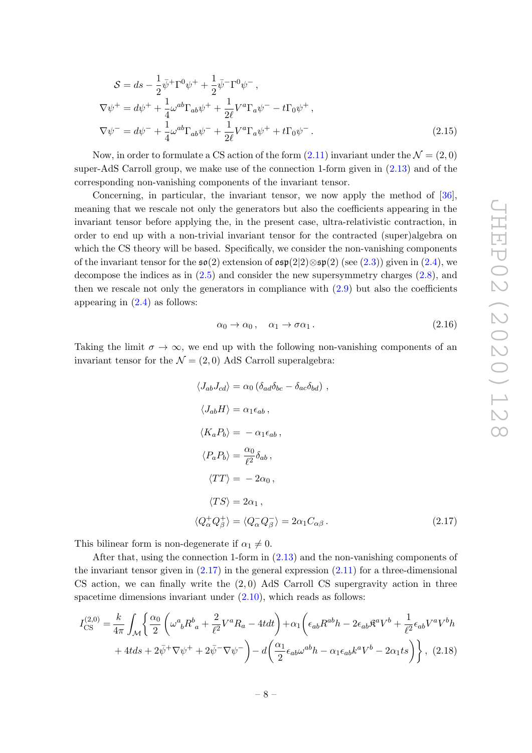$$
S = ds - \frac{1}{2} \bar{\psi}^+ \Gamma^0 \psi^+ + \frac{1}{2} \bar{\psi}^- \Gamma^0 \psi^-,
$$
  
\n
$$
\nabla \psi^+ = d\psi^+ + \frac{1}{4} \omega^{ab} \Gamma_{ab} \psi^+ + \frac{1}{2\ell} V^a \Gamma_a \psi^- - t \Gamma_0 \psi^+,
$$
  
\n
$$
\nabla \psi^- = d\psi^- + \frac{1}{4} \omega^{ab} \Gamma_{ab} \psi^- + \frac{1}{2\ell} V^a \Gamma_a \psi^+ + t \Gamma_0 \psi^-. \tag{2.15}
$$

Now, in order to formulate a CS action of the form  $(2.11)$  invariant under the  $\mathcal{N} = (2, 0)$ super-AdS Carroll group, we make use of the connection 1-form given in (2.13) and of the corresponding non-vanishing components of the invariant tensor.

Concerning, in particular, the invariant tensor, we now apply the method of [36], meaning that we rescale not only the generators but also the coefficients appearing in the invariant tensor before applying the, in the present case, ultra-relativistic contraction, in order to end up with a non-trivial invariant tensor for the contracted (super)algebra on which the CS theory will be based. Specifically, we consider the non-vanishing components of the invariant tensor for the  $\mathfrak{so}(2)$  extension of  $\mathfrak{osp}(2|2)\otimes \mathfrak{sp}(2)$  (see (2.3)) given in (2.4), we decompose the indices as in (2.5) and consider the new supersymmetry charges (2.8), and then we rescale not only the generators in compliance with  $(2.9)$  but also the coefficients appearing in  $(2.4)$  as follows:

$$
\alpha_0 \to \alpha_0 \,, \quad \alpha_1 \to \sigma \alpha_1 \,. \tag{2.16}
$$

Taking the limit  $\sigma \to \infty$ , we end up with the following non-vanishing components of an invariant tensor for the  $\mathcal{N} = (2, 0)$  AdS Carroll superalgebra:

$$
\langle J_{ab}J_{cd}\rangle = \alpha_0 \left(\delta_{ad}\delta_{bc} - \delta_{ac}\delta_{bd}\right),
$$
  
\n
$$
\langle J_{ab}H\rangle = \alpha_1 \epsilon_{ab},
$$
  
\n
$$
\langle K_a P_b \rangle = -\alpha_1 \epsilon_{ab},
$$
  
\n
$$
\langle P_a P_b \rangle = \frac{\alpha_0}{\ell^2} \delta_{ab},
$$
  
\n
$$
\langle TT \rangle = -2\alpha_0,
$$
  
\n
$$
\langle TS \rangle = 2\alpha_1,
$$
  
\n
$$
\langle Q_\alpha^+ Q_\beta^+ \rangle = \langle Q_\alpha^- Q_\beta^- \rangle = 2\alpha_1 C_{\alpha\beta}.
$$
  
\n(2.17)

This bilinear form is non-degenerate if  $\alpha_1 \neq 0$ .

After that, using the connection 1-form in (2.13) and the non-vanishing components of the invariant tensor given in  $(2.17)$  in the general expression  $(2.11)$  for a three-dimensional CS action, we can finally write the  $(2, 0)$  AdS Carroll CS supergravity action in three spacetime dimensions invariant under  $(2.10)$ , which reads as follows:

$$
I_{\text{CS}}^{(2,0)} = \frac{k}{4\pi} \int_{\mathcal{M}} \left\{ \frac{\alpha_0}{2} \left( \omega^a{}_b R^b{}_a + \frac{2}{\ell^2} V^a R_a - 4t dt \right) + \alpha_1 \left( \epsilon_{ab} R^{ab} h - 2 \epsilon_{ab} \mathfrak{K}^a V^b + \frac{1}{\ell^2} \epsilon_{ab} V^a V^b h \right) \right. \\
\left. + 4t ds + 2\bar{\psi}^+ \nabla \psi^+ + 2\bar{\psi}^- \nabla \psi^- \right\} - d \left( \frac{\alpha_1}{2} \epsilon_{ab} \omega^{ab} h - \alpha_1 \epsilon_{ab} k^a V^b - 2\alpha_1 t s \right) \right\}, \tag{2.18}
$$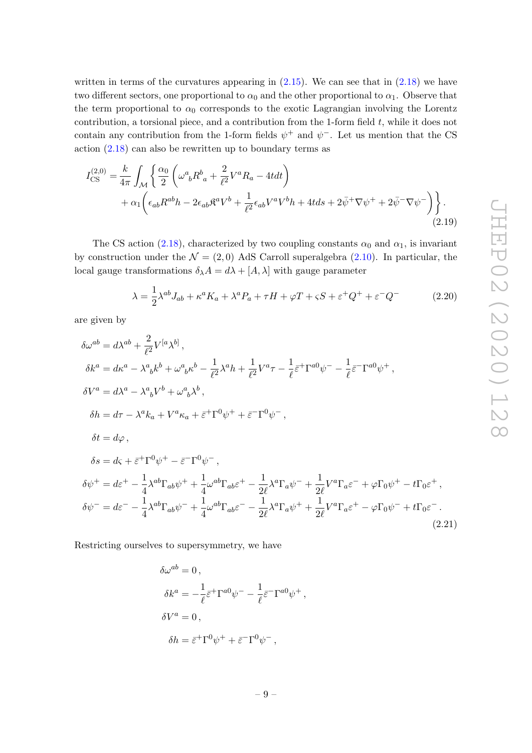written in terms of the curvatures appearing in  $(2.15)$ . We can see that in  $(2.18)$  we have two different sectors, one proportional to  $\alpha_0$  and the other proportional to  $\alpha_1$ . Observe that the term proportional to  $\alpha_0$  corresponds to the exotic Lagrangian involving the Lorentz contribution, a torsional piece, and a contribution from the 1-form field  $t$ , while it does not contain any contribution from the 1-form fields  $\psi^+$  and  $\psi^-$ . Let us mention that the CS action (2.18) can also be rewritten up to boundary terms as

$$
I_{\text{CS}}^{(2,0)} = \frac{k}{4\pi} \int_{\mathcal{M}} \left\{ \frac{\alpha_0}{2} \left( \omega^a{}_b R^b{}_a + \frac{2}{\ell^2} V^a R_a - 4t dt \right) \right. \\ \left. + \alpha_1 \left( \epsilon_{ab} R^{ab} h - 2\epsilon_{ab} \mathfrak{K}^a V^b{}_+ \frac{1}{\ell^2} \epsilon_{ab} V^a V^b{}_h + 4t ds + 2 \bar{\psi}^+ \nabla \psi^+ + 2 \bar{\psi}^- \nabla \psi^- \right) \right\} . \tag{2.19}
$$

The CS action (2.18), characterized by two coupling constants  $\alpha_0$  and  $\alpha_1$ , is invariant by construction under the  $\mathcal{N} = (2,0)$  AdS Carroll superalgebra  $(2.10)$ . In particular, the local gauge transformations  $\delta_{\lambda}A = d\lambda + [A, \lambda]$  with gauge parameter

$$
\lambda = \frac{1}{2} \lambda^{ab} J_{ab} + \kappa^a K_a + \lambda^a P_a + \tau H + \varphi T + \varsigma S + \varepsilon^+ Q^+ + \varepsilon^- Q^- \tag{2.20}
$$

are given by

$$
\delta\omega^{ab} = d\lambda^{ab} + \frac{2}{\ell^2} V^{[a}\lambda^{b]},
$$
  
\n
$$
\delta k^a = d\kappa^a - \lambda^a{}_b k^b + \omega^a{}_b \kappa^b - \frac{1}{\ell^2} \lambda^a h + \frac{1}{\ell^2} V^a \tau - \frac{1}{\ell} \bar{\varepsilon}^+ \Gamma^{a0} \psi^- - \frac{1}{\ell} \bar{\varepsilon}^- \Gamma^{a0} \psi^+,
$$
  
\n
$$
\delta V^a = d\lambda^a - \lambda^a{}_b V^b + \omega^a{}_b \lambda^b,
$$
  
\n
$$
\delta h = d\tau - \lambda^a k_a + V^a \kappa_a + \bar{\varepsilon}^+ \Gamma^0 \psi^+ + \bar{\varepsilon}^- \Gamma^0 \psi^-,
$$
  
\n
$$
\delta t = d\varphi,
$$
  
\n
$$
\delta s = d\varsigma + \bar{\varepsilon}^+ \Gamma^0 \psi^+ - \bar{\varepsilon}^- \Gamma^0 \psi^-,
$$
  
\n
$$
\delta \psi^+ = d\bar{\varepsilon}^+ - \frac{1}{4} \lambda^{ab} \Gamma_{ab} \psi^+ + \frac{1}{4} \omega^{ab} \Gamma_{ab} \varepsilon^+ - \frac{1}{2\ell} \lambda^a \Gamma_a \psi^- + \frac{1}{2\ell} V^a \Gamma_a \varepsilon^- + \varphi \Gamma_0 \psi^+ - t \Gamma_0 \varepsilon^+,
$$
  
\n
$$
\delta \psi^- = d\varepsilon^- - \frac{1}{4} \lambda^{ab} \Gamma_{ab} \psi^- + \frac{1}{4} \omega^{ab} \Gamma_{ab} \varepsilon^- - \frac{1}{2\ell} \lambda^a \Gamma_a \psi^+ + \frac{1}{2\ell} V^a \Gamma_a \varepsilon^+ - \varphi \Gamma_0 \psi^- + t \Gamma_0 \varepsilon^-. \tag{2.21}
$$

Restricting ourselves to supersymmetry, we have

$$
\delta\omega^{ab} = 0,
$$
  
\n
$$
\delta k^{a} = -\frac{1}{\ell} \bar{\varepsilon}^{+} \Gamma^{a0} \psi^{-} - \frac{1}{\ell} \bar{\varepsilon}^{-} \Gamma^{a0} \psi^{+},
$$
  
\n
$$
\delta V^{a} = 0,
$$
  
\n
$$
\delta h = \bar{\varepsilon}^{+} \Gamma^{0} \psi^{+} + \bar{\varepsilon}^{-} \Gamma^{0} \psi^{-},
$$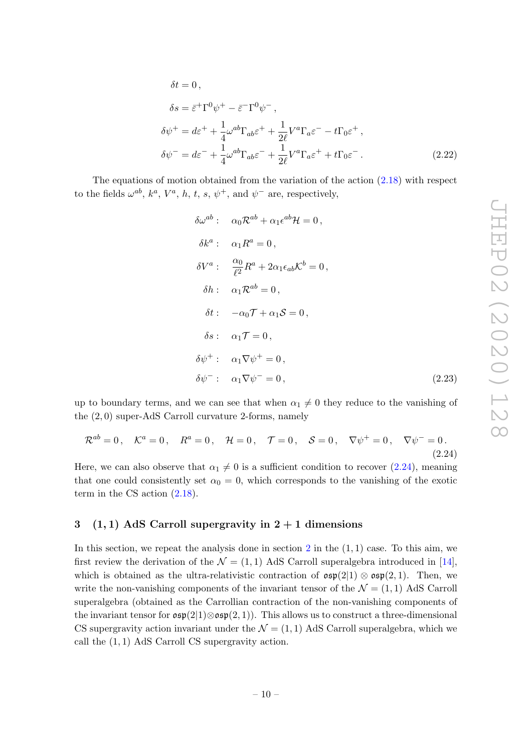$$
\delta t = 0,
$$
  
\n
$$
\delta s = \bar{\varepsilon}^+ \Gamma^0 \psi^+ - \bar{\varepsilon}^- \Gamma^0 \psi^-,
$$
  
\n
$$
\delta \psi^+ = d\varepsilon^+ + \frac{1}{4} \omega^{ab} \Gamma_{ab} \varepsilon^+ + \frac{1}{2\ell} V^a \Gamma_a \varepsilon^- - t \Gamma_0 \varepsilon^+,
$$
  
\n
$$
\delta \psi^- = d\varepsilon^- + \frac{1}{4} \omega^{ab} \Gamma_{ab} \varepsilon^- + \frac{1}{2\ell} V^a \Gamma_a \varepsilon^+ + t \Gamma_0 \varepsilon^-.
$$
\n(2.22)

The equations of motion obtained from the variation of the action (2.18) with respect to the fields  $\omega^{ab}$ ,  $k^a$ ,  $V^a$ , h, t, s,  $\psi^+$ , and  $\psi^-$  are, respectively,

$$
\delta\omega^{ab}: \quad \alpha_0 \mathcal{R}^{ab} + \alpha_1 \epsilon^{ab} \mathcal{H} = 0,
$$
  
\n
$$
\delta k^a: \quad \alpha_1 R^a = 0,
$$
  
\n
$$
\delta V^a: \quad \frac{\alpha_0}{\ell^2} R^a + 2\alpha_1 \epsilon_{ab} \mathcal{K}^b = 0,
$$
  
\n
$$
\delta h: \quad \alpha_1 \mathcal{R}^{ab} = 0,
$$
  
\n
$$
\delta t: \quad -\alpha_0 \mathcal{T} + \alpha_1 \mathcal{S} = 0,
$$
  
\n
$$
\delta s: \quad \alpha_1 \mathcal{T} = 0,
$$
  
\n
$$
\delta \psi^+: \quad \alpha_1 \nabla \psi^+ = 0,
$$
  
\n
$$
\delta \psi^-: \quad \alpha_1 \nabla \psi^- = 0,
$$
\n(2.23)

up to boundary terms, and we can see that when  $\alpha_1 \neq 0$  they reduce to the vanishing of the (2, 0) super-AdS Carroll curvature 2-forms, namely

$$
\mathcal{R}^{ab} = 0
$$
,  $\mathcal{K}^a = 0$ ,  $R^a = 0$ ,  $\mathcal{H} = 0$ ,  $\mathcal{T} = 0$ ,  $S = 0$ ,  $\nabla \psi^+ = 0$ ,  $\nabla \psi^- = 0$ . (2.24)

Here, we can also observe that  $\alpha_1 \neq 0$  is a sufficient condition to recover (2.24), meaning that one could consistently set  $\alpha_0 = 0$ , which corresponds to the vanishing of the exotic term in the CS action (2.18).

#### 3 (1, 1) AdS Carroll supergravity in  $2 + 1$  dimensions

In this section, we repeat the analysis done in section 2 in the  $(1, 1)$  case. To this aim, we first review the derivation of the  $\mathcal{N} = (1, 1)$  AdS Carroll superalgebra introduced in [14], which is obtained as the ultra-relativistic contraction of  $\mathfrak{osp}(2|1) \otimes \mathfrak{osp}(2,1)$ . Then, we write the non-vanishing components of the invariant tensor of the  $\mathcal{N} = (1, 1)$  AdS Carroll superalgebra (obtained as the Carrollian contraction of the non-vanishing components of the invariant tensor for  $\mathfrak{osp}(2|1)\otimes \mathfrak{osp}(2,1)$ . This allows us to construct a three-dimensional CS supergravity action invariant under the  $\mathcal{N} = (1, 1)$  AdS Carroll superalgebra, which we call the (1, 1) AdS Carroll CS supergravity action.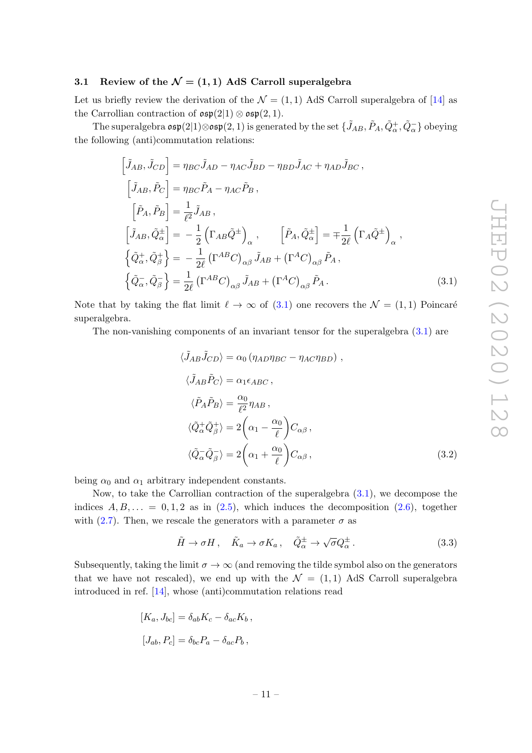#### 3.1 Review of the  $\mathcal{N} = (1, 1)$  AdS Carroll superalgebra

Let us briefly review the derivation of the  $\mathcal{N} = (1, 1)$  AdS Carroll superalgebra of [14] as the Carrollian contraction of  $\mathfrak{osp}(2|1) \otimes \mathfrak{osp}(2,1)$ .

The superalgebra  $\frak{osp}(2|1) \otimes \frak{osp}(2,1)$  is generated by the set  $\{\tilde{J}_{AB}, \tilde{P}_A, \tilde{Q}^+_A, \tilde{Q}^-_\alpha\}$  obeying the following (anti)commutation relations:

$$
\begin{aligned}\n\left[\tilde{J}_{AB}, \tilde{J}_{CD}\right] &= \eta_{BC} \tilde{J}_{AD} - \eta_{AC} \tilde{J}_{BD} - \eta_{BD} \tilde{J}_{AC} + \eta_{AD} \tilde{J}_{BC}, \\
\left[\tilde{J}_{AB}, \tilde{P}_C\right] &= \eta_{BC} \tilde{P}_A - \eta_{AC} \tilde{P}_B, \\
\left[\tilde{P}_A, \tilde{P}_B\right] &= \frac{1}{\ell^2} \tilde{J}_{AB}, \\
\left[\tilde{J}_{AB}, \tilde{Q}^{\pm}_{\alpha}\right] &= -\frac{1}{2} \left(\Gamma_{AB} \tilde{Q}^{\pm}\right)_{\alpha}, \qquad \left[\tilde{P}_A, \tilde{Q}^{\pm}_{\alpha}\right] = \mp \frac{1}{2\ell} \left(\Gamma_A \tilde{Q}^{\pm}\right)_{\alpha}, \\
\left\{\tilde{Q}^{\pm}_{\alpha}, \tilde{Q}^{\pm}_{\beta}\right\} &= -\frac{1}{2\ell} \left(\Gamma^{AB} C\right)_{\alpha\beta} \tilde{J}_{AB} + \left(\Gamma^{AC}\right)_{\alpha\beta} \tilde{P}_A, \\
\left\{\tilde{Q}^-_{\alpha}, \tilde{Q}^-_{\beta}\right\} &= \frac{1}{2\ell} \left(\Gamma^{AB} C\right)_{\alpha\beta} \tilde{J}_{AB} + \left(\Gamma^{AC}\right)_{\alpha\beta} \tilde{P}_A.\n\end{aligned} \tag{3.1}
$$

Note that by taking the flat limit  $\ell \to \infty$  of (3.1) one recovers the  $\mathcal{N} = (1, 1)$  Poincaré superalgebra.

The non-vanishing components of an invariant tensor for the superalgebra (3.1) are

$$
\langle \tilde{J}_{AB}\tilde{J}_{CD}\rangle = \alpha_0 \left(\eta_{AD}\eta_{BC} - \eta_{AC}\eta_{BD}\right),
$$
  
\n
$$
\langle \tilde{J}_{AB}\tilde{P}_{C}\rangle = \alpha_1 \epsilon_{ABC},
$$
  
\n
$$
\langle \tilde{P}_{A}\tilde{P}_{B}\rangle = \frac{\alpha_0}{\ell^2}\eta_{AB},
$$
  
\n
$$
\langle \tilde{Q}_{\alpha}^{+}\tilde{Q}_{\beta}^{+}\rangle = 2\left(\alpha_1 - \frac{\alpha_0}{\ell}\right)C_{\alpha\beta},
$$
  
\n
$$
\langle \tilde{Q}_{\alpha}^{-}\tilde{Q}_{\beta}^{-}\rangle = 2\left(\alpha_1 + \frac{\alpha_0}{\ell}\right)C_{\alpha\beta},
$$
\n(3.2)

being  $\alpha_0$  and  $\alpha_1$  arbitrary independent constants.

Now, to take the Carrollian contraction of the superalgebra (3.1), we decompose the indices  $A, B, \ldots = 0, 1, 2$  as in  $(2.5)$ , which induces the decomposition  $(2.6)$ , together with (2.7). Then, we rescale the generators with a parameter  $\sigma$  as

$$
\tilde{H} \to \sigma H \,, \quad \tilde{K}_a \to \sigma K_a \,, \quad \tilde{Q}^{\pm}_{\alpha} \to \sqrt{\sigma} Q^{\pm}_{\alpha} \,. \tag{3.3}
$$

Subsequently, taking the limit  $\sigma \to \infty$  (and removing the tilde symbol also on the generators that we have not rescaled), we end up with the  $\mathcal{N} = (1, 1)$  AdS Carroll superalgebra introduced in ref. [14], whose (anti)commutation relations read

$$
[K_a, J_{bc}] = \delta_{ab} K_c - \delta_{ac} K_b,
$$
  

$$
[J_{ab}, P_c] = \delta_{bc} P_a - \delta_{ac} P_b,
$$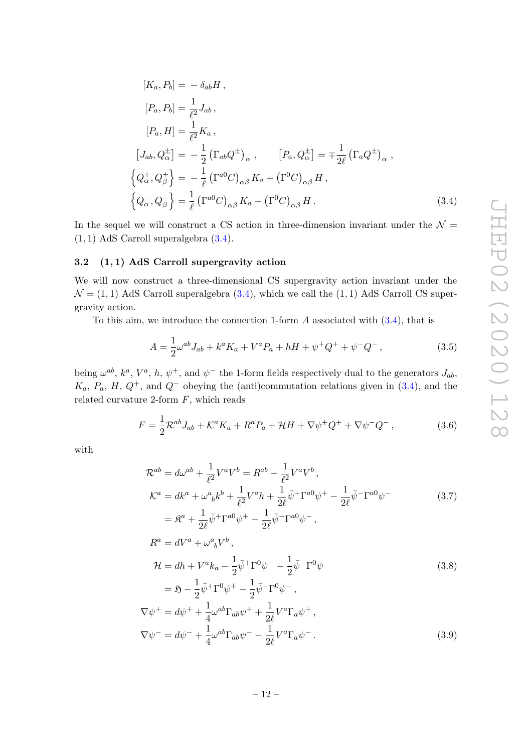$$
[K_a, P_b] = -\delta_{ab} H,
$$
  
\n
$$
[P_a, P_b] = \frac{1}{\ell^2} J_{ab},
$$
  
\n
$$
[P_a, H] = \frac{1}{\ell^2} K_a,
$$
  
\n
$$
[J_{ab}, Q_{\alpha}^{\pm}] = -\frac{1}{2} (\Gamma_{ab} Q^{\pm})_{\alpha}, \qquad [P_a, Q_{\alpha}^{\pm}] = \mp \frac{1}{2\ell} (\Gamma_a Q^{\pm})_{\alpha},
$$
  
\n
$$
\left\{ Q_{\alpha}^{+}, Q_{\beta}^{+} \right\} = -\frac{1}{\ell} (\Gamma^{a0} C)_{\alpha\beta} K_a + (\Gamma^0 C)_{\alpha\beta} H,
$$
  
\n
$$
\left\{ Q_{\alpha}^{-}, Q_{\beta}^{-} \right\} = \frac{1}{\ell} (\Gamma^{a0} C)_{\alpha\beta} K_a + (\Gamma^0 C)_{\alpha\beta} H.
$$
\n(3.4)

In the sequel we will construct a CS action in three-dimension invariant under the  $\mathcal{N} =$  $(1, 1)$  AdS Carroll superalgebra  $(3.4)$ .

#### 3.2 (1, 1) AdS Carroll supergravity action

We will now construct a three-dimensional CS supergravity action invariant under the  $\mathcal{N} = (1, 1)$  AdS Carroll superalgebra  $(3.4)$ , which we call the  $(1, 1)$  AdS Carroll CS supergravity action.

To this aim, we introduce the connection 1-form  $A$  associated with  $(3.4)$ , that is

$$
A = \frac{1}{2}\omega^{ab}J_{ab} + k^a K_a + V^a P_a + hH + \psi^+ Q^+ + \psi^- Q^-, \qquad (3.5)
$$

being  $\omega^{ab}$ ,  $k^a$ ,  $V^a$ , h,  $\psi^+$ , and  $\psi^-$  the 1-form fields respectively dual to the generators  $J_{ab}$ ,  $K_a$ ,  $P_a$ ,  $H$ ,  $Q^+$ , and  $Q^-$  obeying the (anti)commutation relations given in (3.4), and the related curvature 2-form  $F$ , which reads

$$
F = \frac{1}{2} \mathcal{R}^{ab} J_{ab} + \mathcal{K}^a K_a + R^a P_a + \mathcal{H}H + \nabla \psi^+ Q^+ + \nabla \psi^- Q^-, \qquad (3.6)
$$

with

$$
\mathcal{R}^{ab} = d\omega^{ab} + \frac{1}{\ell^2} V^a V^b = R^{ab} + \frac{1}{\ell^2} V^a V^b ,
$$
  
\n
$$
\mathcal{K}^a = dk^a + \omega^a{}_b k^b + \frac{1}{\ell^2} V^a h + \frac{1}{2\ell} \bar{\psi}^+ \Gamma^{a0} \psi^+ - \frac{1}{2\ell} \bar{\psi}^- \Gamma^{a0} \psi^-
$$
  
\n
$$
= \mathfrak{K}^a + \frac{1}{2\ell} \bar{\psi}^+ \Gamma^{a0} \psi^+ - \frac{1}{2\ell} \bar{\psi}^- \Gamma^{a0} \psi^-,
$$
  
\n
$$
R^a = dV^a + \omega^a{}_b V^b ,
$$
  
\n
$$
\mathcal{H} = dh + V^a k_a - \frac{1}{2} \bar{\psi}^+ \Gamma^0 \psi^+ - \frac{1}{2} \bar{\psi}^- \Gamma^0 \psi^-
$$
  
\n
$$
= \mathfrak{H} - \frac{1}{2} \bar{\psi}^+ \Gamma^0 \psi^+ - \frac{1}{2} \bar{\psi}^- \Gamma^0 \psi^-,
$$
  
\n
$$
\nabla \psi^+ = d\psi^+ + \frac{1}{4} \omega^{ab} \Gamma_{ab} \psi^+ + \frac{1}{2\ell} V^a \Gamma_a \psi^+,
$$
  
\n
$$
\nabla \psi^- = d\psi^- + \frac{1}{4} \omega^{ab} \Gamma_{ab} \psi^- - \frac{1}{2\ell} V^a \Gamma_a \psi^-.
$$
  
\n(3.9)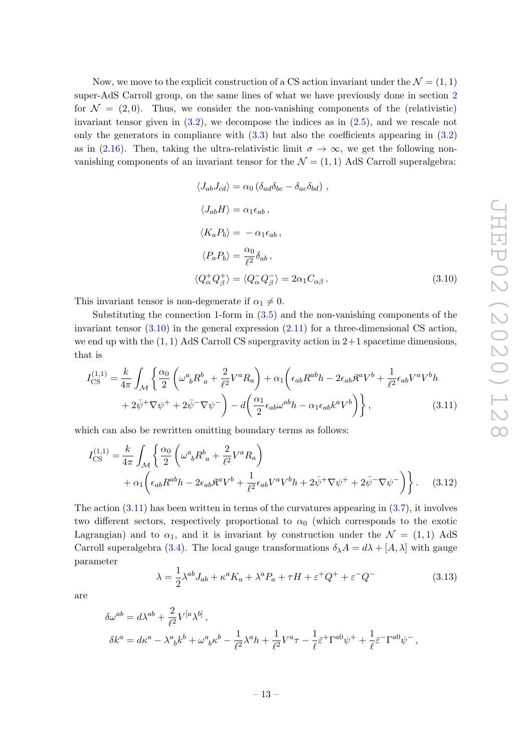Now, we move to the explicit construction of a CS action invariant under the  $\mathcal{N} = (1, 1)$ super-AdS Carroll group, on the same lines of what we have previously done in section 2 for  $\mathcal{N} = (2, 0)$ . Thus, we consider the non-vanishing components of the (relativistic) invariant tensor given in  $(3.2)$ , we decompose the indices as in  $(2.5)$ , and we rescale not only the generators in compliance with  $(3.3)$  but also the coefficients appearing in  $(3.2)$ as in (2.16). Then, taking the ultra-relativistic limit  $\sigma \to \infty$ , we get the following nonvanishing components of an invariant tensor for the  $\mathcal{N} = (1, 1)$  AdS Carroll superalgebra:

$$
\langle J_{ab}J_{cd}\rangle = \alpha_0 \left(\delta_{ad}\delta_{bc} - \delta_{ac}\delta_{bd}\right),
$$
  

$$
\langle J_{ab}H\rangle = \alpha_1 \epsilon_{ab},
$$
  

$$
\langle K_a P_b \rangle = -\alpha_1 \epsilon_{ab},
$$
  

$$
\langle P_a P_b \rangle = \frac{\alpha_0}{\ell^2} \delta_{ab},
$$
  

$$
\langle Q_\alpha^+ Q_\beta^+ \rangle = \langle Q_\alpha^- Q_\beta^- \rangle = 2\alpha_1 C_{\alpha\beta}.
$$
 (3.10)

This invariant tensor is non-degenerate if  $\alpha_1 \neq 0$ .

Substituting the connection 1-form in  $(3.5)$  and the non-vanishing components of the invariant tensor  $(3.10)$  in the general expression  $(2.11)$  for a three-dimensional CS action, we end up with the  $(1, 1)$  AdS Carroll CS supergravity action in  $2+1$  spacetime dimensions, that is

$$
I_{\text{CS}}^{(1,1)} = \frac{k}{4\pi} \int_{\mathcal{M}} \left\{ \frac{\alpha_0}{2} \left( \omega^a{}_b R^b{}_a + \frac{2}{\ell^2} V^a R_a \right) + \alpha_1 \left( \epsilon_{ab} R^{ab} h - 2 \epsilon_{ab} \mathfrak{K}^a V^b + \frac{1}{\ell^2} \epsilon_{ab} V^a V^b h \right. \\ \left. + 2 \bar{\psi}^+ \nabla \psi^+ + 2 \bar{\psi}^- \nabla \psi^- \right) - d \left( \frac{\alpha_1}{2} \epsilon_{ab} \omega^{ab} h - \alpha_1 \epsilon_{ab} k^a V^b \right) \right\}, \tag{3.11}
$$

which can also be rewritten omitting boundary terms as follows:

$$
I_{\text{CS}}^{(1,1)} = \frac{k}{4\pi} \int_{\mathcal{M}} \left\{ \frac{\alpha_0}{2} \left( \omega^a{}_b R^b{}_a + \frac{2}{\ell^2} V^a R_a \right) + \alpha_1 \left( \epsilon_{ab} R^{ab} h - 2\epsilon_{ab} \mathfrak{K}^a V^b + \frac{1}{\ell^2} \epsilon_{ab} V^a V^b h + 2\bar{\psi}^+ \nabla \psi^+ + 2\bar{\psi}^- \nabla \psi^- \right) \right\}.
$$
 (3.12)

The action  $(3.11)$  has been written in terms of the curvatures appearing in  $(3.7)$ , it involves two different sectors, respectively proportional to  $\alpha_0$  (which corresponds to the exotic Lagrangian) and to  $\alpha_1$ , and it is invariant by construction under the  $\mathcal{N} = (1, 1)$  AdS Carroll superalgebra (3.4). The local gauge transformations  $\delta_{\lambda}A = d\lambda + [A, \lambda]$  with gauge parameter

$$
\lambda = \frac{1}{2} \lambda^{ab} J_{ab} + \kappa^a K_a + \lambda^a P_a + \tau H + \varepsilon^+ Q^+ + \varepsilon^- Q^- \tag{3.13}
$$

are

$$
\delta\omega^{ab} = d\lambda^{ab} + \frac{2}{\ell^2} V^{[a}\lambda^{b]},
$$
  
\n
$$
\delta k^a = d\kappa^a - \lambda^a{}_b k^b + \omega^a{}_b \kappa^b - \frac{1}{\ell^2} \lambda^a h + \frac{1}{\ell^2} V^a \tau - \frac{1}{\ell} \bar{\varepsilon}^+ \Gamma^{a0} \psi^+ + \frac{1}{\ell} \bar{\varepsilon}^- \Gamma^{a0} \psi^-,
$$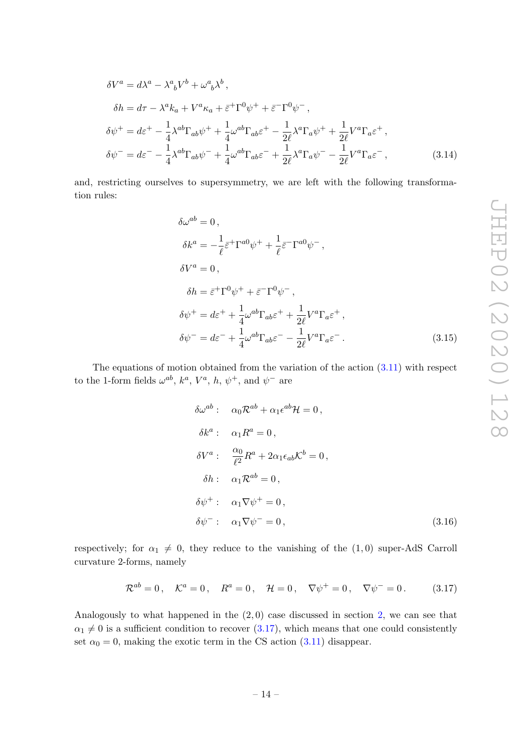$$
\delta V^{a} = d\lambda^{a} - \lambda^{a}{}_{b}V^{b} + \omega^{a}{}_{b}\lambda^{b},
$$
  
\n
$$
\delta h = d\tau - \lambda^{a}k_{a} + V^{a}\kappa_{a} + \bar{\varepsilon}^{+}\Gamma^{0}\psi^{+} + \bar{\varepsilon}^{-}\Gamma^{0}\psi^{-},
$$
  
\n
$$
\delta\psi^{+} = d\varepsilon^{+} - \frac{1}{4}\lambda^{ab}\Gamma_{ab}\psi^{+} + \frac{1}{4}\omega^{ab}\Gamma_{ab}\varepsilon^{+} - \frac{1}{2\ell}\lambda^{a}\Gamma_{a}\psi^{+} + \frac{1}{2\ell}V^{a}\Gamma_{a}\varepsilon^{+},
$$
  
\n
$$
\delta\psi^{-} = d\varepsilon^{-} - \frac{1}{4}\lambda^{ab}\Gamma_{ab}\psi^{-} + \frac{1}{4}\omega^{ab}\Gamma_{ab}\varepsilon^{-} + \frac{1}{2\ell}\lambda^{a}\Gamma_{a}\psi^{-} - \frac{1}{2\ell}V^{a}\Gamma_{a}\varepsilon^{-},
$$
\n(3.14)

and, restricting ourselves to supersymmetry, we are left with the following transformation rules:

$$
\delta\omega^{ab} = 0,
$$
  
\n
$$
\delta k^{a} = -\frac{1}{\ell} \bar{\varepsilon}^{+} \Gamma^{a0} \psi^{+} + \frac{1}{\ell} \bar{\varepsilon}^{-} \Gamma^{a0} \psi^{-},
$$
  
\n
$$
\delta V^{a} = 0,
$$
  
\n
$$
\delta h = \bar{\varepsilon}^{+} \Gamma^{0} \psi^{+} + \bar{\varepsilon}^{-} \Gamma^{0} \psi^{-},
$$
  
\n
$$
\delta \psi^{+} = d\varepsilon^{+} + \frac{1}{4} \omega^{ab} \Gamma_{ab} \varepsilon^{+} + \frac{1}{2\ell} V^{a} \Gamma_{a} \varepsilon^{+},
$$
  
\n
$$
\delta \psi^{-} = d\varepsilon^{-} + \frac{1}{4} \omega^{ab} \Gamma_{ab} \varepsilon^{-} - \frac{1}{2\ell} V^{a} \Gamma_{a} \varepsilon^{-}.
$$
\n(3.15)

The equations of motion obtained from the variation of the action (3.11) with respect to the 1-form fields  $\omega^{ab}$ ,  $k^a$ ,  $V^a$ , h,  $\psi^+$ , and  $\psi^-$  are

$$
\delta\omega^{ab} : \quad \alpha_0 \mathcal{R}^{ab} + \alpha_1 \epsilon^{ab} \mathcal{H} = 0,
$$
  
\n
$$
\delta k^a : \quad \alpha_1 R^a = 0,
$$
  
\n
$$
\delta V^a : \quad \frac{\alpha_0}{\ell^2} R^a + 2\alpha_1 \epsilon_{ab} \mathcal{K}^b = 0,
$$
  
\n
$$
\delta h : \quad \alpha_1 \mathcal{R}^{ab} = 0,
$$
  
\n
$$
\delta \psi^+ : \quad \alpha_1 \nabla \psi^+ = 0,
$$
  
\n
$$
\delta \psi^- : \quad \alpha_1 \nabla \psi^- = 0,
$$
\n(3.16)

respectively; for  $\alpha_1 \neq 0$ , they reduce to the vanishing of the (1,0) super-AdS Carroll curvature 2-forms, namely

$$
\mathcal{R}^{ab} = 0
$$
,  $\mathcal{K}^a = 0$ ,  $R^a = 0$ ,  $\mathcal{H} = 0$ ,  $\nabla \psi^+ = 0$ ,  $\nabla \psi^- = 0$ . (3.17)

Analogously to what happened in the  $(2,0)$  case discussed in section 2, we can see that  $\alpha_1 \neq 0$  is a sufficient condition to recover (3.17), which means that one could consistently set  $\alpha_0 = 0$ , making the exotic term in the CS action (3.11) disappear.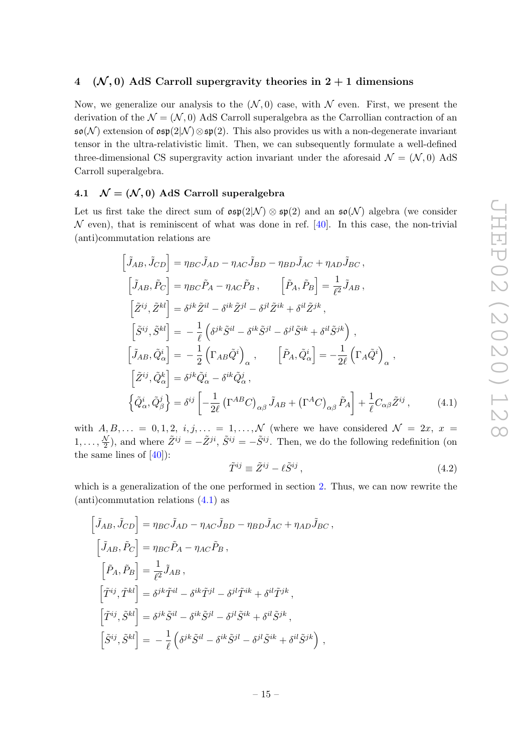## 4 ( $\mathcal{N}, 0$ ) AdS Carroll supergravity theories in 2 + 1 dimensions

Now, we generalize our analysis to the  $(\mathcal{N}, 0)$  case, with  $\mathcal N$  even. First, we present the derivation of the  $\mathcal{N} = (\mathcal{N}, 0)$  AdS Carroll superalgebra as the Carrollian contraction of an  $\mathfrak{so}(N)$  extension of  $\mathfrak{osp}(2|\mathcal{N})\otimes\mathfrak{sp}(2)$ . This also provides us with a non-degenerate invariant tensor in the ultra-relativistic limit. Then, we can subsequently formulate a well-defined three-dimensional CS supergravity action invariant under the aforesaid  $\mathcal{N} = (\mathcal{N}, 0)$  AdS Carroll superalgebra.

## 4.1  $\mathcal{N} = (\mathcal{N}, 0)$  AdS Carroll superalgebra

Let us first take the direct sum of  $\mathfrak{osp}(2|\mathcal{N}) \otimes \mathfrak{sp}(2)$  and an  $\mathfrak{so}(\mathcal{N})$  algebra (we consider  $\mathcal N$  even), that is reminiscent of what was done in ref. [40]. In this case, the non-trivial (anti)commutation relations are

$$
\begin{aligned}\n\left[\tilde{J}_{AB},\tilde{J}_{CD}\right] &= \eta_{BC}\tilde{J}_{AD} - \eta_{AC}\tilde{J}_{BD} - \eta_{BD}\tilde{J}_{AC} + \eta_{AD}\tilde{J}_{BC}\,, \\
\left[\tilde{J}_{AB},\tilde{P}_{C}\right] &= \eta_{BC}\tilde{P}_{A} - \eta_{AC}\tilde{P}_{B}\,, \qquad \left[\tilde{P}_{A},\tilde{P}_{B}\right] = \frac{1}{\ell^{2}}\tilde{J}_{AB}\,, \\
\left[\tilde{Z}^{ij},\tilde{Z}^{kl}\right] &= \delta^{jk}\tilde{Z}^{il} - \delta^{ik}\tilde{Z}^{jl} - \delta^{jl}\tilde{Z}^{ik} + \delta^{il}\tilde{Z}^{jk}\,, \\
\left[\tilde{S}^{ij},\tilde{S}^{kl}\right] &= -\frac{1}{\ell}\left(\delta^{jk}\tilde{S}^{il} - \delta^{ik}\tilde{S}^{jl} - \delta^{jl}\tilde{S}^{ik} + \delta^{il}\tilde{S}^{jk}\right)\,, \\
\left[\tilde{J}_{AB},\tilde{Q}^{i}_{\alpha}\right] &= -\frac{1}{2}\left(\Gamma_{AB}\tilde{Q}^{i}\right)_{\alpha}\,, \qquad \left[\tilde{P}_{A},\tilde{Q}^{i}_{\alpha}\right] = -\frac{1}{2\ell}\left(\Gamma_{A}\tilde{Q}^{i}\right)_{\alpha}\,, \\
\left[\tilde{Z}^{ij},\tilde{Q}^{k}_{\alpha}\right] &= \delta^{jk}\tilde{Q}^{i}_{\alpha} - \delta^{ik}\tilde{Q}^{j}_{\alpha}\,, \\
\left\{\tilde{Q}^{i}_{\alpha},\tilde{Q}^{j}_{\beta}\right\} &= \delta^{ij}\left[-\frac{1}{2\ell}\left(\Gamma^{AB}C\right)_{\alpha\beta}\tilde{J}_{AB} + \left(\Gamma^{A}C\right)_{\alpha\beta}\tilde{P}_{A}\right] + \frac{1}{\ell}C_{\alpha\beta}\tilde{Z}^{ij}\,,\n\end{aligned} \tag{4.1}
$$

with  $A, B, \ldots = 0, 1, 2, i, j, \ldots = 1, \ldots, \mathcal{N}$  (where we have considered  $\mathcal{N} = 2x, x =$  $1, \ldots, \frac{N}{2}$  $\frac{\sqrt{2}}{2}$ ), and where  $\tilde{Z}^{ij} = -\tilde{Z}^{ji}$ ,  $\tilde{S}^{ij} = -\tilde{S}^{ij}$ . Then, we do the following redefinition (on the same lines of  $[40]$ :

$$
\tilde{T}^{ij} \equiv \tilde{Z}^{ij} - \ell \tilde{S}^{ij} \,,\tag{4.2}
$$

which is a generalization of the one performed in section 2. Thus, we can now rewrite the (anti)commutation relations (4.1) as

$$
\begin{aligned}\n\left[\tilde{J}_{AB}, \tilde{J}_{CD}\right] &= \eta_{BC} \tilde{J}_{AD} - \eta_{AC} \tilde{J}_{BD} - \eta_{BD} \tilde{J}_{AC} + \eta_{AD} \tilde{J}_{BC} ,\\
\left[\tilde{J}_{AB}, \tilde{P}_C\right] &= \eta_{BC} \tilde{P}_A - \eta_{AC} \tilde{P}_B ,\\
\left[\tilde{P}_A, \tilde{P}_B\right] &= \frac{1}{\ell^2} \tilde{J}_{AB} ,\\
\left[\tilde{T}^{ij}, \tilde{T}^{kl}\right] &= \delta^{jk} \tilde{T}^{il} - \delta^{ik} \tilde{T}^{jl} - \delta^{jl} \tilde{T}^{ik} + \delta^{il} \tilde{T}^{jk} ,\\
\left[\tilde{T}^{ij}, \tilde{S}^{kl}\right] &= \delta^{jk} \tilde{S}^{il} - \delta^{ik} \tilde{S}^{jl} - \delta^{jl} \tilde{S}^{ik} + \delta^{il} \tilde{S}^{jk} ,\\
\left[\tilde{S}^{ij}, \tilde{S}^{kl}\right] &= -\frac{1}{\ell} \left(\delta^{jk} \tilde{S}^{il} - \delta^{ik} \tilde{S}^{jl} - \delta^{jl} \tilde{S}^{ik} + \delta^{il} \tilde{S}^{jk} \right) ,\n\end{aligned}
$$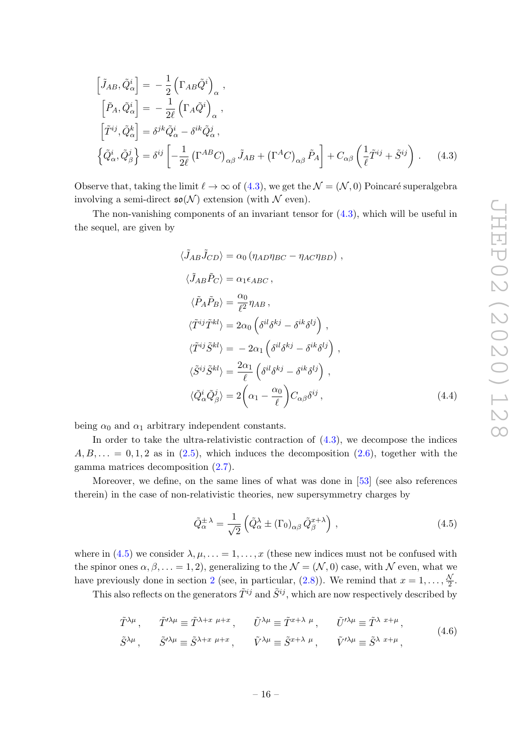$$
\begin{aligned}\n\left[\tilde{J}_{AB}, \tilde{Q}^i_{\alpha}\right] &= -\frac{1}{2} \left(\Gamma_{AB} \tilde{Q}^i\right)_{\alpha}, \\
\left[\tilde{P}_A, \tilde{Q}^i_{\alpha}\right] &= -\frac{1}{2\ell} \left(\Gamma_A \tilde{Q}^i\right)_{\alpha}, \\
\left[\tilde{T}^{ij}, \tilde{Q}^k_{\alpha}\right] &= \delta^{jk} \tilde{Q}^i_{\alpha} - \delta^{ik} \tilde{Q}^j_{\alpha}, \\
\left\{\tilde{Q}^i_{\alpha}, \tilde{Q}^j_{\beta}\right\} &= \delta^{ij} \left[-\frac{1}{2\ell} \left(\Gamma^{AB} C\right)_{\alpha\beta} \tilde{J}_{AB} + \left(\Gamma^A C\right)_{\alpha\beta} \tilde{P}_A\right] + C_{\alpha\beta} \left(\frac{1}{\ell} \tilde{T}^{ij} + \tilde{S}^{ij}\right).\n\end{aligned} \tag{4.3}
$$

Observe that, taking the limit  $\ell \to \infty$  of (4.3), we get the  $\mathcal{N} = (\mathcal{N}, 0)$  Poincaré superalgebra involving a semi-direct  $\mathfrak{so}(\mathcal{N})$  extension (with  $\mathcal N$  even).

The non-vanishing components of an invariant tensor for  $(4.3)$ , which will be useful in the sequel, are given by

$$
\langle \tilde{J}_{AB}\tilde{J}_{CD}\rangle = \alpha_0 \left(\eta_{AD}\eta_{BC} - \eta_{AC}\eta_{BD}\right),
$$
  
\n
$$
\langle \tilde{J}_{AB}\tilde{P}_{C}\rangle = \alpha_1 \epsilon_{ABC},
$$
  
\n
$$
\langle \tilde{P}_{A}\tilde{P}_{B}\rangle = \frac{\alpha_0}{\ell^2} \eta_{AB},
$$
  
\n
$$
\langle \tilde{T}^{ij}\tilde{T}^{kl}\rangle = 2\alpha_0 \left(\delta^{il}\delta^{kj} - \delta^{ik}\delta^{lj}\right),
$$
  
\n
$$
\langle \tilde{T}^{ij}\tilde{S}^{kl}\rangle = -2\alpha_1 \left(\delta^{il}\delta^{kj} - \delta^{ik}\delta^{lj}\right),
$$
  
\n
$$
\langle \tilde{S}^{ij}\tilde{S}^{kl}\rangle = \frac{2\alpha_1}{\ell} \left(\delta^{il}\delta^{kj} - \delta^{ik}\delta^{lj}\right),
$$
  
\n
$$
\langle \tilde{Q}^i_{\alpha}\tilde{Q}^j_{\beta} \rangle = 2\left(\alpha_1 - \frac{\alpha_0}{\ell}\right)C_{\alpha\beta}\delta^{ij},
$$
  
\n(4.4)

being  $\alpha_0$  and  $\alpha_1$  arbitrary independent constants.

In order to take the ultra-relativistic contraction of  $(4.3)$ , we decompose the indices  $A, B, \ldots = 0, 1, 2$  as in (2.5), which induces the decomposition (2.6), together with the gamma matrices decomposition (2.7).

Moreover, we define, on the same lines of what was done in [53] (see also references therein) in the case of non-relativistic theories, new supersymmetry charges by

$$
\tilde{Q}_{\alpha}^{\pm \lambda} = \frac{1}{\sqrt{2}} \left( \tilde{Q}_{\alpha}^{\lambda} \pm (\Gamma_0)_{\alpha \beta} \, \tilde{Q}_{\beta}^{x+\lambda} \right) , \qquad (4.5)
$$

where in (4.5) we consider  $\lambda, \mu, \ldots = 1, \ldots, x$  (these new indices must not be confused with the spinor ones  $\alpha, \beta, \ldots = 1, 2$ , generalizing to the  $\mathcal{N} = (\mathcal{N}, 0)$  case, with  $\mathcal{N}$  even, what we have previously done in section 2 (see, in particular, (2.8)). We remind that  $x = 1, \ldots, \frac{N}{2}$  $\frac{\mathcal{N}}{2}$  .

This also reflects on the generators  $\tilde{T}^{ij}$  and  $\tilde{S}^{ij}$ , which are now respectively described by

$$
\tilde{T}^{\lambda\mu}, \qquad \tilde{T}'^{\lambda\mu} \equiv \tilde{T}^{\lambda+x \mu+x}, \qquad \tilde{U}^{\lambda\mu} \equiv \tilde{T}^{x+\lambda \mu}, \qquad \tilde{U}'^{\lambda\mu} \equiv \tilde{T}^{\lambda x+\mu}, \n\tilde{S}^{\lambda\mu}, \qquad \tilde{S}'^{\lambda\mu} \equiv \tilde{S}^{\lambda+x \mu+x}, \qquad \tilde{V}^{\lambda\mu} \equiv \tilde{S}^{x+\lambda \mu}, \qquad \tilde{V}'^{\lambda\mu} \equiv \tilde{S}^{\lambda x+\mu},
$$
\n(4.6)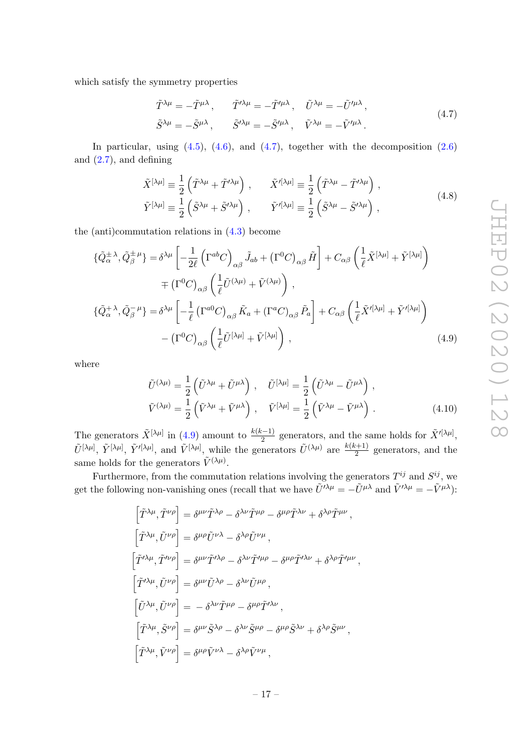which satisfy the symmetry properties

$$
\tilde{T}^{\lambda\mu} = -\tilde{T}^{\mu\lambda}, \qquad \tilde{T}'^{\lambda\mu} = -\tilde{T}'^{\mu\lambda}, \qquad \tilde{U}^{\lambda\mu} = -\tilde{U}'^{\mu\lambda}, \n\tilde{S}^{\lambda\mu} = -\tilde{S}^{\mu\lambda}, \qquad \tilde{S}'^{\lambda\mu} = -\tilde{S}'^{\mu\lambda}, \qquad \tilde{V}^{\lambda\mu} = -\tilde{V}'^{\mu\lambda}.
$$
\n(4.7)

In particular, using  $(4.5)$ ,  $(4.6)$ , and  $(4.7)$ , together with the decomposition  $(2.6)$ and  $(2.7)$ , and defining

$$
\tilde{X}^{[\lambda\mu]} \equiv \frac{1}{2} \left( \tilde{T}^{\lambda\mu} + \tilde{T}^{\prime\lambda\mu} \right) , \qquad \tilde{X}^{\prime[\lambda\mu]} \equiv \frac{1}{2} \left( \tilde{T}^{\lambda\mu} - \tilde{T}^{\prime\lambda\mu} \right) ,
$$
\n
$$
\tilde{Y}^{[\lambda\mu]} \equiv \frac{1}{2} \left( \tilde{S}^{\lambda\mu} + \tilde{S}^{\prime\lambda\mu} \right) , \qquad \tilde{Y}^{\prime[\lambda\mu]} \equiv \frac{1}{2} \left( \tilde{S}^{\lambda\mu} - \tilde{S}^{\prime\lambda\mu} \right) ,
$$
\n(4.8)

the (anti)commutation relations in (4.3) become

$$
\{\tilde{Q}_{\alpha}^{\pm\lambda}, \tilde{Q}_{\beta}^{\pm\mu}\} = \delta^{\lambda\mu} \left[ -\frac{1}{2\ell} \left( \Gamma^{ab} C \right)_{\alpha\beta} \tilde{J}_{ab} + \left( \Gamma^{0} C \right)_{\alpha\beta} \tilde{H} \right] + C_{\alpha\beta} \left( \frac{1}{\ell} \tilde{X}^{[\lambda\mu]} + \tilde{Y}^{[\lambda\mu]} \right) \n= \left( \Gamma^{0} C \right)_{\alpha\beta} \left( \frac{1}{\ell} \tilde{U}^{(\lambda\mu)} + \tilde{V}^{(\lambda\mu)} \right) , \n\{\tilde{Q}_{\alpha}^{+\lambda}, \tilde{Q}_{\beta}^{-\mu}\} = \delta^{\lambda\mu} \left[ -\frac{1}{\ell} \left( \Gamma^{a0} C \right)_{\alpha\beta} \tilde{K}_{a} + \left( \Gamma^{a} C \right)_{\alpha\beta} \tilde{P}_{a} \right] + C_{\alpha\beta} \left( \frac{1}{\ell} \tilde{X}'^{[\lambda\mu]} + \tilde{Y}'^{[\lambda\mu]} \right) \n- \left( \Gamma^{0} C \right)_{\alpha\beta} \left( \frac{1}{\ell} \tilde{U}^{[\lambda\mu]} + \tilde{V}^{[\lambda\mu]} \right) ,
$$
\n(4.9)

where

$$
\tilde{U}^{(\lambda\mu)} = \frac{1}{2} \left( \tilde{U}^{\lambda\mu} + \tilde{U}^{\mu\lambda} \right) , \quad \tilde{U}^{[\lambda\mu]} = \frac{1}{2} \left( \tilde{U}^{\lambda\mu} - \tilde{U}^{\mu\lambda} \right) ,
$$
\n
$$
\tilde{V}^{(\lambda\mu)} = \frac{1}{2} \left( \tilde{V}^{\lambda\mu} + \tilde{V}^{\mu\lambda} \right) , \quad \tilde{V}^{[\lambda\mu]} = \frac{1}{2} \left( \tilde{V}^{\lambda\mu} - \tilde{V}^{\mu\lambda} \right) .
$$
\n(4.10)

The generators  $\tilde{X}^{[\lambda\mu]}$  in (4.9) amount to  $\frac{k(k-1)}{2}$  generators, and the same holds for  $\tilde{X}'^{[\lambda\mu]}$ ,  $\tilde{U}^{[\lambda\mu]}$ ,  $\tilde{Y}^{[\lambda\mu]}$ ,  $\tilde{Y}^{\prime[\lambda\mu]}$ , and  $\tilde{V}^{[\lambda\mu]}$ , while the generators  $\tilde{U}^{(\lambda\mu)}$  are  $\frac{k(k+1)}{2}$  $\frac{z+1}{2}$  generators, and the same holds for the generators  $\tilde{V}^{(\lambda\mu)}$ .

Furthermore, from the commutation relations involving the generators  $T^{ij}$  and  $S^{ij}$ , we get the following non-vanishing ones (recall that we have  $\tilde{U}^{\prime\lambda\mu} = -\tilde{U}^{\mu\lambda}$  and  $\tilde{V}^{\prime\lambda\mu} = -\tilde{V}^{\mu\lambda}$ ):

$$
\begin{split}\n\left[\tilde{T}^{\lambda\mu},\tilde{T}^{\nu\rho}\right] &= \delta^{\mu\nu}\tilde{T}^{\lambda\rho} - \delta^{\lambda\nu}\tilde{T}^{\mu\rho} - \delta^{\mu\rho}\tilde{T}^{\lambda\nu} + \delta^{\lambda\rho}\tilde{T}^{\mu\nu}\,,\\
\left[\tilde{T}^{\lambda\mu},\tilde{U}^{\nu\rho}\right] &= \delta^{\mu\rho}\tilde{U}^{\nu\lambda} - \delta^{\lambda\rho}\tilde{U}^{\nu\mu}\,,\\
\left[\tilde{T}^{\prime\lambda\mu},\tilde{T}^{\prime\nu\rho}\right] &= \delta^{\mu\nu}\tilde{T}^{\prime\lambda\rho} - \delta^{\lambda\nu}\tilde{T}^{\prime\mu\rho} - \delta^{\mu\rho}\tilde{T}^{\prime\lambda\nu} + \delta^{\lambda\rho}\tilde{T}^{\prime\mu\nu}\,,\\
\left[\tilde{T}^{\prime\lambda\mu},\tilde{U}^{\nu\rho}\right] &= \delta^{\mu\nu}\tilde{U}^{\lambda\rho} - \delta^{\lambda\nu}\tilde{U}^{\mu\rho}\,,\\
\left[\tilde{U}^{\lambda\mu},\tilde{U}^{\nu\rho}\right] &= -\delta^{\lambda\nu}\tilde{T}^{\mu\rho} - \delta^{\mu\rho}\tilde{T}^{\prime\lambda\nu}\,,\\
\left[\tilde{T}^{\lambda\mu},\tilde{S}^{\nu\rho}\right] &= \delta^{\mu\nu}\tilde{S}^{\lambda\rho} - \delta^{\lambda\nu}\tilde{S}^{\mu\rho} - \delta^{\mu\rho}\tilde{S}^{\lambda\nu} + \delta^{\lambda\rho}\tilde{S}^{\mu\nu}\,,\\
\left[\tilde{T}^{\lambda\mu},\tilde{V}^{\nu\rho}\right] &= \delta^{\mu\rho}\tilde{V}^{\nu\lambda} - \delta^{\lambda\rho}\tilde{V}^{\nu\mu}\,, \end{split}
$$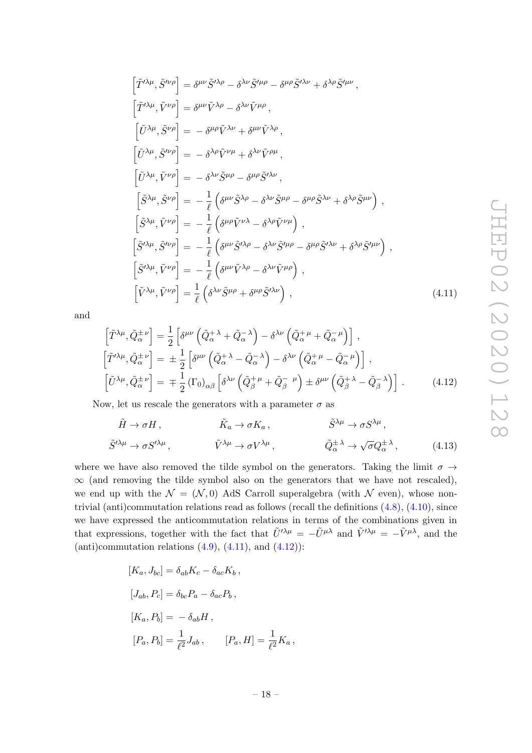$$
\begin{split}\n\left[\tilde{T}^{\prime\lambda\mu},\tilde{S}^{\prime\nu\rho}\right] &= \delta^{\mu\nu}\tilde{S}^{\prime\lambda\rho} - \delta^{\lambda\nu}\tilde{S}^{\prime\mu\rho} - \delta^{\mu\rho}\tilde{S}^{\prime\lambda\nu} + \delta^{\lambda\rho}\tilde{S}^{\prime\mu\nu}\,, \\
\left[\tilde{T}^{\prime\lambda\mu},\tilde{V}^{\nu\rho}\right] &= \delta^{\mu\nu}\tilde{V}^{\lambda\rho} - \delta^{\lambda\nu}\tilde{V}^{\mu\rho}\,, \\
\left[\tilde{U}^{\lambda\mu},\tilde{S}^{\nu\rho}\right] &= -\delta^{\mu\rho}\tilde{V}^{\lambda\nu} + \delta^{\mu\nu}\tilde{V}^{\lambda\rho}\,, \\
\left[\tilde{U}^{\lambda\mu},\tilde{S}^{\nu\rho}\right] &= -\delta^{\lambda\rho}\tilde{V}^{\nu\mu} + \delta^{\lambda\nu}\tilde{V}^{\rho\mu}\,, \\
\left[\tilde{S}^{\lambda\mu},\tilde{V}^{\nu\rho}\right] &= -\frac{1}{\ell}\left(\delta^{\mu\nu}\tilde{S}^{\lambda\rho} - \delta^{\lambda\nu}\tilde{S}^{\mu\rho} - \delta^{\mu\rho}\tilde{S}^{\lambda\nu} + \delta^{\lambda\rho}\tilde{S}^{\mu\nu}\right)\,, \\
\left[\tilde{S}^{\lambda\mu},\tilde{V}^{\nu\rho}\right] &= -\frac{1}{\ell}\left(\delta^{\mu\rho}\tilde{V}^{\nu\lambda} - \delta^{\lambda\rho}\tilde{V}^{\nu\mu}\right)\,, \\
\left[\tilde{S}^{\prime\lambda\mu},\tilde{S}^{\prime\nu\rho}\right] &= -\frac{1}{\ell}\left(\delta^{\mu\nu}\tilde{S}^{\prime\lambda\rho} - \delta^{\lambda\nu}\tilde{S}^{\prime\mu\rho} - \delta^{\mu\rho}\tilde{S}^{\prime\lambda\nu} + \delta^{\lambda\rho}\tilde{S}^{\prime\mu\nu}\right)\,, \\
\left[\tilde{S}^{\prime\lambda\mu},\tilde{V}^{\nu\rho}\right] &= -\frac{1}{\ell}\left(\delta^{\mu\nu}\tilde{V}^{\lambda\r
$$

and

$$
\begin{aligned}\n\left[\tilde{T}^{\lambda\mu}, \tilde{Q}_{\alpha}^{\pm\nu}\right] &= \frac{1}{2} \left[\delta^{\mu\nu} \left(\tilde{Q}_{\alpha}^{+\lambda} + \tilde{Q}_{\alpha}^{-\lambda}\right) - \delta^{\lambda\nu} \left(\tilde{Q}_{\alpha}^{+\mu} + \tilde{Q}_{\alpha}^{-\mu}\right)\right], \\
\left[\tilde{T}^{\lambda\mu}, \tilde{Q}_{\alpha}^{\pm\nu}\right] &= \pm \frac{1}{2} \left[\delta^{\mu\nu} \left(\tilde{Q}_{\alpha}^{+\lambda} - \tilde{Q}_{\alpha}^{-\lambda}\right) - \delta^{\lambda\nu} \left(\tilde{Q}_{\alpha}^{+\mu} - \tilde{Q}_{\alpha}^{-\mu}\right)\right], \\
\left[\tilde{U}^{\lambda\mu}, \tilde{Q}_{\alpha}^{\pm\nu}\right] &= \mp \frac{1}{2} \left(\Gamma_0\right)_{\alpha\beta} \left[\delta^{\lambda\nu} \left(\tilde{Q}_{\beta}^{+\mu} + \tilde{Q}_{\beta}^{-\mu}\right) \pm \delta^{\mu\nu} \left(\tilde{Q}_{\beta}^{+\lambda} - \tilde{Q}_{\beta}^{-\lambda}\right)\right].\n\end{aligned} \tag{4.12}
$$

Now, let us rescale the generators with a parameter  $\sigma$  as

$$
\tilde{H} \to \sigma H, \qquad \tilde{K}_a \to \sigma K_a, \qquad \tilde{S}^{\lambda \mu} \to \sigma S^{\lambda \mu}, \n\tilde{S}^{\prime \lambda \mu} \to \sigma S^{\prime \lambda \mu}, \qquad \tilde{V}^{\lambda \mu} \to \sigma V^{\lambda \mu}, \qquad \tilde{Q}^{\pm \lambda}_{\alpha} \to \sqrt{\sigma} Q^{\pm \lambda}_{\alpha}, \qquad (4.13)
$$

where we have also removed the tilde symbol on the generators. Taking the limit  $\sigma \rightarrow$  $\infty$  (and removing the tilde symbol also on the generators that we have not rescaled), we end up with the  $\mathcal{N} = (\mathcal{N}, 0)$  AdS Carroll superalgebra (with  $\mathcal{N}$  even), whose nontrivial (anti)commutation relations read as follows (recall the definitions (4.8), (4.10), since we have expressed the anticommutation relations in terms of the combinations given in that expressions, together with the fact that  $\tilde{U}^{\prime\lambda\mu} = -\tilde{U}^{\mu\lambda}$  and  $\tilde{V}^{\prime\lambda\mu} = -\tilde{V}^{\mu\lambda}$ , and the (anti)commutation relations  $(4.9)$ ,  $(4.11)$ , and  $(4.12)$ ):

$$
[K_a, J_{bc}] = \delta_{ab} K_c - \delta_{ac} K_b,
$$
  
\n
$$
[J_{ab}, P_c] = \delta_{bc} P_a - \delta_{ac} P_b,
$$
  
\n
$$
[K_a, P_b] = -\delta_{ab} H,
$$
  
\n
$$
[P_a, P_b] = \frac{1}{\ell^2} J_{ab}, \qquad [P_a, H] = \frac{1}{\ell^2} K_a,
$$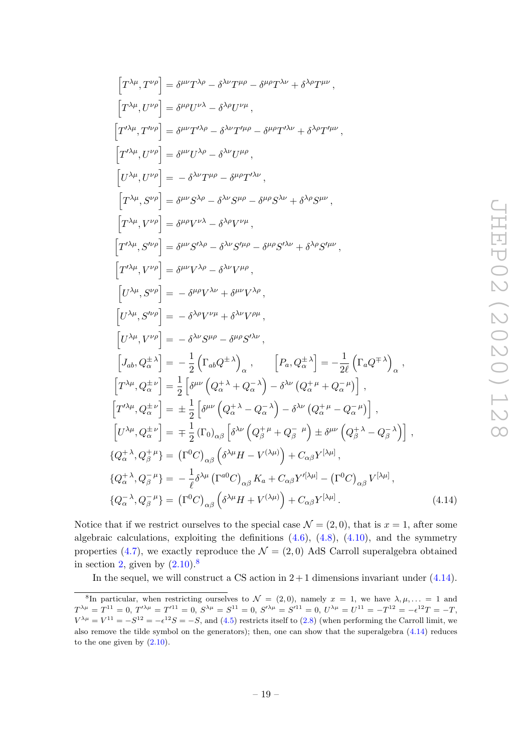$(4.14)$ 

$$
\begin{split}\n\left[T^{\lambda\mu},T^{\nu\rho}\right] &= \delta^{\mu\nu}T^{\lambda\rho} - \delta^{\lambda\nu}T^{\mu\rho} - \delta^{\mu\rho}T^{\lambda\nu} + \delta^{\lambda\rho}T^{\mu\nu}\,, \\
\left[T^{\lambda\mu},U^{\nu\rho}\right] &= \delta^{\mu\rho}U^{\nu\lambda} - \delta^{\lambda\rho}U^{\nu\mu}\,, \\
\left[T^{\lambda\mu},U^{\nu\rho}\right] &= \delta^{\mu\nu}T^{\nu\lambda\rho} - \delta^{\lambda\nu}T^{\mu\rho} - \delta^{\mu\rho}T^{\nu\lambda\nu} + \delta^{\lambda\rho}T^{\mu\nu}\,, \\
\left[T^{\lambda\mu},U^{\nu\rho}\right] &= \delta^{\mu\nu}U^{\lambda\rho} - \delta^{\lambda\nu}U^{\mu\rho}\,, \\
\left[T^{\lambda\mu},V^{\nu\rho}\right] &= \delta^{\mu\nu}S^{\lambda\rho} - \delta^{\lambda\nu}S^{\mu\rho} - \delta^{\mu\rho}S^{\lambda\nu} + \delta^{\lambda\rho}S^{\mu\nu}\,, \\
\left[T^{\lambda\mu},S^{\nu\rho}\right] &= \delta^{\mu\nu}S^{\lambda\rho} - \delta^{\lambda\rho}V^{\nu\mu}\,, \\
\left[T^{\nu\lambda\mu},S^{\nu\rho}\right] &= \delta^{\mu\nu}S^{\nu\lambda\rho} - \delta^{\lambda\nu}S^{\mu\rho} - \delta^{\mu\rho}S^{\nu\lambda\nu} + \delta^{\lambda\rho}S^{\mu\nu}\,, \\
\left[T^{\nu\lambda\mu},S^{\nu\rho}\right] &= \delta^{\mu\nu}V^{\lambda\rho} - \delta^{\lambda\nu}V^{\mu\rho}\,, \\
\left[U^{\lambda\mu},S^{\nu\rho}\right] &= -\delta^{\mu\rho}V^{\lambda\nu} + \delta^{\mu\nu}V^{\lambda\rho}\,, \\
\left[U^{\lambda\mu},S^{\nu\rho}\right] &= -\delta^{\lambda\rho}V^{\nu\mu} + \delta^{\lambda\nu}V^{\rho\mu}\,, \\
\left[U^{\lambda\mu},S^{\nu\rho}\right] &= -\delta^{\lambda\rho}V^{\nu\mu} + \delta^{\lambda\nu}V^{\rho\mu}\,, \\
\left[U^{\lambda
$$

Notice that if we restrict ourselves to the special case  $\mathcal{N} = (2,0)$ , that is  $x = 1$ , after some algebraic calculations, exploiting the definitions  $(4.6)$ ,  $(4.8)$ ,  $(4.10)$ , and the symmetry properties (4.7), we exactly reproduce the  $\mathcal{N} = (2,0)$  AdS Carroll superalgebra obtained in section 2, given by  $(2.10)^8$ 

In the sequel, we will construct a CS action in  $2+1$  dimensions invariant under  $(4.14)$ .

<sup>&</sup>lt;sup>8</sup>In particular, when restricting ourselves to  $\mathcal{N} = (2,0)$ , namely  $x = 1$ , we have  $\lambda, \mu, \ldots = 1$  and  $T^{\lambda\mu}=T^{11}=0,\ T^{\prime\lambda\mu}=T^{\prime 11}=0,\ S^{\lambda\mu}=S^{11}=0,\ S^{\prime\lambda\mu}=S^{\prime 11}=0,\ U^{\lambda\mu}=U^{11}=-T^{12}=-\epsilon^{12}T=-T,$  $V^{\lambda\mu} = V^{11} = -S^{12} = -\epsilon^{12}S = -S$ , and (4.5) restricts itself to (2.8) (when performing the Carroll limit, we also remove the tilde symbol on the generators); then, one can show that the superalgebra  $(4.14)$  reduces to the one given by  $(2.10)$ .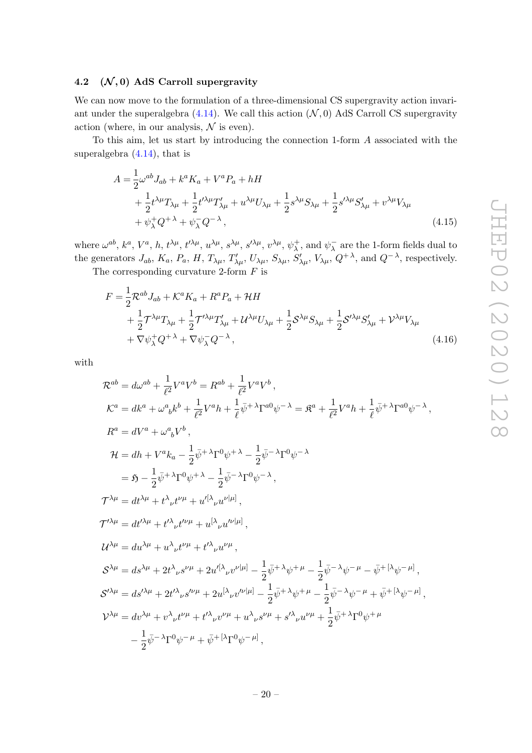#### 4.2  $(\mathcal{N}, 0)$  AdS Carroll supergravity

We can now move to the formulation of a three-dimensional CS supergravity action invariant under the superalgebra  $(4.14)$ . We call this action  $(\mathcal{N}, 0)$  AdS Carroll CS supergravity action (where, in our analysis,  $\mathcal N$  is even).

To this aim, let us start by introducing the connection 1-form A associated with the superalgebra (4.14), that is

$$
A = \frac{1}{2}\omega^{ab}J_{ab} + k^a K_a + V^a P_a + hH
$$
  
+ 
$$
\frac{1}{2}t^{\lambda\mu}T_{\lambda\mu} + \frac{1}{2}t^{\prime\lambda\mu}T'_{\lambda\mu} + u^{\lambda\mu}U_{\lambda\mu} + \frac{1}{2}s^{\lambda\mu}S_{\lambda\mu} + \frac{1}{2}s^{\prime\lambda\mu}S'_{\lambda\mu} + v^{\lambda\mu}V_{\lambda\mu}
$$
  
+ 
$$
\psi_{\lambda}^+Q^{+\lambda} + \psi_{\lambda}^-Q^{-\lambda},
$$
 (4.15)

where  $\omega^{ab}$ ,  $k^a$ ,  $V^a$ , h,  $t^{\lambda\mu}$ ,  $t'^{\lambda\mu}$ ,  $u^{\lambda\mu}$ ,  $s^{\lambda\mu}$ ,  $s'^{\lambda\mu}$ ,  $v^{\lambda\mu}$ ,  $\psi^+$  $\psi_{\lambda}^{+}$ , and  $\psi_{\lambda}^{-}$  $\overline{\lambda}$  are the 1-form fields dual to the generators  $J_{ab}$ ,  $K_a$ ,  $P_a$ ,  $H$ ,  $T_{\lambda\mu}$ ,  $T'_{\lambda\mu}$ ,  $U_{\lambda\mu}$ ,  $S'_{\lambda\mu}$ ,  $V_{\lambda\mu}$ ,  $Q^{+\lambda}$ , and  $Q^{-\lambda}$ , respectively.

The corresponding curvature 2-form  $F$  is

$$
F = \frac{1}{2} \mathcal{R}^{ab} J_{ab} + \mathcal{K}^a K_a + R^a P_a + \mathcal{H}H
$$
  
+  $\frac{1}{2} \mathcal{T}^{\lambda \mu} T_{\lambda \mu} + \frac{1}{2} \mathcal{T}^{\prime \lambda \mu} T'_{\lambda \mu} + \mathcal{U}^{\lambda \mu} U_{\lambda \mu} + \frac{1}{2} \mathcal{S}^{\lambda \mu} S_{\lambda \mu} + \frac{1}{2} \mathcal{S}^{\prime \lambda \mu} S'_{\lambda \mu} + \mathcal{V}^{\lambda \mu} V_{\lambda \mu} + \nabla \psi_{\lambda}^+ Q^{+\lambda} + \nabla \psi_{\lambda}^- Q^{-\lambda},$ \n(4.16)

with

$$
\mathcal{R}^{ab} = d\omega^{ab} + \frac{1}{\ell^2} V^a V^b = R^{ab} + \frac{1}{\ell^2} V^a V^b,
$$
  
\n
$$
\mathcal{K}^a = dk^a + \omega^a{}_b k^b + \frac{1}{\ell^2} V^a h + \frac{1}{\ell} \bar{\psi}^{+ \lambda} \Gamma^{a0} \psi^{-\lambda} = \mathfrak{K}^a + \frac{1}{\ell^2} V^a h + \frac{1}{\ell} \bar{\psi}^{+ \lambda} \Gamma^{a0} \psi^{-\lambda},
$$
  
\n
$$
R^a = dV^a + \omega^a{}_b V^b,
$$
  
\n
$$
\mathcal{H} = dh + V^a k_a - \frac{1}{2} \bar{\psi}^{+ \lambda} \Gamma^0 \psi^{+ \lambda} - \frac{1}{2} \bar{\psi}^{- \lambda} \Gamma^0 \psi^{-\lambda}
$$
  
\n
$$
= \mathfrak{H} - \frac{1}{2} \bar{\psi}^{+ \lambda} \Gamma^0 \psi^{+ \lambda} - \frac{1}{2} \bar{\psi}^{- \lambda} \Gamma^0 \psi^{-\lambda},
$$
  
\n
$$
\mathcal{T}^{\lambda \mu} = dt^{\lambda \mu} + t^{\lambda}{}_{\nu} t^{\nu \mu} + u^{[\lambda}{}_{\nu} u^{\nu] \mu}],
$$
  
\n
$$
\mathcal{T}^{\lambda \mu} = du^{\lambda \mu} + t^{\lambda}{}_{\nu} t^{\nu \mu} + t^{\mu}{}_{\nu} u^{\nu \mu},
$$
  
\n
$$
\mathcal{S}^{\lambda \mu} = du^{\lambda \mu} + u^{\lambda}{}_{\nu} t^{\nu \mu} + t^{\mu}{}_{\nu} u^{\nu \mu},
$$
  
\n
$$
\mathcal{S}^{\lambda \mu} = ds^{\lambda \mu} + 2t^{\lambda}{}_{\nu} s^{\nu \mu} + 2u^{[\lambda}{}_{\nu} v^{\nu] \mu]} - \frac{1}{2} \bar{\psi}^{+ \lambda} \psi^{+ \mu} - \frac{1}{2} \bar{\psi}^{- \lambda} \psi^{- \mu} - \bar{\psi}^{+ [\lambda} \psi^{- \mu]},
$$
  
\n
$$
\mathcal{S}^{\lambda \mu} = ds^{\lambda \mu} + 2t^{\lambda}{}_{\nu} s^{\
$$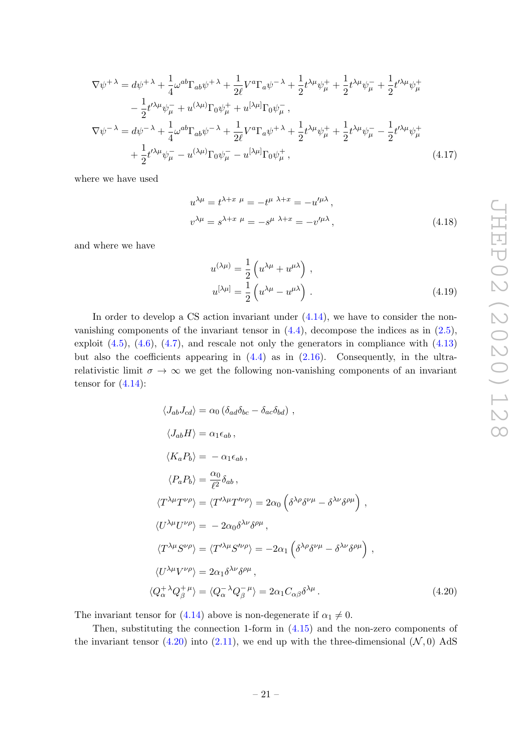$$
\nabla \psi^{+ \lambda} = d\psi^{+ \lambda} + \frac{1}{4} \omega^{ab} \Gamma_{ab} \psi^{+ \lambda} + \frac{1}{2\ell} V^{a} \Gamma_{a} \psi^{- \lambda} + \frac{1}{2} t^{\lambda \mu} \psi_{\mu}^{+} + \frac{1}{2} t^{\lambda \mu} \psi_{\mu}^{-} + \frac{1}{2} t^{\prime \lambda \mu} \psi_{\mu}^{+} \n- \frac{1}{2} t^{\prime \lambda \mu} \psi_{\mu}^{-} + u^{(\lambda \mu)} \Gamma_{0} \psi_{\mu}^{+} + u^{[\lambda \mu]} \Gamma_{0} \psi_{\mu}^{-} , \n\nabla \psi^{- \lambda} = d\psi^{- \lambda} + \frac{1}{4} \omega^{ab} \Gamma_{ab} \psi^{- \lambda} + \frac{1}{2\ell} V^{a} \Gamma_{a} \psi^{+ \lambda} + \frac{1}{2} t^{\lambda \mu} \psi_{\mu}^{+} + \frac{1}{2} t^{\lambda \mu} \psi_{\mu}^{-} - \frac{1}{2} t^{\prime \lambda \mu} \psi_{\mu}^{+} \n+ \frac{1}{2} t^{\prime \lambda \mu} \psi_{\mu}^{-} - u^{(\lambda \mu)} \Gamma_{0} \psi_{\mu}^{-} - u^{[\lambda \mu]} \Gamma_{0} \psi_{\mu}^{+} ,
$$
\n(4.17)

where we have used

$$
u^{\lambda \mu} = t^{\lambda + x \mu} = -t^{\mu \lambda + x} = -u^{\prime \mu \lambda},
$$
  
\n
$$
v^{\lambda \mu} = s^{\lambda + x \mu} = -s^{\mu \lambda + x} = -v^{\prime \mu \lambda},
$$
\n(4.18)

and where we have

$$
u^{(\lambda\mu)} = \frac{1}{2} \left( u^{\lambda\mu} + u^{\mu\lambda} \right) ,
$$
  

$$
u^{[\lambda\mu]} = \frac{1}{2} \left( u^{\lambda\mu} - u^{\mu\lambda} \right) .
$$
 (4.19)

In order to develop a CS action invariant under  $(4.14)$ , we have to consider the nonvanishing components of the invariant tensor in  $(4.4)$ , decompose the indices as in  $(2.5)$ , exploit  $(4.5)$ ,  $(4.6)$ ,  $(4.7)$ , and rescale not only the generators in compliance with  $(4.13)$ but also the coefficients appearing in  $(4.4)$  as in  $(2.16)$ . Consequently, in the ultrarelativistic limit  $\sigma \to \infty$  we get the following non-vanishing components of an invariant tensor for  $(4.14)$ :

$$
\langle J_{ab}J_{cd} \rangle = \alpha_0 \left( \delta_{ad} \delta_{bc} - \delta_{ac} \delta_{bd} \right) ,
$$
  
\n
$$
\langle J_{ab}H \rangle = \alpha_1 \epsilon_{ab} ,
$$
  
\n
$$
\langle K_a P_b \rangle = -\alpha_1 \epsilon_{ab} ,
$$
  
\n
$$
\langle P_a P_b \rangle = \frac{\alpha_0}{\ell^2} \delta_{ab} ,
$$
  
\n
$$
\langle T^{\lambda \mu} T^{\nu \rho} \rangle = \langle T^{\prime \lambda \mu} T^{\prime \nu \rho} \rangle = 2\alpha_0 \left( \delta^{\lambda \rho} \delta^{\nu \mu} - \delta^{\lambda \nu} \delta^{\rho \mu} \right) ,
$$
  
\n
$$
\langle U^{\lambda \mu} U^{\nu \rho} \rangle = -2\alpha_0 \delta^{\lambda \nu} \delta^{\rho \mu} ,
$$
  
\n
$$
\langle T^{\lambda \mu} S^{\nu \rho} \rangle = \langle T^{\prime \lambda \mu} S^{\prime \nu \rho} \rangle = -2\alpha_1 \left( \delta^{\lambda \rho} \delta^{\nu \mu} - \delta^{\lambda \nu} \delta^{\rho \mu} \right) ,
$$
  
\n
$$
\langle U^{\lambda \mu} V^{\nu \rho} \rangle = 2\alpha_1 \delta^{\lambda \nu} \delta^{\rho \mu} ,
$$
  
\n
$$
\langle Q_{\alpha}^{+ \lambda} Q_{\beta}^{+ \mu} \rangle = \langle Q_{\alpha}^{- \lambda} Q_{\beta}^{- \mu} \rangle = 2\alpha_1 C_{\alpha \beta} \delta^{\lambda \mu} .
$$
  
\n(4.20)

The invariant tensor for (4.14) above is non-degenerate if  $\alpha_1 \neq 0$ .

Then, substituting the connection 1-form in (4.15) and the non-zero components of the invariant tensor (4.20) into (2.11), we end up with the three-dimensional  $(\mathcal{N}, 0)$  AdS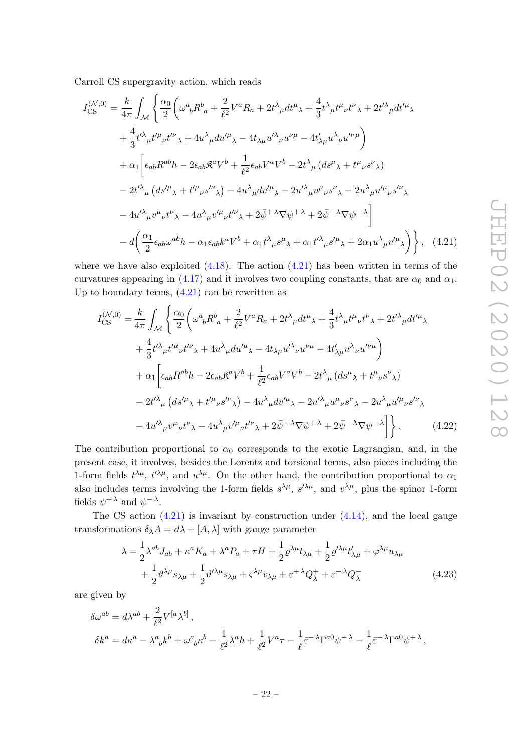Carroll CS supergravity action, which reads

$$
I_{\text{CS}}^{(\mathcal{N},0)} = \frac{k}{4\pi} \int_{\mathcal{M}} \left\{ \frac{\alpha_0}{2} \left( \omega^a{}_b R^b{}_a + \frac{2}{\ell^2} V^a R_a + 2t^\lambda{}_\mu dt^\mu{}_\lambda + \frac{4}{3} t^\lambda{}_\mu t^\mu{}_\nu t^\nu{}_\lambda + 2t'^\lambda{}_\mu dt'^\mu{}_\lambda \right. \\ \left. + \frac{4}{3} t'^\lambda{}_\mu t'^\mu{}_\nu t'^\nu{}_\lambda + 4u^\lambda{}_\mu du'^\mu{}_\lambda - 4t_{\lambda\mu} u'^\lambda{}_\nu u^{\nu\mu} - 4t'_{\lambda\mu} u^\lambda{}_\nu u'^\nu{}^\mu \right) \\ \left. + \alpha_1 \left[ \epsilon_{ab} R^{ab} h - 2\epsilon_{ab} \mathfrak{K}^a V^b + \frac{1}{\ell^2} \epsilon_{ab} V^a V^b - 2t^\lambda{}_\mu (ds^\mu{}_\lambda + t^\mu{}_\nu s^\nu{}_\lambda) \right. \right. \\ \left. - 2t'^\lambda{}_\mu (ds'^\mu{}_\lambda + t'^\mu{}_\nu s'^\nu{}_\lambda) - 4u^\lambda{}_\mu dv'^\mu{}_\lambda - 2u'^\lambda{}_\mu u^\mu{}_\nu s^\nu{}_\lambda - 2u^\lambda{}_\mu u'^\mu{}_\nu s'^\nu{}_\lambda \right. \\ \left. - 4u'^\lambda{}_\mu v^\mu{}_\nu t^\nu{}_\lambda - 4u^\lambda{}_\mu v'^\mu{}_\nu t'^\nu{}_\lambda + 2\bar{\psi}^{+\lambda} \nabla \psi^{+\lambda} + 2\bar{\psi}^{-\lambda} \nabla \psi^{-\lambda} \right] \\ \left. - d \left( \frac{\alpha_1}{2} \epsilon_{ab} \omega^{ab} h - \alpha_1 \epsilon_{ab} k^a V^b + \alpha_1 t^\lambda{}_\mu s^\mu{}_\lambda + \alpha_1 t^\lambda{}_\mu s'^\mu{}_\lambda + 2\alpha_1 u^\lambda{}_\mu v'^\mu{}_\lambda \right) \right\}, \quad (4.21)
$$

where we have also exploited  $(4.18)$ . The action  $(4.21)$  has been written in terms of the curvatures appearing in (4.17) and it involves two coupling constants, that are  $\alpha_0$  and  $\alpha_1$ . Up to boundary terms,  $(4.21)$  can be rewritten as

$$
I_{\text{CS}}^{(\mathcal{N},0)} = \frac{k}{4\pi} \int_{\mathcal{M}} \left\{ \frac{\alpha_0}{2} \left( \omega^a{}_b R^b{}_a + \frac{2}{\ell^2} V^a R_a + 2t^\lambda{}_\mu dt^\mu{}_\lambda + \frac{4}{3} t^\lambda{}_\mu t^\mu{}_\nu t^\nu{}_\lambda + 2t'^\lambda{}_\mu dt'^\mu{}_\lambda \right. \\ \left. + \frac{4}{3} t'^\lambda{}_\mu t'^\mu{}_\nu t'^\nu{}_\lambda + 4u^\lambda{}_\mu du'^\mu{}_\lambda - 4t_{\lambda\mu} u'^\lambda{}_\nu u^{\nu\mu} - 4t'_{\lambda\mu} u^\lambda{}_\nu u'^\mu{}_\mu \right) \\ \left. + \alpha_1 \left[ \epsilon_{ab} R^{ab} h - 2\epsilon_{ab} \mathfrak{K}^a V^b + \frac{1}{\ell^2} \epsilon_{ab} V^a V^b - 2t^\lambda{}_\mu (ds^\mu{}_\lambda + t^\mu{}_\nu s^\nu{}_\lambda) \right. \right. \\ \left. - 2t'^\lambda{}_\mu (ds'^\mu{}_\lambda + t'^\mu{}_\nu s'^\nu{}_\lambda) - 4u^\lambda{}_\mu dv'^\mu{}_\lambda - 2u'^\lambda{}_\mu u^\mu{}_\nu s^\nu{}_\lambda - 2u^\lambda{}_\mu u'^\mu{}_\nu s'^\nu{}_\lambda \right. \\ \left. - 4u'^\lambda{}_\mu v^\mu{}_\nu t^\nu{}_\lambda - 4u^\lambda{}_\mu v'^\mu{}_\nu t'^\nu{}_\lambda + 2\bar{\psi}^{+\lambda} \nabla \psi^{+\lambda} + 2\bar{\psi}^{-\lambda} \nabla \psi^{-\lambda} \right] \right\} . \tag{4.22}
$$

The contribution proportional to  $\alpha_0$  corresponds to the exotic Lagrangian, and, in the present case, it involves, besides the Lorentz and torsional terms, also pieces including the 1-form fields  $t^{\lambda\mu}$ ,  $t^{\prime\lambda\mu}$ , and  $u^{\lambda\mu}$ . On the other hand, the contribution proportional to  $\alpha_1$ also includes terms involving the 1-form fields  $s^{\lambda\mu}$ ,  $s'^{\lambda\mu}$ , and  $v^{\lambda\mu}$ , plus the spinor 1-form fields  $\psi^{+\lambda}$  and  $\psi^{-\lambda}$ .

The CS action  $(4.21)$  is invariant by construction under  $(4.14)$ , and the local gauge transformations  $\delta_{\lambda}A = d\lambda + [A, \lambda]$  with gauge parameter

$$
\lambda = \frac{1}{2} \lambda^{ab} J_{ab} + \kappa^a K_a + \lambda^a P_a + \tau H + \frac{1}{2} \varrho^{\lambda \mu} t_{\lambda \mu} + \frac{1}{2} \varrho^{\prime \lambda \mu} t'_{\lambda \mu} + \varphi^{\lambda \mu} u_{\lambda \mu} + \frac{1}{2} \vartheta^{\lambda \mu} s_{\lambda \mu} + \frac{1}{2} \vartheta^{\prime \lambda \mu} s_{\lambda \mu} + \varsigma^{\lambda \mu} v_{\lambda \mu} + \varepsilon^{\mu \lambda} Q_{\lambda}^{+} + \varepsilon^{-\lambda} Q_{\lambda}^{-}
$$
(4.23)

are given by

$$
\delta\omega^{ab} = d\lambda^{ab} + \frac{2}{\ell^2} V^{[a}\lambda^{b]},
$$
  
\n
$$
\delta k^a = d\kappa^a - \lambda^a{}_b k^b + \omega^a{}_b \kappa^b - \frac{1}{\ell^2} \lambda^a h + \frac{1}{\ell^2} V^a \tau - \frac{1}{\ell} \bar{\varepsilon}^{+\lambda} \Gamma^{a0} \psi^{-\lambda} - \frac{1}{\ell} \bar{\varepsilon}^{-\lambda} \Gamma^{a0} \psi^{+\lambda},
$$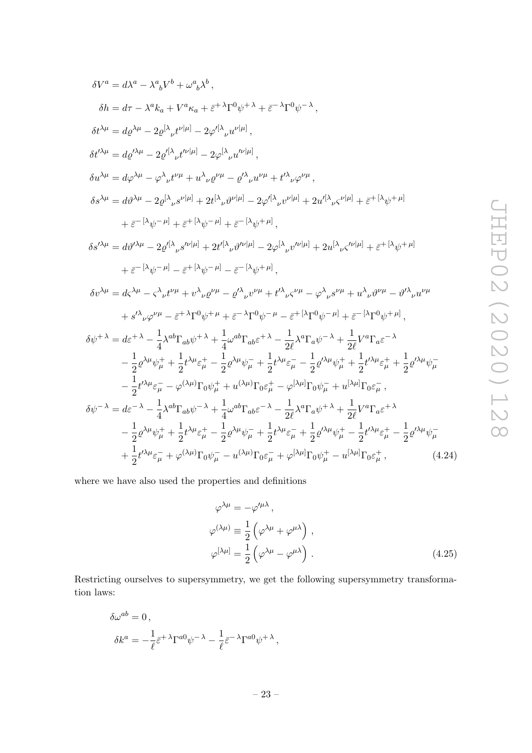$$
\delta V^{a} = d\lambda^{a} - \lambda^{a}{}_{b}V^{b} + \omega^{a}{}_{b}\lambda^{b},
$$
\n
$$
\delta h = d\tau - \lambda^{a}k_{a} + V^{a}\kappa_{a} + \varepsilon^{+}\lambda\Gamma^{0}\psi^{+}\lambda + \varepsilon^{-}\lambda\Gamma^{0}\psi^{-}\lambda,
$$
\n
$$
\delta t^{\lambda\mu} = d\varrho^{\lambda\mu} - 2\varrho^{[\lambda}{}_{\nu}t^{\nu|\mu]} - 2\varphi^{[\lambda}{}_{\nu}u^{\nu|\mu]},
$$
\n
$$
\delta t^{\lambda\mu} = d\varphi^{\lambda\mu} - 2\varrho^{[\lambda}{}_{\nu}t^{\nu|\mu]} - 2\varphi^{[\lambda}{}_{\nu}u^{\nu|\mu]},
$$
\n
$$
\delta u^{\lambda\mu} = d\varphi^{\lambda\mu} - \varphi^{\lambda}{}_{\nu}t^{\nu\mu} + u^{\lambda}{}_{\nu}\varrho^{\nu\mu} - \varrho^{\lambda}{}_{\nu}u^{\nu|\mu} + t^{\lambda}{}_{\nu}\varphi^{\nu\mu},
$$
\n
$$
\delta s^{\lambda\mu} = d\vartheta^{\lambda\mu} - 2\varrho^{[\lambda}{}_{\nu}s^{\nu|\mu]} + 2t^{\lambda}{}_{\nu}\vartheta^{\nu|\mu]} - 2\varphi^{[\lambda}{}_{\nu}v^{\nu|\mu]} + 2u^{[\lambda}{}_{\nu}\varsigma^{\nu|\mu]} + \varepsilon^{+[\lambda}\psi^{+}\mu]
$$
\n
$$
+ \varepsilon^{-[\lambda}\psi^{-\mu]} + \varepsilon^{+[\lambda}\psi^{-\mu]} + \varepsilon^{-[\lambda}\psi^{+|\mu]},
$$
\n
$$
\delta s^{\lambda\mu} = d\vartheta^{\lambda\mu} - 2\varrho^{[\lambda}{}_{\nu}s^{\nu|\mu]} + 2t^{[\lambda}{}_{\nu}\vartheta^{\nu|\mu]} - 2\varphi^{[\lambda}{}_{\nu}v^{\nu|\mu]} + 2u^{[\lambda}{}_{\nu}\varsigma^{\nu|\mu]} + \varepsilon^{+[\lambda}\psi^{+|\mu]}
$$
\n
$$
+ \varepsilon^{-[\lambda}\psi^{-\mu]} - \varepsilon^{+[\lambda}\psi^{-\mu]} - \varepsilon^{-[\lambda}\psi^{+|\mu]},
$$
\n
$$
\delta v^{\lambda\mu} = d\varsigma^{\lambda\mu
$$

where we have also used the properties and definitions

$$
\varphi^{\lambda\mu} = -\varphi^{\prime\mu\lambda},
$$
  
\n
$$
\varphi^{(\lambda\mu)} \equiv \frac{1}{2} \left( \varphi^{\lambda\mu} + \varphi^{\mu\lambda} \right),
$$
  
\n
$$
\varphi^{[\lambda\mu]} = \frac{1}{2} \left( \varphi^{\lambda\mu} - \varphi^{\mu\lambda} \right).
$$
\n(4.25)

Restricting ourselves to supersymmetry, we get the following supersymmetry transformation laws:

$$
\begin{split} \delta\omega^{ab} &= 0\,,\\ \delta k^a &= -\frac{1}{\ell}\bar{\varepsilon}^{+\,\lambda}\Gamma^{a0}\psi^{-\,\lambda} - \frac{1}{\ell}\bar{\varepsilon}^{-\,\lambda}\Gamma^{a0}\psi^{+\,\lambda}\,, \end{split}
$$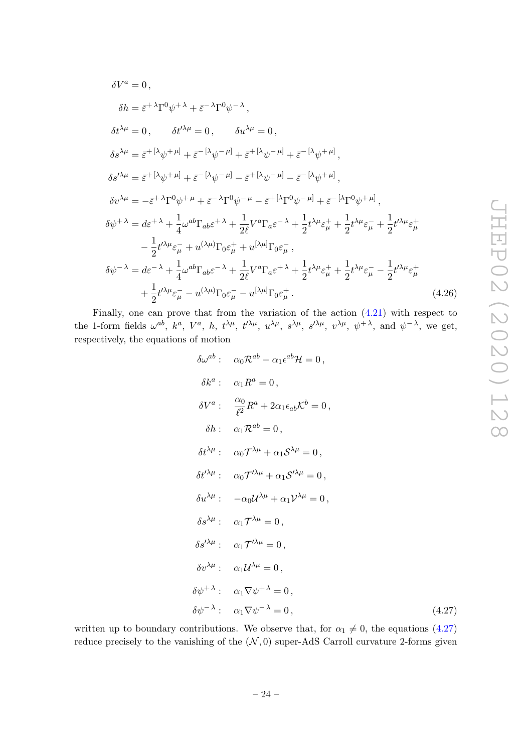$$
\delta V^{a} = 0,
$$
\n
$$
\delta h = \bar{\varepsilon}^{+ \lambda} \Gamma^{0} \psi^{+ \lambda} + \bar{\varepsilon}^{- \lambda} \Gamma^{0} \psi^{- \lambda},
$$
\n
$$
\delta t^{\lambda \mu} = 0, \qquad \delta t^{\prime \lambda \mu} = 0, \qquad \delta u^{\lambda \mu} = 0,
$$
\n
$$
\delta s^{\lambda \mu} = \bar{\varepsilon}^{+ [\lambda} \psi^{+ \mu]} + \bar{\varepsilon}^{- [\lambda} \psi^{- \mu]} + \bar{\varepsilon}^{+ [\lambda} \psi^{- \mu]} + \bar{\varepsilon}^{- [\lambda} \psi^{+ \mu]},
$$
\n
$$
\delta s^{\prime \lambda \mu} = \bar{\varepsilon}^{+ [\lambda} \psi^{+ \mu]} + \bar{\varepsilon}^{- [\lambda} \psi^{- \mu]} - \bar{\varepsilon}^{+ [\lambda} \psi^{- \mu]} - \bar{\varepsilon}^{- [\lambda} \psi^{+ \mu]},
$$
\n
$$
\delta v^{\lambda \mu} = -\bar{\varepsilon}^{+ \lambda} \Gamma^{0} \psi^{+ \mu} + \bar{\varepsilon}^{- \lambda} \Gamma^{0} \psi^{- \mu} - \bar{\varepsilon}^{+ [\lambda} \Gamma^{0} \psi^{- \mu]} + \bar{\varepsilon}^{- [\lambda} \Gamma^{0} \psi^{+ \mu]},
$$
\n
$$
\delta \psi^{+ \lambda} = d \varepsilon^{+ \lambda} + \frac{1}{4} \omega^{ab} \Gamma_{ab} \varepsilon^{+ \lambda} + \frac{1}{2 \ell} V^{a} \Gamma_{a} \varepsilon^{- \lambda} + \frac{1}{2} t^{\lambda \mu} \varepsilon_{\mu}^{+} + \frac{1}{2} t^{\lambda \mu} \varepsilon_{\mu}^{-} + \frac{1}{2} t^{\lambda \mu} \varepsilon_{\mu}^{+}
$$
\n
$$
- \frac{1}{2} t^{\prime \lambda \mu} \varepsilon_{\mu}^{-} + u^{(\lambda \mu)} \Gamma_{0} \varepsilon_{\mu}^{+} + u^{[\lambda \mu]} \Gamma_{0} \varepsilon_{\mu}^{-},
$$
\n
$$
\delta \psi^{- \lambda} = d \varepsilon^{- \lambda} + \frac{1}{4} \omega^{ab} \Gamma_{ab} \varepsilon^{- \lambda} + \frac{1}{2 \ell} V^{a} \Gamma_{a} \varepsilon^{+ \lambda} + \frac{1}{2
$$

Finally, one can prove that from the variation of the action (4.21) with respect to the 1-form fields  $\omega^{ab}$ ,  $k^a$ ,  $V^a$ , h,  $t^{\lambda\mu}$ ,  $t^{\lambda\mu}$ ,  $u^{\lambda\mu}$ ,  $s^{\lambda\mu}$ ,  $s^{\lambda\mu}$ ,  $v^{\lambda\mu}$ ,  $v^{\lambda\mu}$ ,  $\psi^{+\lambda}$ , and  $\psi^{-\lambda}$ , we get, respectively, the equations of motion

$$
\delta\omega^{ab}: \quad \alpha_0 \mathcal{R}^{ab} + \alpha_1 \epsilon^{ab} \mathcal{H} = 0,
$$
\n
$$
\delta k^a: \quad \alpha_1 R^a = 0,
$$
\n
$$
\delta V^a: \quad \frac{\alpha_0}{\ell^2} R^a + 2\alpha_1 \epsilon_{ab} K^b = 0,
$$
\n
$$
\delta h: \quad \alpha_1 \mathcal{R}^{ab} = 0,
$$
\n
$$
\delta t^{\lambda \mu}: \quad \alpha_0 \mathcal{T}^{\lambda \mu} + \alpha_1 \mathcal{S}^{\lambda \mu} = 0,
$$
\n
$$
\delta t^{\prime \lambda \mu}: \quad \alpha_0 \mathcal{T}^{\prime \lambda \mu} + \alpha_1 \mathcal{S}^{\prime \lambda \mu} = 0,
$$
\n
$$
\delta u^{\lambda \mu}: \quad -\alpha_0 \mathcal{U}^{\lambda \mu} + \alpha_1 \mathcal{V}^{\lambda \mu} = 0,
$$
\n
$$
\delta s^{\lambda \mu}: \quad \alpha_1 \mathcal{T}^{\lambda \mu} = 0,
$$
\n
$$
\delta s^{\prime \lambda \mu}: \quad \alpha_1 \mathcal{T}^{\prime \lambda \mu} = 0,
$$
\n
$$
\delta v^{\lambda \mu}: \quad \alpha_1 \mathcal{U}^{\lambda \mu} = 0,
$$
\n
$$
\delta \psi^{+ \lambda}: \quad \alpha_1 \mathcal{U}^{\lambda \mu} = 0,
$$
\n
$$
\delta \psi^{- \lambda}: \quad \alpha_1 \nabla \psi^{- \lambda} = 0,
$$
\n(4.27)

written up to boundary contributions. We observe that, for  $\alpha_1 \neq 0$ , the equations (4.27) reduce precisely to the vanishing of the  $(\mathcal{N}, 0)$  super-AdS Carroll curvature 2-forms given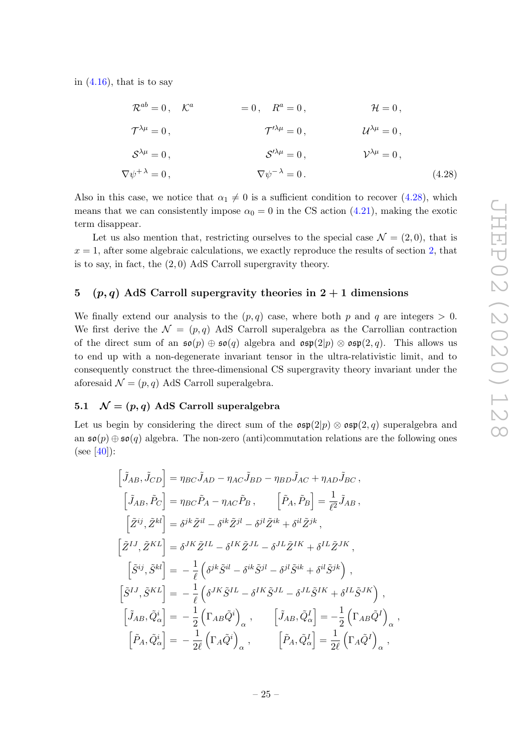in  $(4.16)$ , that is to say

$$
\mathcal{R}^{ab} = 0, \quad \mathcal{K}^a \qquad = 0, \quad R^a = 0, \qquad \mathcal{H} = 0,
$$
  

$$
\mathcal{T}^{\lambda \mu} = 0, \qquad \qquad \mathcal{T}^{\prime \lambda \mu} = 0, \qquad \qquad \mathcal{U}^{\lambda \mu} = 0,
$$
  

$$
\mathcal{S}^{\lambda \mu} = 0, \qquad \qquad \mathcal{S}^{\prime \lambda \mu} = 0, \qquad \qquad \mathcal{V}^{\lambda \mu} = 0,
$$
  

$$
\nabla \psi^{+\lambda} = 0, \qquad \qquad \nabla \psi^{-\lambda} = 0.
$$
(4.28)

Also in this case, we notice that  $\alpha_1 \neq 0$  is a sufficient condition to recover (4.28), which means that we can consistently impose  $\alpha_0 = 0$  in the CS action (4.21), making the exotic term disappear.

Let us also mention that, restricting ourselves to the special case  $\mathcal{N} = (2,0)$ , that is  $x = 1$ , after some algebraic calculations, we exactly reproduce the results of section 2, that is to say, in fact, the (2, 0) AdS Carroll supergravity theory.

#### 5 (p, q) AdS Carroll supergravity theories in  $2 + 1$  dimensions

We finally extend our analysis to the  $(p, q)$  case, where both p and q are integers  $> 0$ . We first derive the  $\mathcal{N} = (p, q)$  AdS Carroll superalgebra as the Carrollian contraction of the direct sum of an  $\mathfrak{so}(p) \oplus \mathfrak{so}(q)$  algebra and  $\mathfrak{osp}(2|p) \otimes \mathfrak{osp}(2,q)$ . This allows us to end up with a non-degenerate invariant tensor in the ultra-relativistic limit, and to consequently construct the three-dimensional CS supergravity theory invariant under the aforesaid  $\mathcal{N} = (p, q)$  AdS Carroll superalgebra.

### 5.1  $\mathcal{N} = (p, q)$  AdS Carroll superalgebra

Let us begin by considering the direct sum of the  $\mathfrak{osp}(2|p) \otimes \mathfrak{osp}(2,q)$  superalgebra and an  $\mathfrak{so}(p) \oplus \mathfrak{so}(q)$  algebra. The non-zero (anti)commutation relations are the following ones  $(see [40]):$ 

$$
\begin{aligned}\n\left[\tilde{J}_{AB}, \tilde{J}_{CD}\right] &= \eta_{BC} \tilde{J}_{AD} - \eta_{AC} \tilde{J}_{BD} - \eta_{BD} \tilde{J}_{AC} + \eta_{AD} \tilde{J}_{BC} ,\\
\left[\tilde{J}_{AB}, \tilde{P}_{C}\right] &= \eta_{BC} \tilde{P}_{A} - \eta_{AC} \tilde{P}_{B} ,\\
\left[\tilde{Z}^{ij}, \tilde{Z}^{kl}\right] &= \delta^{jk} \tilde{Z}^{il} - \delta^{ik} \tilde{Z}^{jl} - \delta^{jl} \tilde{Z}^{ik} + \delta^{il} \tilde{Z}^{jk} ,\\
\left[\tilde{Z}^{IJ}, \tilde{Z}^{KL}\right] &= \delta^{JK} \tilde{Z}^{IL} - \delta^{IK} \tilde{Z}^{JL} - \delta^{JL} \tilde{Z}^{IK} + \delta^{IL} \tilde{Z}^{JK} ,\\
\left[\tilde{S}^{ij}, \tilde{S}^{kl}\right] &= -\frac{1}{\ell} \left(\delta^{jk} \tilde{S}^{il} - \delta^{ik} \tilde{S}^{jl} - \delta^{jl} \tilde{S}^{ik} + \delta^{il} \tilde{S}^{jk}\right) ,\\
\left[\tilde{S}^{IJ}, \tilde{S}^{KL}\right] &= -\frac{1}{\ell} \left(\delta^{JK} \tilde{S}^{IL} - \delta^{IK} \tilde{S}^{JL} - \delta^{JL} \tilde{S}^{IK} + \delta^{IL} \tilde{S}^{JK}\right) ,\\
\left[\tilde{J}_{AB}, \tilde{Q}^{i}_{\alpha}\right] &= -\frac{1}{2} \left(\Gamma_{AB} \tilde{Q}^{i}\right)_{\alpha} ,\\
\left[\tilde{P}_{A}, \tilde{Q}^{i}_{\alpha}\right] &= -\frac{1}{2\ell} \left(\Gamma_{A} \tilde{Q}^{i}\right)_{\alpha} ,\\
\left[\tilde{P}_{A}, \tilde{Q}^{I}_{\alpha}\right] &= \frac{1}{2\ell} \left(\Gamma_{A} \tilde{Q}^{i}\right)_{\alpha} ,\\
\left[\tilde{P}_{A}, \tilde{Q}^{l}_{\alpha}\right] &= \frac{1}{2\ell} \left(\Gamma_{A} \tilde{Q}^{i}\right)_{\alpha} ,\\
\left[\tilde{P}_{A}, \tilde{Q}^{l
$$

,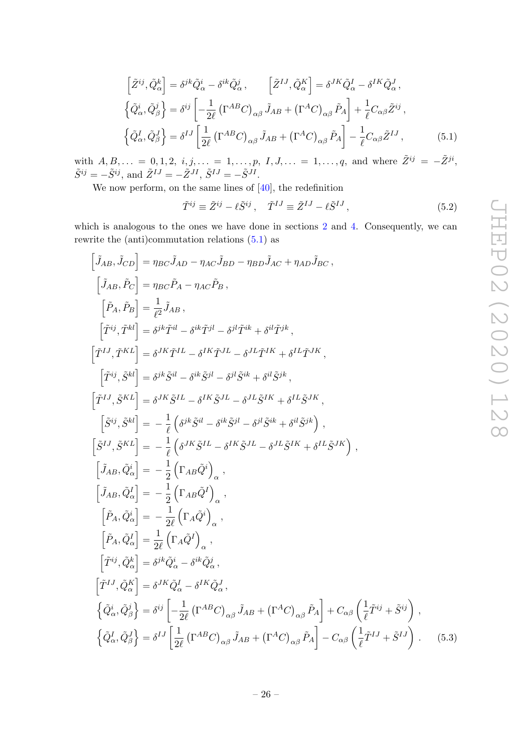$$
\left[\tilde{Z}^{ij}, \tilde{Q}^{k}_{\alpha}\right] = \delta^{jk}\tilde{Q}^{i}_{\alpha} - \delta^{ik}\tilde{Q}^{j}_{\alpha}, \qquad \left[\tilde{Z}^{IJ}, \tilde{Q}^{K}_{\alpha}\right] = \delta^{JK}\tilde{Q}^{I}_{\alpha} - \delta^{IK}\tilde{Q}^{J}_{\alpha},
$$
\n
$$
\left\{\tilde{Q}^{i}_{\alpha}, \tilde{Q}^{j}_{\beta}\right\} = \delta^{ij}\left[-\frac{1}{2\ell}\left(\Gamma^{AB}C\right)_{\alpha\beta}\tilde{J}_{AB} + \left(\Gamma^{A}C\right)_{\alpha\beta}\tilde{P}_{A}\right] + \frac{1}{\ell}C_{\alpha\beta}\tilde{Z}^{ij},
$$
\n
$$
\left\{\tilde{Q}^{I}_{\alpha}, \tilde{Q}^{J}_{\beta}\right\} = \delta^{IJ}\left[\frac{1}{2\ell}\left(\Gamma^{AB}C\right)_{\alpha\beta}\tilde{J}_{AB} + \left(\Gamma^{A}C\right)_{\alpha\beta}\tilde{P}_{A}\right] - \frac{1}{\ell}C_{\alpha\beta}\tilde{Z}^{IJ}, \qquad (5.1)
$$

with  $A, B, \ldots = 0, 1, 2, i, j, \ldots = 1, \ldots, p, I, J, \ldots = 1, \ldots, q$ , and where  $\tilde{Z}^{ij} = -\tilde{Z}^{ji}$ ,  $\tilde{S}^{ij} = -\tilde{S}^{ij}$ , and  $\tilde{Z}^{IJ} = -\tilde{Z}^{JI}$ ,  $\tilde{S}^{IJ} = -\tilde{S}^{JI}$ .

We now perform, on the same lines of [40], the redefinition

$$
\tilde{T}^{ij} \equiv \tilde{Z}^{ij} - \ell \tilde{S}^{ij}, \quad \tilde{T}^{IJ} \equiv \tilde{Z}^{IJ} - \ell \tilde{S}^{IJ}, \tag{5.2}
$$

which is analogous to the ones we have done in sections 2 and 4. Consequently, we can rewrite the (anti)commutation relations (5.1) as

$$
\begin{split}\label{eq:JAB} \left[\begin{aligned} &\tilde{J}_{AB},\tilde{J}_{CD}\right] = \eta_{BC}\tilde{J}_{AD}-\eta_{AC}\tilde{J}_{BD}-\eta_{BD}\tilde{J}_{AC}+\eta_{AD}\tilde{J}_{BC}\,,\\ &\left[\tilde{J}_{AB},\tilde{P}_{C}\right] = \eta_{BC}\tilde{P}_{A}-\eta_{AC}\tilde{P}_{B}\,,\\ &\left[\tilde{P}_{A},\tilde{P}_{B}\right] = \frac{1}{\ell^{2}}\tilde{J}_{AB}\,,\\ &\left[\tilde{T}^{ij},\tilde{T}^{kl}\right] = \delta^{jk}\tilde{T}^{il}-\delta^{ik}\tilde{T}^{jl}-\delta^{jl}\tilde{T}^{ik}+\delta^{il}\tilde{T}^{jk}\,,\\ &\left[\tilde{T}^{ij},\tilde{S}^{kl}\right] = \delta^{jk}\tilde{S}^{il}-\delta^{ik}\tilde{S}^{jl}-\delta^{jl}\tilde{S}^{ik}+\delta^{il}\tilde{S}^{jk}\,,\\ &\left[\tilde{T}^{ij},\tilde{S}^{kl}\right] = \delta^{jk}\tilde{S}^{il}-\delta^{ik}\tilde{S}^{jl}-\delta^{jl}\tilde{S}^{ik}+\delta^{il}\tilde{S}^{jk}\,,\\ &\left[\tilde{S}^{ij},\tilde{S}^{kl}\right] = -\frac{1}{\ell}\left(\delta^{jk}\tilde{S}^{il}-\delta^{ik}\tilde{S}^{jl}-\delta^{jl}\tilde{S}^{ik}+\delta^{il}\tilde{S}^{jk}\right)\,,\\ &\left[\tilde{S}^{ij},\tilde{S}^{kl}\right] = -\frac{1}{\ell}\left(\delta^{jk}\tilde{S}^{il}-\delta^{ik}\tilde{S}^{jl}-\delta^{jl}\tilde{S}^{ik}+\delta^{il}\tilde{S}^{jk}\right)\,,\\ &\left[\tilde{J}_{AB},\tilde{Q}_{\alpha}^{i}\right] = -\frac{1}{\ell}\left(\Gamma_{AB}\tilde{Q}^{i}\right)_{\alpha}\,,\\ &\left[\tilde{J}_{AB},\tilde{Q}_{\alpha}^{i}\right] = -\frac{1}{2}\left(\Gamma_{AB}\tilde{Q}^{j}\right)_{\alpha}\,,\\ &\left[\tilde{P}_{A},\tilde{Q}_{\alpha}^{i}\right] = -\frac{1}{2\ell}\left(\Gamma_{A}\tilde{Q}^{j}\right)_{\alpha}\,,\\ &\left[\
$$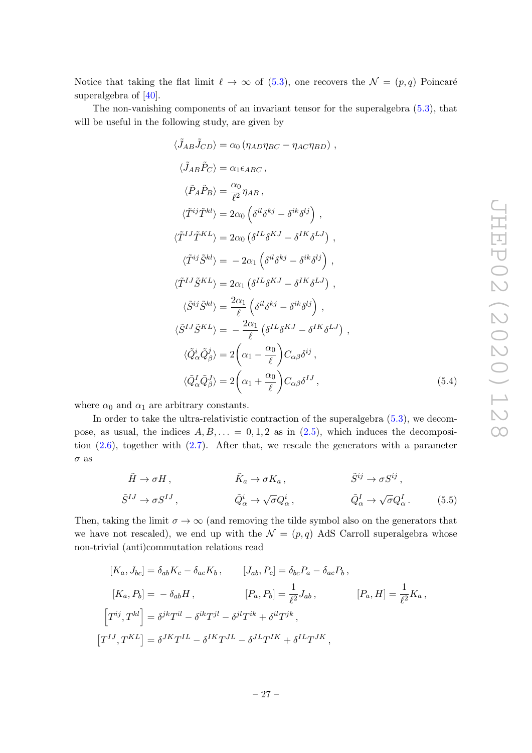Notice that taking the flat limit  $\ell \to \infty$  of (5.3), one recovers the  $\mathcal{N} = (p, q)$  Poincaré superalgebra of [40].

The non-vanishing components of an invariant tensor for the superalgebra (5.3), that will be useful in the following study, are given by

$$
\langle \tilde{J}_{AB}\tilde{J}_{CD}\rangle = \alpha_0 \left(\eta_{AD}\eta_{BC} - \eta_{AC}\eta_{BD}\right) ,
$$
  
\n
$$
\langle \tilde{J}_{AB}\tilde{P}_C\rangle = \alpha_1 \epsilon_{ABC} ,
$$
  
\n
$$
\langle \tilde{P}_A\tilde{P}_B\rangle = \frac{\alpha_0}{\ell^2} \eta_{AB} ,
$$
  
\n
$$
\langle \tilde{T}^{ij}\tilde{T}^{kl}\rangle = 2\alpha_0 \left(\delta^{il}\delta^{kj} - \delta^{ik}\delta^{lj}\right) ,
$$
  
\n
$$
\langle \tilde{T}^{IJ}\tilde{T}^{KL}\rangle = 2\alpha_1 \left(\delta^{il}\delta^{kj} - \delta^{IK}\delta^{LJ}\right) ,
$$
  
\n
$$
\langle \tilde{T}^{ij}\tilde{S}^{kl}\rangle = -2\alpha_1 \left(\delta^{il}\delta^{kj} - \delta^{ik}\delta^{lj}\right) ,
$$
  
\n
$$
\langle \tilde{T}^{IJ}\tilde{S}^{KL}\rangle = 2\alpha_1 \left(\delta^{IL}\delta^{KJ} - \delta^{IK}\delta^{LJ}\right) ,
$$
  
\n
$$
\langle \tilde{S}^{ij}\tilde{S}^{kl}\rangle = \frac{2\alpha_1}{\ell} \left(\delta^{il}\delta^{kj} - \delta^{ik}\delta^{lj}\right) ,
$$
  
\n
$$
\langle \tilde{S}^{IJ}\tilde{S}^{KL}\rangle = -\frac{2\alpha_1}{\ell} \left(\delta^{IL}\delta^{KJ} - \delta^{IK}\delta^{LJ}\right) ,
$$
  
\n
$$
\langle \tilde{Q}^i_{\alpha}\tilde{Q}^j_{\beta} \rangle = 2\left(\alpha_1 - \frac{\alpha_0}{\ell}\right)C_{\alpha\beta}\delta^{ij} ,
$$
  
\n
$$
\langle \tilde{Q}^I_{\alpha}\tilde{Q}^J_{\beta} \rangle = 2\left(\alpha_1 + \frac{\alpha_0}{\ell}\right)C_{\alpha\beta}\delta^{IJ} ,
$$
  
\n(5.4)

where  $\alpha_0$  and  $\alpha_1$  are arbitrary constants.

In order to take the ultra-relativistic contraction of the superalgebra (5.3), we decompose, as usual, the indices  $A, B, \ldots = 0, 1, 2$  as in  $(2.5)$ , which induces the decomposition  $(2.6)$ , together with  $(2.7)$ . After that, we rescale the generators with a parameter  $\sigma$  as

$$
\tilde{H} \to \sigma H, \qquad \tilde{K}_a \to \sigma K_a, \qquad \tilde{S}^{ij} \to \sigma S^{ij},
$$
  

$$
\tilde{S}^{IJ} \to \sigma S^{IJ}, \qquad \tilde{Q}^i_\alpha \to \sqrt{\sigma} Q^i_\alpha, \qquad \tilde{Q}^I_\alpha \to \sqrt{\sigma} Q^I_\alpha.
$$
 (5.5)

Then, taking the limit  $\sigma \to \infty$  (and removing the tilde symbol also on the generators that we have not rescaled), we end up with the  $\mathcal{N} = (p, q)$  AdS Carroll superalgebra whose non-trivial (anti)commutation relations read

$$
[K_a, J_{bc}] = \delta_{ab} K_c - \delta_{ac} K_b, \qquad [J_{ab}, P_c] = \delta_{bc} P_a - \delta_{ac} P_b,
$$
  
\n
$$
[K_a, P_b] = -\delta_{ab} H, \qquad [P_a, P_b] = \frac{1}{\ell^2} J_{ab}, \qquad [P_a, H] = \frac{1}{\ell^2} K_a,
$$
  
\n
$$
[T^{ij}, T^{kl}] = \delta^{jk} T^{il} - \delta^{ik} T^{jl} - \delta^{jl} T^{ik} + \delta^{il} T^{jk},
$$
  
\n
$$
[T^{IJ}, T^{KL}] = \delta^{JK} T^{IL} - \delta^{IK} T^{JL} - \delta^{JL} T^{IK} + \delta^{IL} T^{JK},
$$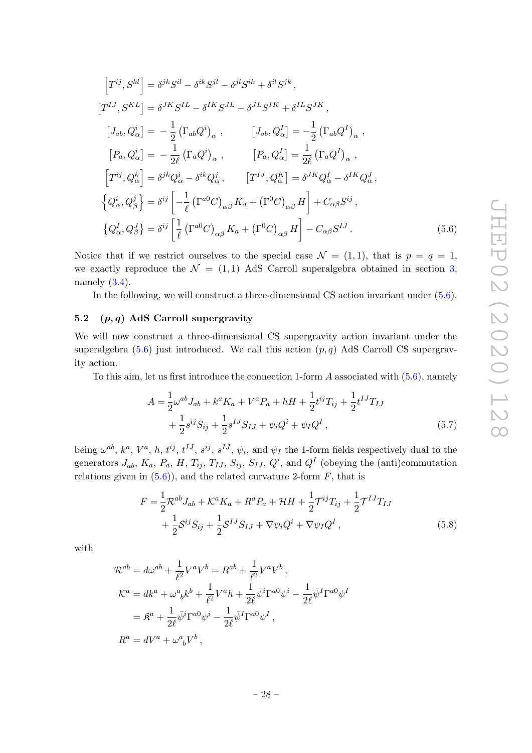$$
\begin{aligned}\n\left[T^{ij}, S^{kl}\right] &= \delta^{jk} S^{il} - \delta^{ik} S^{jl} - \delta^{jl} S^{ik} + \delta^{il} S^{jk}\,, \\
\left[T^{IJ}, S^{KL}\right] &= \delta^{JK} S^{IL} - \delta^{IK} S^{JL} - \delta^{JL} S^{IK} + \delta^{IL} S^{JK}\,, \\
\left[J_{ab}, Q_{\alpha}^{i}\right] &= -\frac{1}{2} \left(\Gamma_{ab} Q^{i}\right)_{\alpha}\,, \qquad \left[J_{ab}, Q_{\alpha}^{I}\right] &= -\frac{1}{2} \left(\Gamma_{ab} Q^{I}\right)_{\alpha}\,, \\
\left[P_{a}, Q_{\alpha}^{i}\right] &= -\frac{1}{2\ell} \left(\Gamma_{a} Q^{i}\right)_{\alpha}\,, \qquad \left[P_{a}, Q_{\alpha}^{I}\right] &= \frac{1}{2\ell} \left(\Gamma_{a} Q^{I}\right)_{\alpha}\,, \\
\left[T^{ij}, Q_{\alpha}^{k}\right] &= \delta^{jk} Q_{\alpha}^{i} - \delta^{ik} Q_{\alpha}^{j}\,, \qquad \left[T^{IJ}, Q_{\alpha}^{K}\right] &= \delta^{JK} Q_{\alpha}^{I} - \delta^{IK} Q_{\alpha}^{J}\,, \\
\left\{Q_{\alpha}^{i}, Q_{\beta}^{j}\right\} &= \delta^{ij} \left[-\frac{1}{\ell} \left(\Gamma^{a0}C\right)_{\alpha\beta} K_{a} + \left(\Gamma^{0}C\right)_{\alpha\beta} H\right] + C_{\alpha\beta} S^{ij}\,, \\
\left\{Q_{\alpha}^{I}, Q_{\beta}^{J}\right\} &= \delta^{ij} \left[\frac{1}{\ell} \left(\Gamma^{a0}C\right)_{\alpha\beta} K_{a} + \left(\Gamma^{0}C\right)_{\alpha\beta} H\right] - C_{\alpha\beta} S^{IJ}\,. \end{aligned} \tag{5.6}
$$

Notice that if we restrict ourselves to the special case  $\mathcal{N} = (1, 1)$ , that is  $p = q = 1$ , we exactly reproduce the  $\mathcal{N} = (1, 1)$  AdS Carroll superalgebra obtained in section 3, namely  $(3.4)$ .

In the following, we will construct a three-dimensional CS action invariant under (5.6).

#### 5.2  $(p, q)$  AdS Carroll supergravity

We will now construct a three-dimensional CS supergravity action invariant under the superalgebra  $(5.6)$  just introduced. We call this action  $(p, q)$  AdS Carroll CS supergravity action.

To this aim, let us first introduce the connection 1-form  $A$  associated with  $(5.6)$ , namely

$$
A = \frac{1}{2}\omega^{ab}J_{ab} + k^{a}K_{a} + V^{a}P_{a} + hH + \frac{1}{2}t^{ij}T_{ij} + \frac{1}{2}t^{IJ}T_{IJ} + \frac{1}{2}s^{ij}S_{ij} + \frac{1}{2}s^{IJ}S_{IJ} + \psi_{i}Q^{i} + \psi_{I}Q^{I},
$$
\n(5.7)

being  $\omega^{ab}$ ,  $k^a$ ,  $V^a$ , h,  $t^{ij}$ ,  $t^{IJ}$ ,  $s^{ij}$ ,  $s^{IJ}$ ,  $\psi_i$ , and  $\psi_I$  the 1-form fields respectively dual to the generators  $J_{ab}$ ,  $K_a$ ,  $P_a$ ,  $H$ ,  $T_{ij}$ ,  $T_{IJ}$ ,  $S_{ij}$ ,  $S_{IJ}$ ,  $Q^i$ , and  $Q^I$  (obeying the (anti)commutation relations given in  $(5.6)$ , and the related curvature 2-form  $F$ , that is

$$
F = \frac{1}{2} \mathcal{R}^{ab} J_{ab} + \mathcal{K}^a K_a + R^a P_a + \mathcal{H}H + \frac{1}{2} \mathcal{T}^{ij} T_{ij} + \frac{1}{2} \mathcal{T}^{IJ} T_{IJ} + \frac{1}{2} \mathcal{S}^{ij} S_{ij} + \frac{1}{2} \mathcal{S}^{IJ} S_{IJ} + \nabla \psi_i Q^i + \nabla \psi_I Q^I,
$$
\n(5.8)

with

$$
\mathcal{R}^{ab} = d\omega^{ab} + \frac{1}{\ell^2} V^a V^b = R^{ab} + \frac{1}{\ell^2} V^a V^b ,
$$
  
\n
$$
\mathcal{K}^a = dk^a + \omega^a{}_b k^b + \frac{1}{\ell^2} V^a h + \frac{1}{2\ell} \bar{\psi}^i \Gamma^{a0} \psi^i - \frac{1}{2\ell} \bar{\psi}^I \Gamma^{a0} \psi^I
$$
  
\n
$$
= \mathfrak{K}^a + \frac{1}{2\ell} \bar{\psi}^i \Gamma^{a0} \psi^i - \frac{1}{2\ell} \bar{\psi}^I \Gamma^{a0} \psi^I ,
$$
  
\n
$$
R^a = dV^a + \omega^a{}_b V^b ,
$$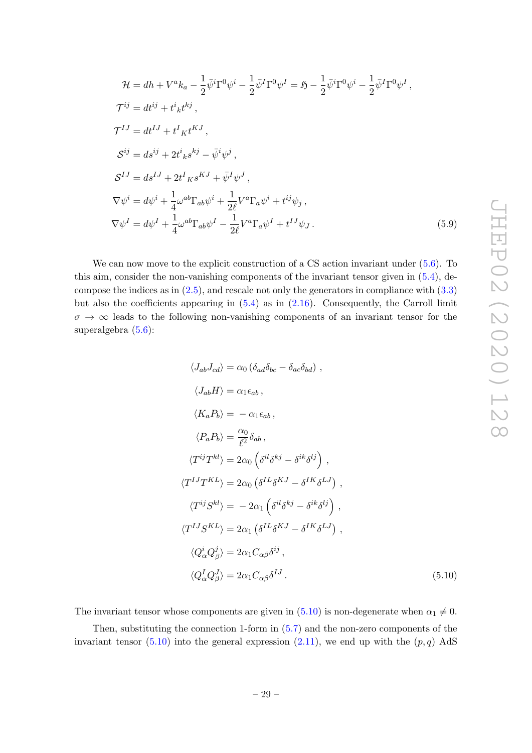$$
\mathcal{H} = dh + V^a k_a - \frac{1}{2} \bar{\psi}^i \Gamma^0 \psi^i - \frac{1}{2} \bar{\psi}^I \Gamma^0 \psi^I = \mathfrak{H} - \frac{1}{2} \bar{\psi}^i \Gamma^0 \psi^i - \frac{1}{2} \bar{\psi}^I \Gamma^0 \psi^I ,
$$
  
\n
$$
\mathcal{T}^{ij} = dt^{ij} + t^i{}_k t^{kj} ,
$$
  
\n
$$
\mathcal{T}^{IJ} = dt^{IJ} + t^I{}_K t^{KJ} ,
$$
  
\n
$$
\mathcal{S}^{ij} = ds^{ij} + 2t^i{}_k s^{kj} - \bar{\psi}^i \psi^j ,
$$
  
\n
$$
\mathcal{S}^{IJ} = ds^{IJ} + 2t^I{}_K s^{KJ} + \bar{\psi}^I \psi^J ,
$$
  
\n
$$
\nabla \psi^i = d\psi^i + \frac{1}{4} \omega^{ab} \Gamma_{ab} \psi^i + \frac{1}{2\ell} V^a \Gamma_a \psi^i + t^{ij} \psi_j ,
$$
  
\n
$$
\nabla \psi^I = d\psi^I + \frac{1}{4} \omega^{ab} \Gamma_{ab} \psi^I - \frac{1}{2\ell} V^a \Gamma_a \psi^I + t^{IJ} \psi_J .
$$
\n(5.9)

We can now move to the explicit construction of a CS action invariant under (5.6). To this aim, consider the non-vanishing components of the invariant tensor given in (5.4), decompose the indices as in  $(2.5)$ , and rescale not only the generators in compliance with  $(3.3)$ but also the coefficients appearing in  $(5.4)$  as in  $(2.16)$ . Consequently, the Carroll limit  $\sigma \to \infty$  leads to the following non-vanishing components of an invariant tensor for the superalgebra  $(5.6)$ :

$$
\langle J_{ab}J_{cd}\rangle = \alpha_0 \left(\delta_{ad}\delta_{bc} - \delta_{ac}\delta_{bd}\right),
$$
  
\n
$$
\langle J_{ab}H\rangle = \alpha_1 \epsilon_{ab},
$$
  
\n
$$
\langle K_a P_b \rangle = -\alpha_1 \epsilon_{ab},
$$
  
\n
$$
\langle P_a P_b \rangle = \frac{\alpha_0}{\ell^2} \delta_{ab},
$$
  
\n
$$
\langle T^{ij}T^{kl} \rangle = 2\alpha_0 \left(\delta^{il}\delta^{kj} - \delta^{ik}\delta^{lj}\right),
$$
  
\n
$$
\langle T^{IJ}T^{KL} \rangle = 2\alpha_0 \left(\delta^{IL}\delta^{KJ} - \delta^{IK}\delta^{LJ}\right),
$$
  
\n
$$
\langle T^{ij}S^{kl} \rangle = -2\alpha_1 \left(\delta^{il}\delta^{kj} - \delta^{ik}\delta^{lj}\right),
$$
  
\n
$$
\langle T^{IJ}S^{KL} \rangle = 2\alpha_1 \left(\delta^{IL}\delta^{KJ} - \delta^{IK}\delta^{LJ}\right),
$$
  
\n
$$
\langle Q^i_{\alpha} Q^j_{\beta} \rangle = 2\alpha_1 C_{\alpha\beta} \delta^{ij},
$$
  
\n
$$
\langle Q^I_{\alpha} Q^J_{\beta} \rangle = 2\alpha_1 C_{\alpha\beta} \delta^{IJ}.
$$
  
\n(5.10)

The invariant tensor whose components are given in (5.10) is non-degenerate when  $\alpha_1 \neq 0$ .

Then, substituting the connection 1-form in (5.7) and the non-zero components of the invariant tensor  $(5.10)$  into the general expression  $(2.11)$ , we end up with the  $(p, q)$  AdS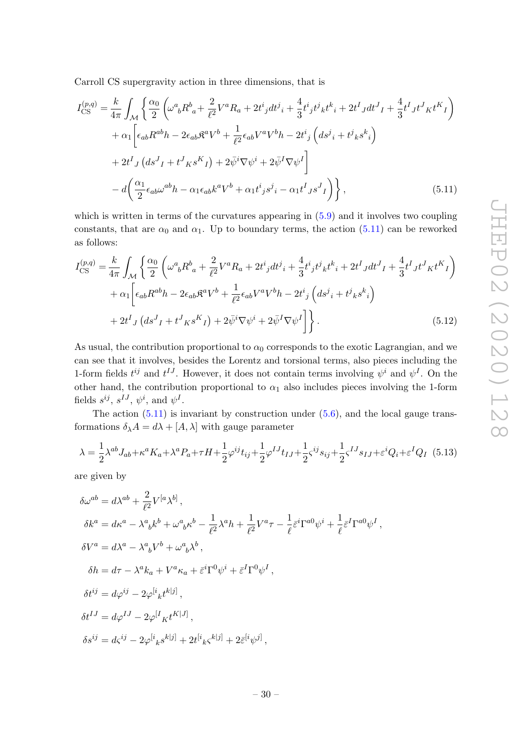Carroll CS supergravity action in three dimensions, that is

$$
I_{\text{CS}}^{(p,q)} = \frac{k}{4\pi} \int_{\mathcal{M}} \left\{ \frac{\alpha_0}{2} \left( \omega^a{}_b R^b{}_a + \frac{2}{\ell^2} V^a R_a + 2t^i{}_j dt^j{}_i + \frac{4}{3} t^i{}_j t^j{}_k t^k{}_i + 2t^I{}_J dt^J{}_I + \frac{4}{3} t^I{}_J t^J{}_K t^K{}_I \right) \right. \\
\left. + \alpha_1 \left[ \epsilon_{ab} R^{ab} h - 2\epsilon_{ab} \mathfrak{K}^a V^b{}_j + \frac{1}{\ell^2} \epsilon_{ab} V^a V^b{}_h - 2t^i{}_j \left( ds^j{}_i + t^j{}_k s^k{}_i \right) \right. \\
\left. + 2t^I{}_J \left( ds^J{}_I + t^J{}_K s^K{}_I \right) + 2\bar{\psi}^i \nabla \psi^i{}_j + 2\bar{\psi}^I \nabla \psi^I \right] \\
\left. - d \left( \frac{\alpha_1}{2} \epsilon_{ab} \omega^{ab} h - \alpha_1 \epsilon_{ab} k^a V^b{}_j + \alpha_1 t^i{}_j s^j{}_i - \alpha_1 t^I{}_J s^J{}_I \right) \right\},
$$
\n(5.11)

which is written in terms of the curvatures appearing in  $(5.9)$  and it involves two coupling constants, that are  $\alpha_0$  and  $\alpha_1$ . Up to boundary terms, the action (5.11) can be reworked as follows:

$$
I_{\text{CS}}^{(p,q)} = \frac{k}{4\pi} \int_{\mathcal{M}} \left\{ \frac{\alpha_0}{2} \left( \omega^a{}_b R^b{}_a + \frac{2}{\ell^2} V^a R_a + 2t^i{}_j dt^j{}_i + \frac{4}{3} t^i{}_j t^j{}_k t^k{}_i + 2t^I{}_J dt^J{}_I + \frac{4}{3} t^I{}_J t^J{}_K t^K{}_I \right) \right. \\
\left. + \alpha_1 \left[ \epsilon_{ab} R^{ab} h - 2\epsilon_{ab} \mathfrak{K}^a V^b{}_+ \frac{1}{\ell^2} \epsilon_{ab} V^a V^b{}_h - 2t^i{}_j \left( ds^j{}_i + t^j{}_k s^k{}_i \right) \right. \\
\left. + 2t^I{}_J \left( ds^J{}_I + t^J{}_K s^K{}_I \right) + 2\bar{\psi}^i \nabla \psi^i{}_{} + 2\bar{\psi}^I \nabla \psi^I{} \right] \right\}.
$$
\n(5.12)

As usual, the contribution proportional to  $\alpha_0$  corresponds to the exotic Lagrangian, and we can see that it involves, besides the Lorentz and torsional terms, also pieces including the 1-form fields  $t^{ij}$  and  $t^{IJ}$ . However, it does not contain terms involving  $\psi^i$  and  $\psi^I$ . On the other hand, the contribution proportional to  $\alpha_1$  also includes pieces involving the 1-form fields  $s^{ij}$ ,  $s^{IJ}$ ,  $\psi^i$ , and  $\psi^I$ .

The action  $(5.11)$  is invariant by construction under  $(5.6)$ , and the local gauge transformations  $\delta_{\lambda}A = d\lambda + [A, \lambda]$  with gauge parameter

$$
\lambda = \frac{1}{2} \lambda^{ab} J_{ab} + \kappa^a K_a + \lambda^a P_a + \tau H + \frac{1}{2} \varphi^{ij} t_{ij} + \frac{1}{2} \varphi^{IJ} t_{IJ} + \frac{1}{2} \varsigma^{ij} s_{ij} + \frac{1}{2} \varsigma^{IJ} s_{IJ} + \varepsilon^i Q_i + \varepsilon^I Q_I \tag{5.13}
$$

are given by

$$
\begin{split} &\delta\omega^{ab}=d\lambda^{ab}+\frac{2}{\ell^2}V^{[a}\lambda^{b]}\,,\\ &\delta k^a=dk^a-\lambda^a_{\phantom{a}b}k^b+\omega^a_{\phantom{a}b}\kappa^b-\frac{1}{\ell^2}\lambda^a h+\frac{1}{\ell^2}V^a\tau-\frac{1}{\ell}\bar{\varepsilon}^i\Gamma^{a0}\psi^i+\frac{1}{\ell}\bar{\varepsilon}^I\Gamma^{a0}\psi^I\,,\\ &\delta V^a=d\lambda^a-\lambda^a_{\phantom{a}b}V^b+\omega^a_{\phantom{a}b}\lambda^b\,,\\ &\delta h=d\tau-\lambda^a k_a+V^a\kappa_a+\bar{\varepsilon}^i\Gamma^0\psi^i+\bar{\varepsilon}^I\Gamma^0\psi^I\,,\\ &\delta t^{ij}=d\varphi^{ij}-2\varphi^{[i}_{\phantom{a}k}t^{k|j]}\,,\\ &\delta t^{IJ}=d\varphi^{IJ}-2\varphi^{[i}_{\phantom{a}K}t^{K|J]}\,,\\ &\delta s^{ij}=d\bar{s}^{ij}-2\varphi^{[i}_{\phantom{a}k}s^{k|j]}+2t^{[i}_{\phantom{a}k}\varsigma^{k|j]}\,, \end{split}
$$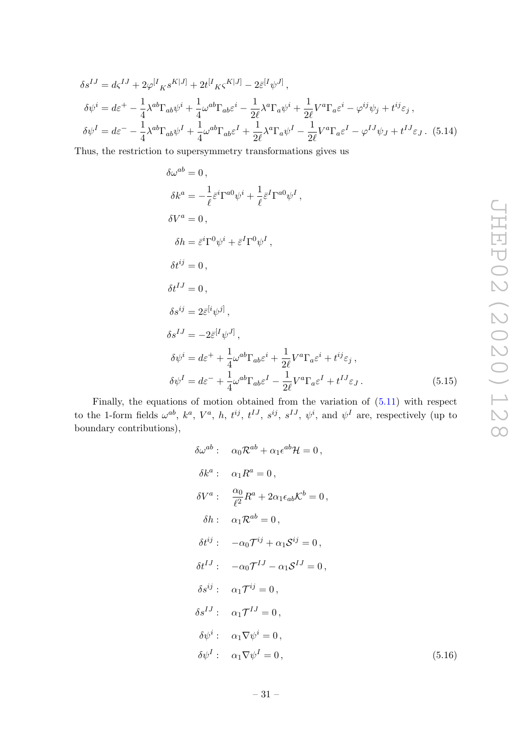$$
\delta s^{IJ} = d\varsigma^{IJ} + 2\varphi^{[I}{}_{K}s^{K|J]} + 2t^{[I}{}_{K}\varsigma^{K|J]} - 2\bar{\varepsilon}^{[I}\psi^{J]},
$$
  
\n
$$
\delta\psi^{i} = d\varepsilon^{+} - \frac{1}{4}\lambda^{ab}\Gamma_{ab}\psi^{i} + \frac{1}{4}\omega^{ab}\Gamma_{ab}\varepsilon^{i} - \frac{1}{2\ell}\lambda^{a}\Gamma_{a}\psi^{i} + \frac{1}{2\ell}V^{a}\Gamma_{a}\varepsilon^{i} - \varphi^{ij}\psi_{j} + t^{ij}\varepsilon_{j},
$$
  
\n
$$
\delta\psi^{I} = d\varepsilon^{-} - \frac{1}{4}\lambda^{ab}\Gamma_{ab}\psi^{I} + \frac{1}{4}\omega^{ab}\Gamma_{ab}\varepsilon^{I} + \frac{1}{2\ell}\lambda^{a}\Gamma_{a}\psi^{I} - \frac{1}{2\ell}V^{a}\Gamma_{a}\varepsilon^{I} - \varphi^{IJ}\psi_{J} + t^{IJ}\varepsilon_{J}.
$$
 (5.14)

Thus, the restriction to supersymmetry transformations gives us

$$
\delta\omega^{ab} = 0,
$$
  
\n
$$
\delta k^{a} = -\frac{1}{\ell} \bar{\varepsilon}^{i} \Gamma^{a0} \psi^{i} + \frac{1}{\ell} \bar{\varepsilon}^{I} \Gamma^{a0} \psi^{I},
$$
  
\n
$$
\delta V^{a} = 0,
$$
  
\n
$$
\delta h = \bar{\varepsilon}^{i} \Gamma^{0} \psi^{i} + \bar{\varepsilon}^{I} \Gamma^{0} \psi^{I},
$$
  
\n
$$
\delta t^{ij} = 0,
$$
  
\n
$$
\delta t^{IJ} = 0,
$$
  
\n
$$
\delta s^{ij} = 2\bar{\varepsilon}^{[i} \psi^{j]},
$$
  
\n
$$
\delta s^{IJ} = -2\bar{\varepsilon}^{[I} \psi^{J]},
$$
  
\n
$$
\delta \psi^{i} = d\varepsilon^{+} + \frac{1}{4} \omega^{ab} \Gamma_{ab} \varepsilon^{i} + \frac{1}{2\ell} V^{a} \Gamma_{a} \varepsilon^{i} + t^{ij} \varepsilon_{j},
$$
  
\n
$$
\delta \psi^{I} = d\varepsilon^{-} + \frac{1}{4} \omega^{ab} \Gamma_{ab} \varepsilon^{I} - \frac{1}{2\ell} V^{a} \Gamma_{a} \varepsilon^{I} + t^{IJ} \varepsilon_{J}.
$$
  
\n(5.15)

Finally, the equations of motion obtained from the variation of (5.11) with respect to the 1-form fields  $\omega^{ab}$ ,  $k^a$ ,  $V^a$ , h,  $t^{ij}$ ,  $t^{IJ}$ ,  $s^{ij}$ ,  $s^{IJ}$ ,  $\psi^i$ , and  $\psi^I$  are, respectively (up to boundary contributions),

$$
\delta\omega^{ab}: \quad \alpha_0 \mathcal{R}^{ab} + \alpha_1 \epsilon^{ab} \mathcal{H} = 0,
$$
  
\n
$$
\delta k^a: \quad \alpha_1 R^a = 0,
$$
  
\n
$$
\delta V^a: \quad \frac{\alpha_0}{\ell^2} R^a + 2\alpha_1 \epsilon_{ab} \mathcal{K}^b = 0,
$$
  
\n
$$
\delta h: \quad \alpha_1 \mathcal{R}^{ab} = 0,
$$
  
\n
$$
\delta t^{ij}: \quad -\alpha_0 \mathcal{T}^{ij} + \alpha_1 \mathcal{S}^{ij} = 0,
$$
  
\n
$$
\delta t^{IJ}: \quad -\alpha_0 \mathcal{T}^{IJ} - \alpha_1 \mathcal{S}^{IJ} = 0,
$$
  
\n
$$
\delta s^{ij}: \quad \alpha_1 \mathcal{T}^{ij} = 0,
$$
  
\n
$$
\delta \psi^i: \quad \alpha_1 \nabla \psi^i = 0,
$$
  
\n
$$
\delta \psi^I: \quad \alpha_1 \nabla \psi^I = 0,
$$

 $(5.16)$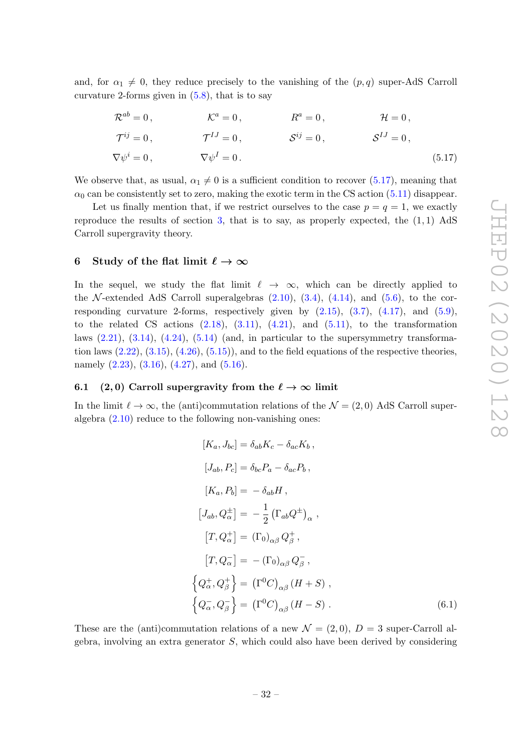and, for  $\alpha_1 \neq 0$ , they reduce precisely to the vanishing of the  $(p, q)$  super-AdS Carroll curvature 2-forms given in  $(5.8)$ , that is to say

$$
\mathcal{R}^{ab} = 0, \qquad \qquad \mathcal{K}^a = 0, \qquad \qquad R^a = 0, \qquad \qquad \mathcal{H} = 0,
$$
  
\n
$$
\mathcal{T}^{ij} = 0, \qquad \qquad \mathcal{T}^{IJ} = 0, \qquad \qquad \mathcal{S}^{ij} = 0, \qquad \qquad \mathcal{S}^{IJ} = 0,
$$
  
\n
$$
\nabla \psi^i = 0, \qquad \qquad \nabla \psi^I = 0.
$$
\n(5.17)

We observe that, as usual,  $\alpha_1 \neq 0$  is a sufficient condition to recover (5.17), meaning that  $\alpha_0$  can be consistently set to zero, making the exotic term in the CS action (5.11) disappear.

Let us finally mention that, if we restrict ourselves to the case  $p = q = 1$ , we exactly reproduce the results of section  $3$ , that is to say, as properly expected, the  $(1, 1)$  AdS Carroll supergravity theory.

#### 6 Study of the flat limit  $\ell \to \infty$

In the sequel, we study the flat limit  $\ell \to \infty$ , which can be directly applied to the N-extended AdS Carroll superalgebras  $(2.10)$ ,  $(3.4)$ ,  $(4.14)$ , and  $(5.6)$ , to the corresponding curvature 2-forms, respectively given by  $(2.15)$ ,  $(3.7)$ ,  $(4.17)$ , and  $(5.9)$ , to the related CS actions  $(2.18)$ ,  $(3.11)$ ,  $(4.21)$ , and  $(5.11)$ , to the transformation laws  $(2.21)$ ,  $(3.14)$ ,  $(4.24)$ ,  $(5.14)$  (and, in particular to the supersymmetry transformation laws  $(2.22), (3.15), (4.26), (5.15)$ , and to the field equations of the respective theories, namely  $(2.23)$ ,  $(3.16)$ ,  $(4.27)$ , and  $(5.16)$ .

#### 6.1 (2, 0) Carroll supergravity from the  $\ell \to \infty$  limit

In the limit  $\ell \to \infty$ , the (anti)commutation relations of the  $\mathcal{N} = (2, 0)$  AdS Carroll superalgebra (2.10) reduce to the following non-vanishing ones:

$$
[K_a, J_{bc}] = \delta_{ab} K_c - \delta_{ac} K_b,
$$
  
\n
$$
[J_{ab}, P_c] = \delta_{bc} P_a - \delta_{ac} P_b,
$$
  
\n
$$
[K_a, P_b] = -\delta_{ab} H,
$$
  
\n
$$
[J_{ab}, Q_{\alpha}^{\pm}] = -\frac{1}{2} (\Gamma_{ab} Q^{\pm})_{\alpha} ,
$$
  
\n
$$
[T, Q_{\alpha}^+] = (\Gamma_0)_{\alpha\beta} Q_{\beta}^+,
$$
  
\n
$$
[T, Q_{\alpha}^-] = -(\Gamma_0)_{\alpha\beta} Q_{\beta}^-,
$$
  
\n
$$
\{Q_{\alpha}^+, Q_{\beta}^+\} = (\Gamma^0 C)_{\alpha\beta} (H + S),
$$
  
\n
$$
\{Q_{\alpha}^-, Q_{\beta}^-\} = (\Gamma^0 C)_{\alpha\beta} (H - S).
$$
  
\n(6.1)

These are the (anti)commutation relations of a new  $\mathcal{N} = (2,0), D = 3$  super-Carroll algebra, involving an extra generator  $S$ , which could also have been derived by considering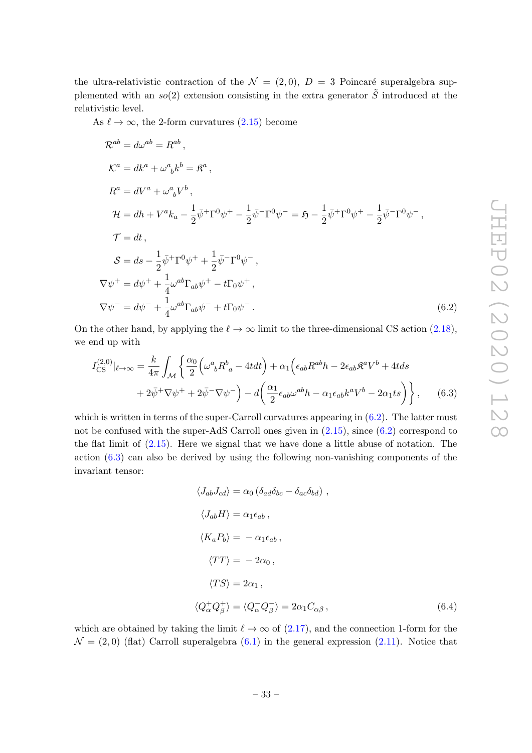the ultra-relativistic contraction of the  $\mathcal{N} = (2, 0), D = 3$  Poincaré superalgebra supplemented with an  $so(2)$  extension consisting in the extra generator  $\tilde{S}$  introduced at the relativistic level.

As  $\ell \to \infty$ , the 2-form curvatures (2.15) become

$$
\mathcal{R}^{ab} = d\omega^{ab} = R^{ab},
$$
  
\n
$$
\mathcal{K}^{a} = dk^{a} + \omega^{a}{}_{b}k^{b} = \mathfrak{K}^{a},
$$
  
\n
$$
R^{a} = dV^{a} + \omega^{a}{}_{b}V^{b},
$$
  
\n
$$
\mathcal{H} = dh + V^{a}k_{a} - \frac{1}{2}\bar{\psi}^{+}\Gamma^{0}\psi^{+} - \frac{1}{2}\bar{\psi}^{-}\Gamma^{0}\psi^{-} = \mathfrak{H} - \frac{1}{2}\bar{\psi}^{+}\Gamma^{0}\psi^{+} - \frac{1}{2}\bar{\psi}^{-}\Gamma^{0}\psi^{-},
$$
  
\n
$$
\mathcal{T} = dt,
$$
  
\n
$$
\mathcal{S} = ds - \frac{1}{2}\bar{\psi}^{+}\Gamma^{0}\psi^{+} + \frac{1}{2}\bar{\psi}^{-}\Gamma^{0}\psi^{-},
$$
  
\n
$$
\nabla\psi^{+} = d\psi^{+} + \frac{1}{4}\omega^{ab}\Gamma_{ab}\psi^{+} - t\Gamma_{0}\psi^{+},
$$
  
\n
$$
\nabla\psi^{-} = d\psi^{-} + \frac{1}{4}\omega^{ab}\Gamma_{ab}\psi^{-} + t\Gamma_{0}\psi^{-}.
$$
  
\n(6.2)

On the other hand, by applying the  $\ell \to \infty$  limit to the three-dimensional CS action (2.18), we end up with

$$
I_{\text{CS}}^{(2,0)}|_{\ell\to\infty} = \frac{k}{4\pi} \int_{\mathcal{M}} \left\{ \frac{\alpha_0}{2} \left( \omega^a{}_b R^b{}_a - 4t dt \right) + \alpha_1 \left( \epsilon_{ab} R^{ab} h - 2 \epsilon_{ab} \mathfrak{K}^a V^b + 4t ds \right) \right. \\ \left. + 2\bar{\psi}^+ \nabla \psi^+ + 2\bar{\psi}^- \nabla \psi^- \right) - d \left( \frac{\alpha_1}{2} \epsilon_{ab} \omega^{ab} h - \alpha_1 \epsilon_{ab} k^a V^b - 2\alpha_1 t s \right) \right\}, \tag{6.3}
$$

which is written in terms of the super-Carroll curvatures appearing in  $(6.2)$ . The latter must not be confused with the super-AdS Carroll ones given in  $(2.15)$ , since  $(6.2)$  correspond to the flat limit of (2.15). Here we signal that we have done a little abuse of notation. The action  $(6.3)$  can also be derived by using the following non-vanishing components of the invariant tensor:

$$
\langle J_{ab}J_{cd}\rangle = \alpha_0 \left(\delta_{ad}\delta_{bc} - \delta_{ac}\delta_{bd}\right),
$$
  

$$
\langle J_{ab}H\rangle = \alpha_1 \epsilon_{ab},
$$
  

$$
\langle K_a P_b \rangle = -\alpha_1 \epsilon_{ab},
$$
  

$$
\langle TT \rangle = -2\alpha_0,
$$
  

$$
\langle TS \rangle = 2\alpha_1,
$$
  

$$
\langle Q_\alpha^+ Q_\beta^+ \rangle = \langle Q_\alpha^- Q_\beta^- \rangle = 2\alpha_1 C_{\alpha\beta},
$$
  

$$
\langle 6.4 \rangle
$$

which are obtained by taking the limit  $\ell \to \infty$  of (2.17), and the connection 1-form for the  $\mathcal{N} = (2,0)$  (flat) Carroll superalgebra  $(6.1)$  in the general expression  $(2.11)$ . Notice that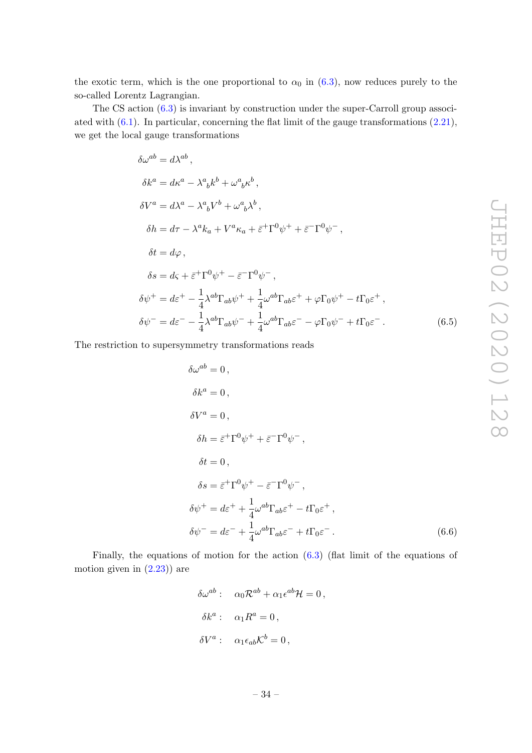the exotic term, which is the one proportional to  $\alpha_0$  in (6.3), now reduces purely to the so-called Lorentz Lagrangian.

The CS action (6.3) is invariant by construction under the super-Carroll group associated with  $(6.1)$ . In particular, concerning the flat limit of the gauge transformations  $(2.21)$ , we get the local gauge transformations

$$
\delta\omega^{ab} = d\lambda^{ab},
$$
  
\n
$$
\delta k^{a} = d\kappa^{a} - \lambda^{a}{}_{b}k^{b} + \omega^{a}{}_{b}\kappa^{b},
$$
  
\n
$$
\delta V^{a} = d\lambda^{a} - \lambda^{a}{}_{b}V^{b} + \omega^{a}{}_{b}\lambda^{b},
$$
  
\n
$$
\delta h = d\tau - \lambda^{a}k_{a} + V^{a}\kappa_{a} + \bar{\varepsilon}^{+}\Gamma^{0}\psi^{+} + \bar{\varepsilon}^{-}\Gamma^{0}\psi^{-},
$$
  
\n
$$
\delta t = d\varphi,
$$
  
\n
$$
\delta s = d\varsigma + \bar{\varepsilon}^{+}\Gamma^{0}\psi^{+} - \bar{\varepsilon}^{-}\Gamma^{0}\psi^{-},
$$
  
\n
$$
\delta\psi^{+} = d\bar{\varepsilon}^{+} - \frac{1}{4}\lambda^{ab}\Gamma_{ab}\psi^{+} + \frac{1}{4}\omega^{ab}\Gamma_{ab}\varepsilon^{+} + \varphi\Gamma_{0}\psi^{+} - t\Gamma_{0}\varepsilon^{+},
$$
  
\n
$$
\delta\psi^{-} = d\bar{\varepsilon}^{-} - \frac{1}{4}\lambda^{ab}\Gamma_{ab}\psi^{-} + \frac{1}{4}\omega^{ab}\Gamma_{ab}\varepsilon^{-} - \varphi\Gamma_{0}\psi^{-} + t\Gamma_{0}\varepsilon^{-}.
$$
  
\n(6.5)

The restriction to supersymmetry transformations reads

$$
\delta\omega^{ab} = 0,
$$
  
\n
$$
\delta k^{a} = 0,
$$
  
\n
$$
\delta h = \bar{\varepsilon}^{\dagger} \Gamma^{0} \psi^{+} + \bar{\varepsilon}^{\dagger} \Gamma^{0} \psi^{-},
$$
  
\n
$$
\delta t = 0,
$$
  
\n
$$
\delta s = \bar{\varepsilon}^{\dagger} \Gamma^{0} \psi^{+} - \bar{\varepsilon}^{\dagger} \Gamma^{0} \psi^{-},
$$
  
\n
$$
\delta \psi^{+} = d\varepsilon^{+} + \frac{1}{4} \omega^{ab} \Gamma_{ab} \varepsilon^{+} - t \Gamma_{0} \varepsilon^{+},
$$
  
\n
$$
\delta \psi^{-} = d\varepsilon^{-} + \frac{1}{4} \omega^{ab} \Gamma_{ab} \varepsilon^{-} + t \Gamma_{0} \varepsilon^{-}.
$$
\n(6.6)

Finally, the equations of motion for the action (6.3) (flat limit of the equations of motion given in  $(2.23)$  are

$$
\delta\omega^{ab} : \quad \alpha_0 \mathcal{R}^{ab} + \alpha_1 \epsilon^{ab} \mathcal{H} = 0,
$$
  

$$
\delta k^a : \quad \alpha_1 R^a = 0,
$$
  

$$
\delta V^a : \quad \alpha_1 \epsilon_{ab} \mathcal{K}^b = 0,
$$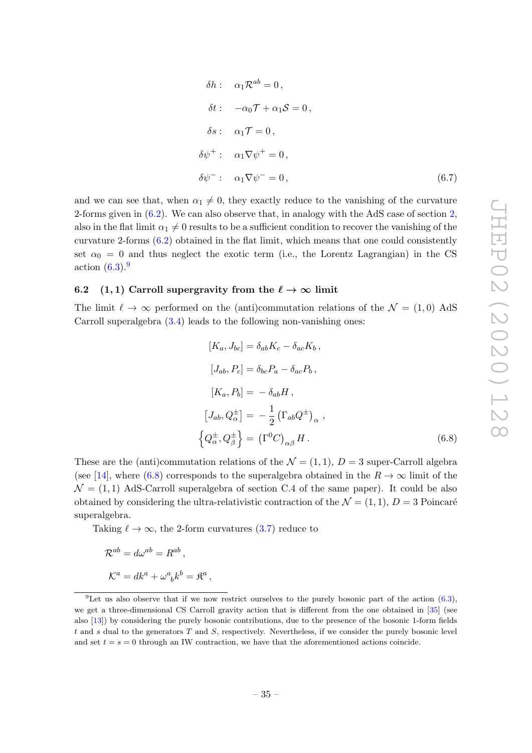$$
\delta h: \quad \alpha_1 \mathcal{R}^{ab} = 0,
$$
  
\n
$$
\delta t: \quad -\alpha_0 \mathcal{T} + \alpha_1 \mathcal{S} = 0,
$$
  
\n
$$
\delta s: \quad \alpha_1 \mathcal{T} = 0,
$$
  
\n
$$
\delta \psi^+: \quad \alpha_1 \nabla \psi^+ = 0,
$$
  
\n
$$
\delta \psi^-: \quad \alpha_1 \nabla \psi^- = 0,
$$
\n(6.7)

and we can see that, when  $\alpha_1 \neq 0$ , they exactly reduce to the vanishing of the curvature 2-forms given in (6.2). We can also observe that, in analogy with the AdS case of section 2, also in the flat limit  $\alpha_1 \neq 0$  results to be a sufficient condition to recover the vanishing of the curvature 2-forms (6.2) obtained in the flat limit, which means that one could consistently set  $\alpha_0 = 0$  and thus neglect the exotic term (i.e., the Lorentz Lagrangian) in the CS action  $(6.3)$ .<sup>9</sup>

#### 6.2 (1, 1) Carroll supergravity from the  $\ell \to \infty$  limit

The limit  $\ell \to \infty$  performed on the (anti)commutation relations of the  $\mathcal{N} = (1, 0)$  AdS Carroll superalgebra  $(3.4)$  leads to the following non-vanishing ones:

$$
[K_a, J_{bc}] = \delta_{ab} K_c - \delta_{ac} K_b,
$$
  
\n
$$
[J_{ab}, P_c] = \delta_{bc} P_a - \delta_{ac} P_b,
$$
  
\n
$$
[K_a, P_b] = -\delta_{ab} H,
$$
  
\n
$$
[J_{ab}, Q_{\alpha}^{\pm}] = -\frac{1}{2} (\Gamma_{ab} Q^{\pm})_{\alpha},
$$
  
\n
$$
\left\{ Q_{\alpha}^{\pm}, Q_{\beta}^{\pm} \right\} = (\Gamma^0 C)_{\alpha\beta} H.
$$
\n(6.8)

These are the (anti)commutation relations of the  $\mathcal{N} = (1, 1), D = 3$  super-Carroll algebra (see [14], where (6.8) corresponds to the superalgebra obtained in the  $R \to \infty$  limit of the  $\mathcal{N} = (1, 1)$  AdS-Carroll superalgebra of section C.4 of the same paper). It could be also obtained by considering the ultra-relativistic contraction of the  $\mathcal{N} = (1, 1), D = 3$  Poincaré superalgebra.

Taking  $\ell \to \infty$ , the 2-form curvatures (3.7) reduce to

,

$$
\mathcal{R}^{ab} = d\omega^{ab} = R^{ab},
$$
  

$$
\mathcal{K}^a = dk^a + \omega^a_{\ b} k^b = \mathcal{R}^a
$$

<sup>&</sup>lt;sup>9</sup>Let us also observe that if we now restrict ourselves to the purely bosonic part of the action  $(6.3)$ , we get a three-dimensional CS Carroll gravity action that is different from the one obtained in [35] (see also [13]) by considering the purely bosonic contributions, due to the presence of the bosonic 1-form fields t and s dual to the generators  $T$  and  $S$ , respectively. Nevertheless, if we consider the purely bosonic level and set  $t = s = 0$  through an IW contraction, we have that the aforementioned actions coincide.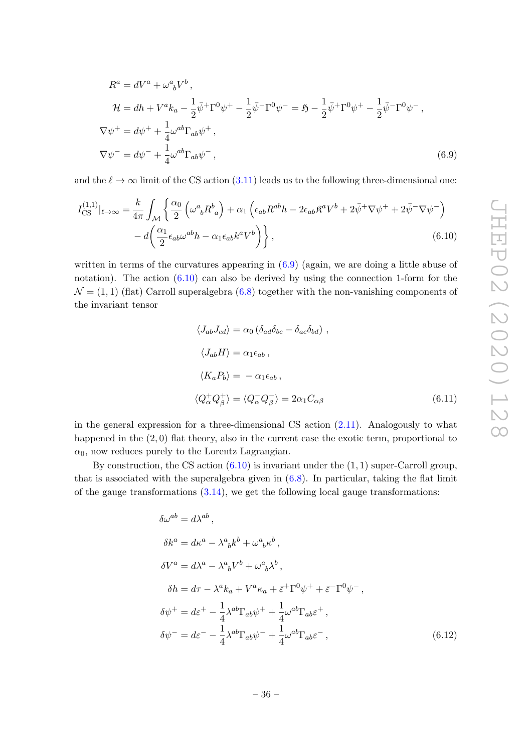$$
R^{a} = dV^{a} + \omega^{a}{}_{b}V^{b},
$$
  
\n
$$
\mathcal{H} = dh + V^{a}k_{a} - \frac{1}{2}\bar{\psi}^{+}\Gamma^{0}\psi^{+} - \frac{1}{2}\bar{\psi}^{-}\Gamma^{0}\psi^{-} = \mathfrak{H} - \frac{1}{2}\bar{\psi}^{+}\Gamma^{0}\psi^{+} - \frac{1}{2}\bar{\psi}^{-}\Gamma^{0}\psi^{-},
$$
  
\n
$$
\nabla\psi^{+} = d\psi^{+} + \frac{1}{4}\omega^{ab}\Gamma_{ab}\psi^{+},
$$
  
\n
$$
\nabla\psi^{-} = d\psi^{-} + \frac{1}{4}\omega^{ab}\Gamma_{ab}\psi^{-},
$$
\n(6.9)

and the  $\ell \to \infty$  limit of the CS action (3.11) leads us to the following three-dimensional one:

$$
I_{\text{CS}}^{(1,1)}|_{\ell \to \infty} = \frac{k}{4\pi} \int_{\mathcal{M}} \left\{ \frac{\alpha_0}{2} \left( \omega^a{}_b R^b{}_a \right) + \alpha_1 \left( \epsilon_{ab} R^{ab} h - 2 \epsilon_{ab} \mathfrak{K}^a V^b + 2 \bar{\psi}^+ \nabla \psi^+ + 2 \bar{\psi}^- \nabla \psi^- \right) \right. \\ \left. - d \left( \frac{\alpha_1}{2} \epsilon_{ab} \omega^{ab} h - \alpha_1 \epsilon_{ab} k^a V^b \right) \right\}, \tag{6.10}
$$

written in terms of the curvatures appearing in (6.9) (again, we are doing a little abuse of notation). The action  $(6.10)$  can also be derived by using the connection 1-form for the  $\mathcal{N} = (1, 1)$  (flat) Carroll superalgebra (6.8) together with the non-vanishing components of the invariant tensor

$$
\langle J_{ab}J_{cd}\rangle = \alpha_0 \left(\delta_{ad}\delta_{bc} - \delta_{ac}\delta_{bd}\right),
$$
  

$$
\langle J_{ab}H\rangle = \alpha_1 \epsilon_{ab},
$$
  

$$
\langle K_a P_b \rangle = -\alpha_1 \epsilon_{ab},
$$
  

$$
\langle Q^+_{\alpha} Q^+_{\beta} \rangle = \langle Q^-_{\alpha} Q^-_{\beta} \rangle = 2\alpha_1 C_{\alpha\beta} \tag{6.11}
$$

in the general expression for a three-dimensional CS action (2.11). Analogously to what happened in the  $(2, 0)$  flat theory, also in the current case the exotic term, proportional to  $\alpha_0$ , now reduces purely to the Lorentz Lagrangian.

By construction, the CS action  $(6.10)$  is invariant under the  $(1, 1)$  super-Carroll group, that is associated with the superalgebra given in  $(6.8)$ . In particular, taking the flat limit of the gauge transformations  $(3.14)$ , we get the following local gauge transformations:

$$
\delta\omega^{ab} = d\lambda^{ab},
$$
  
\n
$$
\delta k^{a} = d\kappa^{a} - \lambda^{a}{}_{b}k^{b} + \omega^{a}{}_{b}\kappa^{b},
$$
  
\n
$$
\delta V^{a} = d\lambda^{a} - \lambda^{a}{}_{b}V^{b} + \omega^{a}{}_{b}\lambda^{b},
$$
  
\n
$$
\delta h = d\tau - \lambda^{a}k_{a} + V^{a}\kappa_{a} + \bar{\varepsilon}^{+}\Gamma^{0}\psi^{+} + \bar{\varepsilon}^{-}\Gamma^{0}\psi^{-},
$$
  
\n
$$
\delta\psi^{+} = d\bar{\varepsilon}^{+} - \frac{1}{4}\lambda^{ab}\Gamma_{ab}\psi^{+} + \frac{1}{4}\omega^{ab}\Gamma_{ab}\varepsilon^{+},
$$
  
\n
$$
\delta\psi^{-} = d\bar{\varepsilon}^{-} - \frac{1}{4}\lambda^{ab}\Gamma_{ab}\psi^{-} + \frac{1}{4}\omega^{ab}\Gamma_{ab}\varepsilon^{-},
$$
\n(6.12)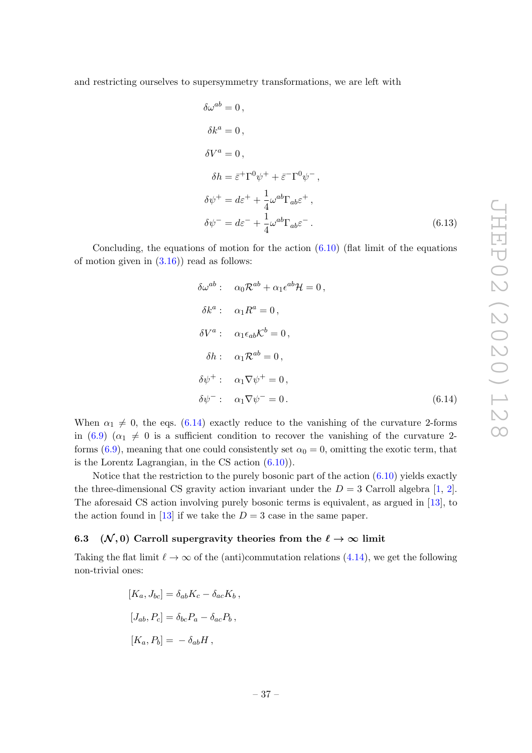and restricting ourselves to supersymmetry transformations, we are left with

$$
\delta\omega^{ab} = 0,
$$
  
\n
$$
\delta k^{a} = 0,
$$
  
\n
$$
\delta V^{a} = 0,
$$
  
\n
$$
\delta h = \bar{\varepsilon}^{\dagger} \Gamma^{0} \psi^{+} + \bar{\varepsilon}^{\dagger} \Gamma^{0} \psi^{-},
$$
  
\n
$$
\delta\psi^{+} = d\varepsilon^{+} + \frac{1}{4} \omega^{ab} \Gamma_{ab} \varepsilon^{+},
$$
  
\n
$$
\delta\psi^{-} = d\varepsilon^{-} + \frac{1}{4} \omega^{ab} \Gamma_{ab} \varepsilon^{-}.
$$
\n(6.13)

Concluding, the equations of motion for the action  $(6.10)$  (flat limit of the equations of motion given in  $(3.16)$  read as follows:

$$
\delta\omega^{ab} : \quad \alpha_0 \mathcal{R}^{ab} + \alpha_1 \epsilon^{ab} \mathcal{H} = 0,
$$
  
\n
$$
\delta k^a : \quad \alpha_1 R^a = 0,
$$
  
\n
$$
\delta V^a : \quad \alpha_1 \epsilon_{ab} \mathcal{K}^b = 0,
$$
  
\n
$$
\delta h : \quad \alpha_1 \mathcal{R}^{ab} = 0,
$$
  
\n
$$
\delta \psi^+ : \quad \alpha_1 \nabla \psi^+ = 0,
$$
  
\n
$$
\delta \psi^- : \quad \alpha_1 \nabla \psi^- = 0.
$$
\n(6.14)

When  $\alpha_1 \neq 0$ , the eqs. (6.14) exactly reduce to the vanishing of the curvature 2-forms in (6.9) ( $\alpha_1 \neq 0$  is a sufficient condition to recover the vanishing of the curvature 2forms (6.9), meaning that one could consistently set  $\alpha_0 = 0$ , omitting the exotic term, that is the Lorentz Lagrangian, in the CS action (6.10)).

Notice that the restriction to the purely bosonic part of the action  $(6.10)$  yields exactly the three-dimensional CS gravity action invariant under the  $D = 3$  Carroll algebra [1, 2]. The aforesaid CS action involving purely bosonic terms is equivalent, as argued in [13], to the action found in [13] if we take the  $D = 3$  case in the same paper.

## 6.3 ( $\mathcal{N}, 0$ ) Carroll supergravity theories from the  $\ell \to \infty$  limit

Taking the flat limit  $\ell \to \infty$  of the (anti)commutation relations (4.14), we get the following non-trivial ones:

$$
[K_a, J_{bc}] = \delta_{ab} K_c - \delta_{ac} K_b,
$$
  

$$
[J_{ab}, P_c] = \delta_{bc} P_a - \delta_{ac} P_b,
$$
  

$$
[K_a, P_b] = -\delta_{ab} H,
$$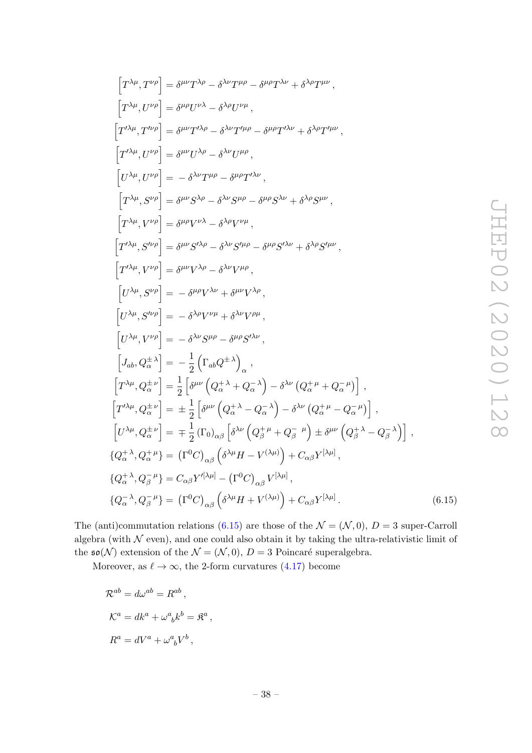$(6.15)$ 

$$
\begin{split}\n\left[T^{\lambda\mu},T^{\nu\rho}\right] &= \delta^{\mu\nu}T^{\lambda\rho} - \delta^{\lambda\nu}T^{\mu\rho} - \delta^{\mu\rho}T^{\lambda\nu} + \delta^{\lambda\rho}T^{\mu\nu}\,, \\
\left[T^{\lambda\mu},U^{\nu\rho}\right] &= \delta^{\mu\rho}U^{\nu\lambda} - \delta^{\lambda\rho}U^{\nu\mu}\,, \\
\left[T^{\prime\lambda\mu},T^{\nu\rho}\right] &= \delta^{\mu\nu}T^{\prime\lambda\rho} - \delta^{\lambda\nu}T^{\mu\rho} - \delta^{\mu\rho}T^{\prime\lambda\nu} + \delta^{\lambda\rho}T^{\prime\mu\nu}\,, \\
\left[T^{\prime\lambda\mu},U^{\nu\rho}\right] &= \delta^{\mu\nu}U^{\lambda\rho} - \delta^{\lambda\nu}U^{\mu\rho}\,, \\
\left[T^{\lambda\mu},V^{\nu\rho}\right] &= \delta^{\mu\nu}S^{\lambda\rho} - \delta^{\lambda\nu}S^{\mu\rho} - \delta^{\mu\rho}S^{\lambda\nu} + \delta^{\lambda\rho}S^{\mu\nu}\,, \\
\left[T^{\lambda\mu},S^{\nu\rho}\right] &= \delta^{\mu\nu}S^{\lambda\rho} - \delta^{\lambda\nu}S^{\mu\rho} - \delta^{\mu\rho}S^{\lambda\nu} + \delta^{\lambda\rho}S^{\mu\nu}\,, \\
\left[T^{\prime\lambda\mu},S^{\nu\rho}\right] &= \delta^{\mu\nu}S^{\prime\lambda\rho} - \delta^{\lambda\nu}S^{\prime\mu\rho} - \delta^{\mu\rho}S^{\prime\lambda\nu} + \delta^{\lambda\rho}S^{\prime\mu\nu}\,, \\
\left[T^{\prime\lambda\mu},V^{\nu\rho}\right] &= \delta^{\mu\nu}V^{\lambda\rho} - \delta^{\lambda\nu}V^{\mu\rho}\,, \\
\left[U^{\lambda\mu},S^{\nu\rho}\right] &= - \delta^{\mu\rho}V^{\lambda\nu} + \delta^{\mu\nu}V^{\lambda\rho}\,, \\
\left[U^{\lambda\mu},S^{\nu\rho}\right] &= - \delta^{\lambda\rho}V^{\nu\mu} + \delta^{\lambda\nu}V^{\rho\mu}\,, \\
\left[U^{\lambda\mu},S^{\nu\rho}\right] &
$$

The (anti)commutation relations (6.15) are those of the  $\mathcal{N} = (\mathcal{N}, 0), D = 3$  super-Carroll algebra (with  $N$  even), and one could also obtain it by taking the ultra-relativistic limit of the  $\mathfrak{so}(\mathcal{N})$  extension of the  $\mathcal{N} = (\mathcal{N}, 0), D = 3$  Poincaré superalgebra.

Moreover, as  $\ell \to \infty$ , the 2-form curvatures (4.17) become

$$
\mathcal{R}^{ab} = d\omega^{ab} = R^{ab} ,
$$
  

$$
\mathcal{K}^a = dk^a + \omega^a{}_b k^b = \mathfrak{K}^a ,
$$
  

$$
R^a = dV^a + \omega^a{}_b V^b ,
$$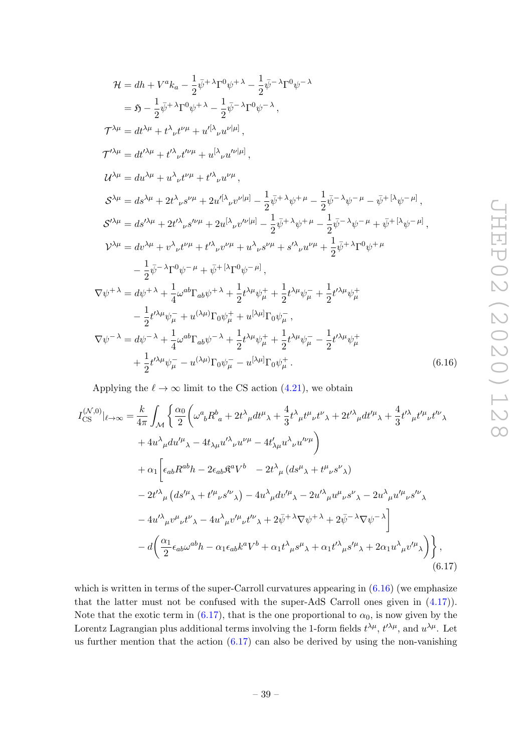$$
\mathcal{H} = dh + V^{a}k_{a} - \frac{1}{2}\bar{\psi}^{+}\lambda\Gamma^{0}\psi^{+}\lambda - \frac{1}{2}\bar{\psi}^{-}\lambda\Gamma^{0}\psi^{-}\lambda
$$
\n
$$
= \mathfrak{H} - \frac{1}{2}\bar{\psi}^{+}\lambda\Gamma^{0}\psi^{+}\lambda - \frac{1}{2}\bar{\psi}^{-}\lambda\Gamma^{0}\psi^{-}\lambda,
$$
\n
$$
\mathcal{T}^{\lambda\mu} = dt^{\lambda\mu} + t^{\lambda}{}_{\nu}t^{\nu\mu} + u^{[\lambda}{}_{\nu}u^{\nu|\mu]},
$$
\n
$$
\mathcal{T}^{\prime\lambda\mu} = dt^{\lambda\mu} + t^{\lambda}{}_{\nu}t^{\nu\mu} + u^{[\lambda}{}_{\nu}u^{\nu|\mu]},
$$
\n
$$
\mathcal{U}^{\lambda\mu} = du^{\lambda\mu} + u^{\lambda}{}_{\nu}t^{\nu\mu} + t^{\lambda}{}_{\nu}u^{\nu\mu},
$$
\n
$$
\mathcal{S}^{\lambda\mu} = ds^{\lambda\mu} + 2t^{\lambda}{}_{\nu}s^{\nu\mu} + 2u^{[\lambda}{}_{\nu}v^{\nu|\mu]} - \frac{1}{2}\bar{\psi}^{+}\lambda\psi^{+}\mu - \frac{1}{2}\bar{\psi}^{-}\lambda\psi^{-}\mu - \bar{\psi}^{+}[\lambda\psi^{-}\mu],
$$
\n
$$
\mathcal{S}^{\prime\lambda\mu} = ds^{\lambda\mu} + 2t^{\lambda}{}_{\nu}s^{\nu\mu} + 2u^{[\lambda}{}_{\nu}v^{\nu|\mu]} - \frac{1}{2}\bar{\psi}^{+}\lambda\psi^{+}\mu - \frac{1}{2}\bar{\psi}^{-}\lambda\psi^{-}\mu + \bar{\psi}^{+}[\lambda\psi^{-}\mu],
$$
\n
$$
\mathcal{V}^{\lambda\mu} = dv^{\lambda\mu} + v^{\lambda}{}_{\nu}t^{\nu\mu} + t^{\lambda}{}_{\nu}v^{\nu\mu} + u^{\lambda}{}_{\nu}s^{\nu\mu} + s^{\lambda}{}_{\nu}u^{\nu\mu} + \frac{1}{2}\bar{\psi}^{+}\lambda\Gamma^{0}\psi^{+}\mu
$$
\n
$$
- \frac{1}{2}\bar{\psi}^{-}\lambda\Gamma^{0}\psi^{-}\mu + \bar{\psi}^{+}[\lambda\Gamma^{
$$

Applying the  $\ell \to \infty$  limit to the CS action (4.21), we obtain

$$
I_{\text{CS}}^{(\mathcal{N},0)}|_{\ell\to\infty} = \frac{k}{4\pi} \int_{\mathcal{M}} \left\{ \frac{\alpha_0}{2} \left( \omega^a{}_b R^b{}_a + 2t^\lambda{}_\mu dt^\mu{}_\lambda + \frac{4}{3} t^\lambda{}_\mu t^\mu{}_\nu t^\nu{}_\lambda + 2t'^\lambda{}_\mu dt'^\mu{}_\lambda + \frac{4}{3} t'^\lambda{}_\mu t'^\mu{}_\nu t'^\nu{}_\lambda \right. \\ \left. + 4u^\lambda{}_\mu du'^\mu{}_\lambda - 4t_{\lambda\mu} u'^\lambda{}_\nu u^{\nu\mu} - 4t'_{\lambda\mu} u^\lambda{}_\nu u'^\nu{}^\mu \right) \\ \left. + \alpha_1 \left[ \epsilon_{ab} R^{ab} h - 2\epsilon_{ab} \mathfrak{K}^a V^b{}_{} - 2t^\lambda{}_\mu (ds^\mu{}_\lambda + t^\mu{}_\nu s^\nu{}_\lambda) \right. \\ \left. - 2t'^\lambda{}_\mu (ds'^\mu{}_\lambda + t'^\mu{}_\nu s'^\nu{}_\lambda) - 4u^\lambda{}_\mu dv'^\mu{}_\lambda - 2u'^\lambda{}_\mu u^\mu{}_\nu s^\nu{}_\lambda - 2u^\lambda{}_\mu u'^\mu{}_\nu s'^\nu{}_\lambda \right. \\ \left. - 4u'^\lambda{}_\mu v^\mu{}_\nu t^\nu{}_\lambda - 4u^\lambda{}_\mu v'^\mu{}_\nu t'^\nu{}_\lambda + 2\bar{\psi}^+{}^\lambda \nabla \psi^+{}^\lambda + 2\bar{\psi}^-{}^\lambda \nabla \psi^-{}^\lambda \right] \\ \left. - d \left( \frac{\alpha_1}{2} \epsilon_{ab} \omega^{ab} h - \alpha_1 \epsilon_{ab} k^a V^b + \alpha_1 t^\lambda{}_\mu s^\mu{}_\lambda + \alpha_1 t'^\lambda{}_\mu s'^\mu{}_\lambda + 2\alpha_1 u^\lambda{}_\mu v'^\mu{}_\lambda \right) \right\}, \tag{6.17}
$$

which is written in terms of the super-Carroll curvatures appearing in  $(6.16)$  (we emphasize that the latter must not be confused with the super-AdS Carroll ones given in (4.17)). Note that the exotic term in (6.17), that is the one proportional to  $\alpha_0$ , is now given by the Lorentz Lagrangian plus additional terms involving the 1-form fields  $t^{\lambda\mu}$ ,  $t^{\prime\lambda\mu}$ , and  $u^{\lambda\mu}$ . Let us further mention that the action  $(6.17)$  can also be derived by using the non-vanishing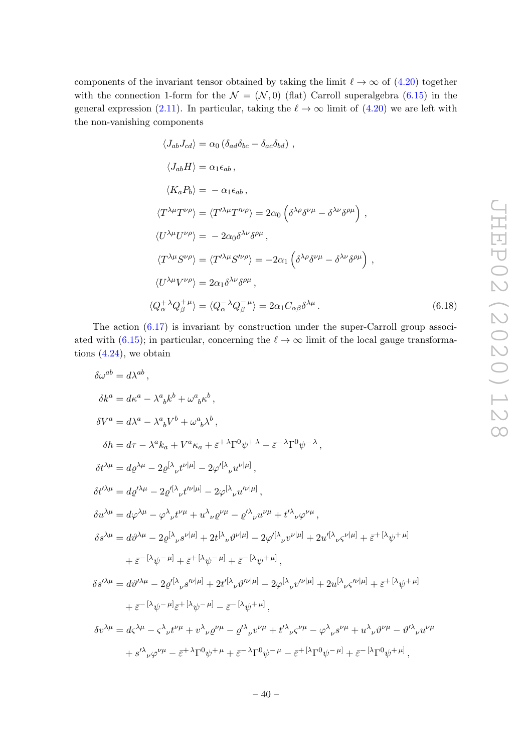components of the invariant tensor obtained by taking the limit  $\ell \to \infty$  of  $(4.20)$  together with the connection 1-form for the  $\mathcal{N} = (\mathcal{N}, 0)$  (flat) Carroll superalgebra (6.15) in the general expression (2.11). In particular, taking the  $\ell \to \infty$  limit of (4.20) we are left with the non-vanishing components

$$
\langle J_{ab}J_{cd}\rangle = \alpha_0 \left(\delta_{ad}\delta_{bc} - \delta_{ac}\delta_{bd}\right) ,
$$
  
\n
$$
\langle J_{ab}H\rangle = \alpha_1 \epsilon_{ab} ,
$$
  
\n
$$
\langle K_a P_b \rangle = -\alpha_1 \epsilon_{ab} ,
$$
  
\n
$$
\langle T^{\lambda\mu}T^{\nu\rho} \rangle = \langle T^{\prime\lambda\mu}T^{\prime\nu\rho} \rangle = 2\alpha_0 \left(\delta^{\lambda\rho}\delta^{\nu\mu} - \delta^{\lambda\nu}\delta^{\rho\mu}\right) ,
$$
  
\n
$$
\langle U^{\lambda\mu}U^{\nu\rho} \rangle = -2\alpha_0 \delta^{\lambda\nu}\delta^{\rho\mu} ,
$$
  
\n
$$
\langle T^{\lambda\mu}S^{\nu\rho} \rangle = \langle T^{\prime\lambda\mu}S^{\prime\nu\rho} \rangle = -2\alpha_1 \left(\delta^{\lambda\rho}\delta^{\nu\mu} - \delta^{\lambda\nu}\delta^{\rho\mu}\right) ,
$$
  
\n
$$
\langle U^{\lambda\mu}V^{\nu\rho} \rangle = 2\alpha_1 \delta^{\lambda\nu}\delta^{\rho\mu} ,
$$
  
\n
$$
\langle Q_{\alpha}^{+}{}^{\lambda}Q_{\beta}^{+}{}^{\mu} \rangle = \langle Q_{\alpha}^{-}{}^{\lambda}Q_{\beta}^{-}{}^{\mu} \rangle = 2\alpha_1 C_{\alpha\beta} \delta^{\lambda\mu} .
$$
  
\n(6.18)

The action (6.17) is invariant by construction under the super-Carroll group associated with (6.15); in particular, concerning the  $\ell \to \infty$  limit of the local gauge transformations  $(4.24)$ , we obtain

$$
\delta\omega^{ab} = d\lambda^{ab},
$$
\n
$$
\delta k^{a} = d\kappa^{a} - \lambda^{a}{}_{b}k^{b} + \omega^{a}{}_{b}\kappa^{b},
$$
\n
$$
\delta V^{a} = d\lambda^{a} - \lambda^{a}{}_{b}V^{b} + \omega^{a}{}_{b}\lambda^{b},
$$
\n
$$
\delta h = d\tau - \lambda^{a}k_{a} + V^{a}\kappa_{a} + \bar{\varepsilon}^{+}\lambda\Gamma^{0}\psi^{+}\lambda + \bar{\varepsilon}^{-}\lambda\Gamma^{0}\psi^{-}\lambda},
$$
\n
$$
\delta t^{\lambda\mu} = d\varrho^{\lambda\mu} - 2\varrho^{[\lambda}{}_{\nu}t^{\nu|\mu]} - 2\varphi'^{[\lambda}{}_{\nu}u^{\nu|\mu]},
$$
\n
$$
\delta t^{\lambda\mu} = d\varrho^{\lambda\mu} - 2\varrho^{[\lambda}{}_{\nu}t^{\nu|\mu]} - 2\varphi^{[\lambda}{}_{\nu}u^{\nu|\mu]},
$$
\n
$$
\delta u^{\lambda\mu} = d\varphi^{\lambda\mu} - \varphi^{\lambda}{}_{\nu}t^{\nu\mu} + u^{\lambda}{}_{\nu}\varrho^{\nu\mu} - \varrho^{\prime}{}_{\nu}{}_{\nu}u^{\nu\mu} + t^{\prime\lambda}{}_{\nu}\varphi^{\nu\mu},
$$
\n
$$
\delta s^{\lambda\mu} = d\vartheta^{\lambda\mu} - 2\varrho^{[\lambda}{}_{\nu}s^{\nu|\mu]} + 2t^{[\lambda}{}_{\nu}\vartheta^{\nu|\mu]} - 2\varphi'^{[\lambda}{}_{\nu}v^{\nu|\mu]} + 2u'^{[\lambda}{}_{\nu}\varsigma^{\nu|\mu]} + \bar{\varepsilon}^{+[\lambda}\psi^{+|\mu]} + \bar{\varepsilon}^{-[\lambda}\psi^{-|\mu]} + \bar{\varepsilon}^{-[\lambda}\psi^{-|\mu]} + \bar{\varepsilon}^{-[\lambda}\psi^{-|\mu]} + \bar{\varepsilon}^{-[\lambda}\psi^{-|\mu|]} + 2u^{[\lambda}{}_{\nu}\varsigma^{\nu|\mu]} + 2u^{[\lambda}{}_{\nu}\varsigma^{\nu|\mu]} + \bar{\varepsilon}^{+[\lambda}\psi^{+|\mu]} + \bar{\varepsilon}^{-[\lambda}\psi^{-|\mu|]} + 2t^{[\lambda}{}_{\nu}\vartheta^{\nu|\mu]}
$$

$$
\delta v^{\lambda \mu} = d \varsigma^{\lambda \mu} - \varsigma^{\lambda}{}_{\nu} t^{\nu \mu} + v^{\lambda}{}_{\nu} \varrho^{\nu \mu} - {\varrho'}^{\lambda}{}_{\nu} v^{\nu \mu} + t^{\prime \lambda}{}_{\nu} \varsigma^{\nu \mu} - {\varphi}^{\lambda}{}_{\nu} s^{\nu \mu} + u^{\lambda}{}_{\nu} \vartheta^{\nu \mu} - {\vartheta'}^{\lambda}{}_{\nu} u^{\nu \mu} + s^{\prime \lambda}{}_{\nu} {\varphi}^{\nu \mu} - \bar{\varepsilon}^{\mu}{}^{\lambda} \Gamma^{0} \psi^{+ \mu} + \bar{\varepsilon}^{-\lambda} \Gamma^{0} \psi^{- \mu} - \bar{\varepsilon}^{\mu}{}^{\lambda} \Gamma^{0} \psi^{- \mu} + \bar{\varepsilon}^{-\mu} \Gamma^{0} \psi^{+ \mu},
$$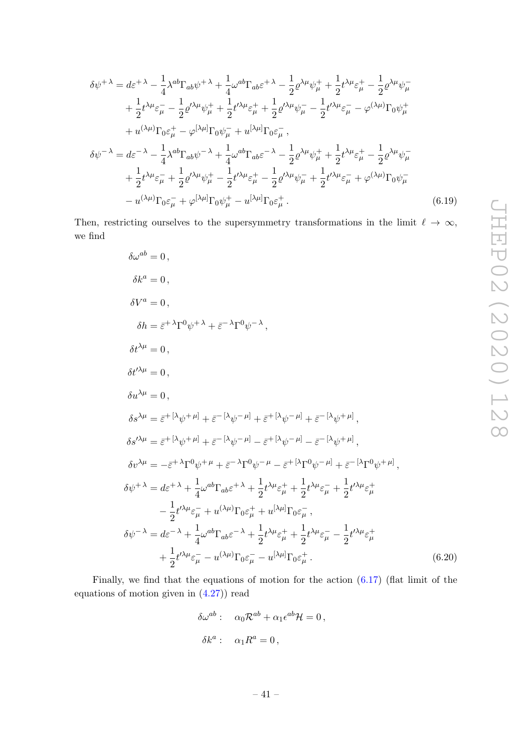$$
\delta\psi^{+\lambda} = d\varepsilon^{+\lambda} - \frac{1}{4}\lambda^{ab}\Gamma_{ab}\psi^{+\lambda} + \frac{1}{4}\omega^{ab}\Gamma_{ab}\varepsilon^{+\lambda} - \frac{1}{2}\varrho^{\lambda\mu}\psi^{+}_{\mu} + \frac{1}{2}t^{\lambda\mu}\varepsilon^{+}_{\mu} - \frac{1}{2}\varrho^{\lambda\mu}\psi^{-}_{\mu}
$$
  
+  $\frac{1}{2}t^{\lambda\mu}\varepsilon^{-}_{\mu} - \frac{1}{2}\varrho^{\prime\lambda\mu}\psi^{+}_{\mu} + \frac{1}{2}t^{\prime\lambda\mu}\varepsilon^{+}_{\mu} + \frac{1}{2}\varrho^{\prime\lambda\mu}\psi^{-}_{\mu} - \frac{1}{2}t^{\prime\lambda\mu}\varepsilon^{-}_{\mu} - \varphi^{(\lambda\mu)}\Gamma_{0}\psi^{+}_{\mu}$   
+  $u^{(\lambda\mu)}\Gamma_{0}\varepsilon^{+}_{\mu} - \varphi^{[\lambda\mu]}\Gamma_{0}\psi^{-}_{\mu} + u^{[\lambda\mu]}\Gamma_{0}\varepsilon^{-}_{\mu},$   

$$
\delta\psi^{-\lambda} = d\varepsilon^{-\lambda} - \frac{1}{4}\lambda^{ab}\Gamma_{ab}\psi^{-\lambda} + \frac{1}{4}\omega^{ab}\Gamma_{ab}\varepsilon^{-\lambda} - \frac{1}{2}\varrho^{\lambda\mu}\psi^{+}_{\mu} + \frac{1}{2}t^{\lambda\mu}\varepsilon^{+}_{\mu} - \frac{1}{2}\varrho^{\lambda\mu}\psi^{-}_{\mu}
$$
  
+  $\frac{1}{2}t^{\lambda\mu}\varepsilon^{-}_{\mu} + \frac{1}{2}\varrho^{\prime\lambda\mu}\psi^{+}_{\mu} - \frac{1}{2}t^{\prime\lambda\mu}\varepsilon^{+}_{\mu} - \frac{1}{2}\varrho^{\prime\lambda\mu}\psi^{-}_{\mu} + \frac{1}{2}t^{\prime\lambda\mu}\varepsilon^{-}_{\mu} + \varphi^{(\lambda\mu)}\Gamma_{0}\psi^{-}_{\mu}$   
-  $u^{(\lambda\mu)}\Gamma_{0}\varepsilon^{-}_{\mu} + \varphi^{[\lambda\mu]}\Gamma_{0}\psi^{+}_{\mu} - u^{[\lambda\mu]}\Gamma_{0}\varepsilon^{+}_{\mu}.$  (6.19)

Then, restricting ourselves to the supersymmetry transformations in the limit  $\ell \to \infty$ , we find

$$
\delta\omega^{ab} = 0,
$$
\n
$$
\delta k^{a} = 0,
$$
\n
$$
\delta V^{a} = 0,
$$
\n
$$
\delta h = \bar{\varepsilon}^{+ \lambda} \Gamma^{0} \psi^{+ \lambda} + \bar{\varepsilon}^{- \lambda} \Gamma^{0} \psi^{- \lambda},
$$
\n
$$
\delta t^{\lambda \mu} = 0,
$$
\n
$$
\delta t^{\lambda \mu} = 0,
$$
\n
$$
\delta u^{\lambda \mu} = 0,
$$
\n
$$
\delta s^{\lambda \mu} = \bar{\varepsilon}^{+ \left[ \lambda \psi^{+ \mu} \right] + \bar{\varepsilon}^{- \left[ \lambda \psi^{- \mu} \right]} + \bar{\varepsilon}^{+ \left[ \lambda \psi^{- \mu} \right]} + \bar{\varepsilon}^{- \left[ \lambda \psi^{+ \mu} \right]},
$$
\n
$$
\delta s^{\lambda \mu} = \bar{\varepsilon}^{+ \left[ \lambda \psi^{+ \mu} \right]} + \bar{\varepsilon}^{- \left[ \lambda \psi^{- \mu} \right]} - \bar{\varepsilon}^{+ \left[ \lambda \psi^{- \mu} \right]} - \bar{\varepsilon}^{- \left[ \lambda \psi^{+ \mu} \right]},
$$
\n
$$
\delta v^{\lambda \mu} = - \bar{\varepsilon}^{+ \lambda} \Gamma^{0} \psi^{+ \mu} + \bar{\varepsilon}^{- \lambda} \Gamma^{0} \psi^{- \mu} - \bar{\varepsilon}^{+ \left[ \lambda \Gamma^{0} \psi^{- \mu} \right]} + \bar{\varepsilon}^{- \left[ \lambda \Gamma^{0} \psi^{+ \mu} \right]},
$$
\n
$$
\delta \psi^{+ \lambda} = d \varepsilon^{+ \lambda} + \frac{1}{4} \omega^{ab} \Gamma_{ab} \varepsilon^{+ \lambda} + \frac{1}{2} t^{\lambda \mu} \varepsilon_{\mu}^{+} + \frac{1}{2} t^{\lambda \mu} \varepsilon_{\mu}^{-} + \frac{1}{2} t^{\lambda \mu} \varepsilon_{\mu}^{+}
$$
\n
$$
- \frac{1}{2} t^{\prime \lambda \mu} \varepsilon_{\mu}^{-} + u^{(\lambda \mu)} \Gamma_{0} \varepsilon_{\mu}^{+} + u^{[\lambda \mu]} \Gamma_{0} \varepsilon_{\mu}^{-},
$$
\n
$$
\delta \psi^{- \lambda} = d \vare
$$

Finally, we find that the equations of motion for the action (6.17) (flat limit of the equations of motion given in (4.27)) read

$$
\delta\omega^{ab} : \quad \alpha_0 \mathcal{R}^{ab} + \alpha_1 \epsilon^{ab} \mathcal{H} = 0,
$$
  

$$
\delta k^a : \quad \alpha_1 R^a = 0,
$$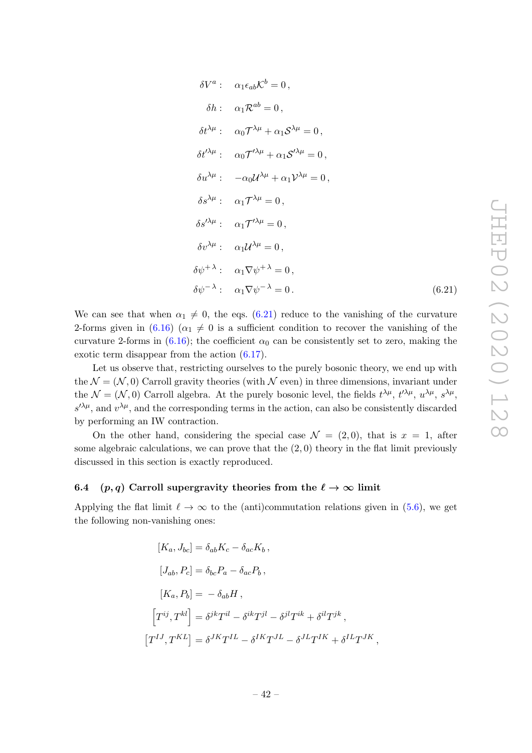$$
\delta V^{a}: \quad \alpha_{1}\epsilon_{ab}\mathcal{K}^{b}=0,
$$
\n
$$
\delta h: \quad \alpha_{1}\mathcal{R}^{ab}=0,
$$
\n
$$
\delta t^{\lambda\mu}: \quad \alpha_{0}\mathcal{T}^{\lambda\mu}+\alpha_{1}\mathcal{S}^{\lambda\mu}=0,
$$
\n
$$
\delta t^{\prime\lambda\mu}: \quad \alpha_{0}\mathcal{T}^{\prime\lambda\mu}+\alpha_{1}\mathcal{S}^{\prime\lambda\mu}=0,
$$
\n
$$
\delta u^{\lambda\mu}: \quad -\alpha_{0}\mathcal{U}^{\lambda\mu}+\alpha_{1}\mathcal{V}^{\lambda\mu}=0,
$$
\n
$$
\delta s^{\lambda\mu}: \quad \alpha_{1}\mathcal{T}^{\lambda\mu}=0,
$$
\n
$$
\delta s^{\prime\lambda\mu}: \quad \alpha_{1}\mathcal{T}^{\prime\lambda\mu}=0,
$$
\n
$$
\delta v^{\lambda\mu}: \quad \alpha_{1}\mathcal{U}^{\lambda\mu}=0,
$$
\n
$$
\delta\psi^{+\lambda}: \quad \alpha_{1}\nabla\psi^{+\lambda}=0,
$$
\n
$$
\delta\psi^{-\lambda}: \quad \alpha_{1}\nabla\psi^{-\lambda}=0.
$$

We can see that when  $\alpha_1 \neq 0$ , the eqs. (6.21) reduce to the vanishing of the curvature 2-forms given in (6.16) ( $\alpha_1 \neq 0$  is a sufficient condition to recover the vanishing of the curvature 2-forms in (6.16); the coefficient  $\alpha_0$  can be consistently set to zero, making the exotic term disappear from the action (6.17).

Let us observe that, restricting ourselves to the purely bosonic theory, we end up with the  $\mathcal{N} = (\mathcal{N}, 0)$  Carroll gravity theories (with  $\mathcal{N}$  even) in three dimensions, invariant under the  $\mathcal{N} = (\mathcal{N}, 0)$  Carroll algebra. At the purely bosonic level, the fields  $t^{\lambda\mu}$ ,  $t^{\lambda\mu}$ ,  $u^{\lambda\mu}$ ,  $s^{\lambda\mu}$ ,  $s^{\prime\lambda\mu}$ , and  $v^{\lambda\mu}$ , and the corresponding terms in the action, can also be consistently discarded by performing an IW contraction.

On the other hand, considering the special case  $\mathcal{N} = (2, 0)$ , that is  $x = 1$ , after some algebraic calculations, we can prove that the  $(2, 0)$  theory in the flat limit previously discussed in this section is exactly reproduced.

#### 6.4 (p, q) Carroll supergravity theories from the  $\ell \to \infty$  limit

Applying the flat limit  $\ell \to \infty$  to the (anti)commutation relations given in (5.6), we get the following non-vanishing ones:

$$
[K_a, J_{bc}] = \delta_{ab} K_c - \delta_{ac} K_b,
$$
  
\n
$$
[J_{ab}, P_c] = \delta_{bc} P_a - \delta_{ac} P_b,
$$
  
\n
$$
[K_a, P_b] = -\delta_{ab} H,
$$
  
\n
$$
\left[T^{ij}, T^{kl}\right] = \delta^{jk} T^{il} - \delta^{ik} T^{jl} - \delta^{jl} T^{ik} + \delta^{il} T^{jk},
$$
  
\n
$$
\left[T^{IJ}, T^{KL}\right] = \delta^{JK} T^{IL} - \delta^{IK} T^{JL} - \delta^{JL} T^{IK} + \delta^{IL} T^{JK},
$$

 $(6.21)$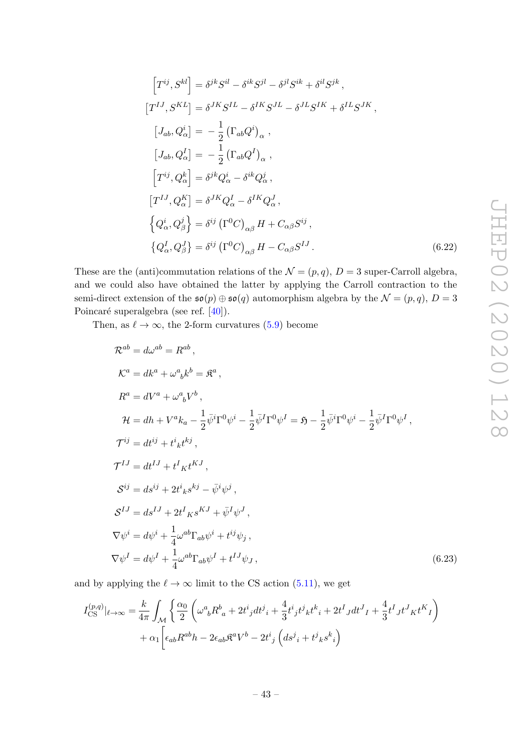$$
\begin{aligned}\n\left[T^{ij}, S^{kl}\right] &= \delta^{jk} S^{il} - \delta^{ik} S^{jl} - \delta^{jl} S^{ik} + \delta^{il} S^{jk}, \\
\left[T^{IJ}, S^{KL}\right] &= \delta^{JK} S^{IL} - \delta^{IK} S^{JL} - \delta^{JL} S^{IK} + \delta^{IL} S^{JK}, \\
\left[J_{ab}, Q_{\alpha}^{i}\right] &= -\frac{1}{2} \left(\Gamma_{ab} Q^{i}\right)_{\alpha}, \\
\left[J_{ab}, Q_{\alpha}^{I}\right] &= -\frac{1}{2} \left(\Gamma_{ab} Q^{I}\right)_{\alpha}, \\
\left[T^{ij}, Q_{\alpha}^{k}\right] &= \delta^{jk} Q_{\alpha}^{i} - \delta^{ik} Q_{\alpha}^{j}, \\
\left[T^{IJ}, Q_{\alpha}^{K}\right] &= \delta^{JK} Q_{\alpha}^{I} - \delta^{IK} Q_{\alpha}^{J}, \\
\left\{Q_{\alpha}^{i}, Q_{\beta}^{j}\right\} &= \delta^{ij} \left(\Gamma^{0} C\right)_{\alpha\beta} H + C_{\alpha\beta} S^{ij}, \\
\left\{Q_{\alpha}^{I}, Q_{\beta}^{J}\right\} &= \delta^{ij} \left(\Gamma^{0} C\right)_{\alpha\beta} H - C_{\alpha\beta} S^{IJ}.\n\end{aligned} \tag{6.22}
$$

These are the (anti)commutation relations of the  $\mathcal{N} = (p, q)$ ,  $D = 3$  super-Carroll algebra, and we could also have obtained the latter by applying the Carroll contraction to the semi-direct extension of the  $\mathfrak{so}(p) \oplus \mathfrak{so}(q)$  automorphism algebra by the  $\mathcal{N} = (p, q), D = 3$ Poincaré superalgebra (see ref. [40]).

Then, as  $\ell \to \infty$ , the 2-form curvatures (5.9) become

$$
\mathcal{R}^{ab} = d\omega^{ab} = R^{ab},
$$
  
\n
$$
\mathcal{K}^{a} = dk^{a} + \omega^{a}{}_{b}k^{b} = \mathfrak{K}^{a},
$$
  
\n
$$
R^{a} = dV^{a} + \omega^{a}{}_{b}V^{b},
$$
  
\n
$$
\mathcal{H} = dh + V^{a}k_{a} - \frac{1}{2}\bar{\psi}^{i}\Gamma^{0}\psi^{i} - \frac{1}{2}\bar{\psi}^{I}\Gamma^{0}\psi^{I} = \mathfrak{H} - \frac{1}{2}\bar{\psi}^{i}\Gamma^{0}\psi^{i} - \frac{1}{2}\bar{\psi}^{I}\Gamma^{0}\psi^{I},
$$
  
\n
$$
\mathcal{T}^{ij} = dt^{ij} + t^{i}{}_{k}t^{kj},
$$
  
\n
$$
\mathcal{T}^{IJ} = dt^{IJ} + t^{I}{}_{K}t^{KJ},
$$
  
\n
$$
\mathcal{S}^{ij} = ds^{ij} + 2t^{i}{}_{k}s^{kj} - \bar{\psi}^{i}\psi^{j},
$$
  
\n
$$
\mathcal{S}^{IJ} = ds^{IJ} + 2t^{I}{}_{K}s^{KJ} + \bar{\psi}^{I}\psi^{J},
$$
  
\n
$$
\nabla\psi^{i} = d\psi^{i} + \frac{1}{4}\omega^{ab}\Gamma_{ab}\psi^{i} + t^{ij}\psi_{j},
$$
  
\n
$$
\nabla\psi^{I} = d\psi^{I} + \frac{1}{4}\omega^{ab}\Gamma_{ab}\psi^{I} + t^{IJ}\psi_{J},
$$
  
\n(6.23)

and by applying the  $\ell \to \infty$  limit to the CS action (5.11), we get

$$
I_{\text{CS}}^{(p,q)}|_{\ell \to \infty} = \frac{k}{4\pi} \int_{\mathcal{M}} \left\{ \frac{\alpha_0}{2} \left( \omega^a{}_b R^b{}_a + 2t^i{}_j dt^j{}_i + \frac{4}{3} t^i{}_j t^j{}_k t^k{}_i + 2t^I{}_J dt^J{}_I + \frac{4}{3} t^I{}_J t^J{}_K t^K{}_I \right) \right. \\ \left. + \alpha_1 \left[ \epsilon_{ab} R^{ab} h - 2\epsilon_{ab} \mathfrak{K}^a V^b - 2t^i{}_j \left( ds^j{}_i + t^j{}_k s^k{}_i \right) \right. \right.
$$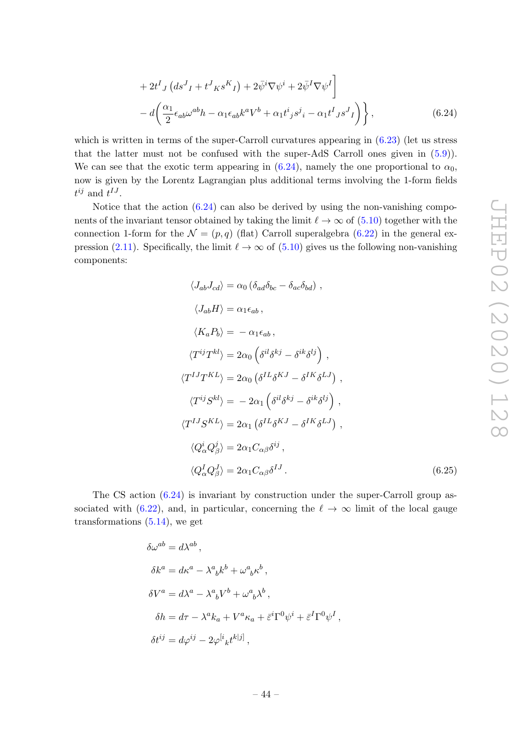$$
+2t^{I} J \left(ds^{J}{}_{I}+t^{J} K s^{K}{}_{I}\right)+2\bar{\psi}^{i} \nabla \psi^{i}+2\bar{\psi}^{I} \nabla \psi^{I}\bigg] -d\bigg(\frac{\alpha_{1}}{2}\epsilon_{ab}\omega^{ab}h-\alpha_{1}\epsilon_{ab}k^{a}V^{b}+\alpha_{1}t^{i}{}_{j}s^{j}{}_{i}-\alpha_{1}t^{I}{}_{J}s^{J}{}_{I}\bigg)\bigg\},
$$
\n(6.24)

which is written in terms of the super-Carroll curvatures appearing in (6.23) (let us stress that the latter must not be confused with the super-AdS Carroll ones given in (5.9)). We can see that the exotic term appearing in (6.24), namely the one proportional to  $\alpha_0$ , now is given by the Lorentz Lagrangian plus additional terms involving the 1-form fields  $t^{ij}$  and  $t^{IJ}$ .

Notice that the action  $(6.24)$  can also be derived by using the non-vanishing components of the invariant tensor obtained by taking the limit  $\ell \to \infty$  of (5.10) together with the connection 1-form for the  $\mathcal{N} = (p,q)$  (flat) Carroll superalgebra (6.22) in the general expression (2.11). Specifically, the limit  $\ell \to \infty$  of (5.10) gives us the following non-vanishing components:

$$
\langle J_{ab}J_{cd} \rangle = \alpha_0 \left( \delta_{ad} \delta_{bc} - \delta_{ac} \delta_{bd} \right) ,
$$
  
\n
$$
\langle J_{ab}H \rangle = \alpha_1 \epsilon_{ab} ,
$$
  
\n
$$
\langle K_a P_b \rangle = -\alpha_1 \epsilon_{ab} ,
$$
  
\n
$$
\langle T^{ij}T^{kl} \rangle = 2\alpha_0 \left( \delta^{il} \delta^{kj} - \delta^{ik} \delta^{lj} \right) ,
$$
  
\n
$$
\langle T^{IJ}T^{KL} \rangle = 2\alpha_0 \left( \delta^{IL} \delta^{KJ} - \delta^{IK} \delta^{LJ} \right) ,
$$
  
\n
$$
\langle T^{ij}S^{kl} \rangle = -2\alpha_1 \left( \delta^{il} \delta^{kj} - \delta^{ik} \delta^{lj} \right) ,
$$
  
\n
$$
\langle T^{IJ}S^{KL} \rangle = 2\alpha_1 \left( \delta^{IL} \delta^{KJ} - \delta^{IK} \delta^{LJ} \right) ,
$$
  
\n
$$
\langle Q^i_{\alpha} Q^j_{\beta} \rangle = 2\alpha_1 C_{\alpha\beta} \delta^{ij} ,
$$
  
\n
$$
\langle Q^I_{\alpha} Q^J_{\beta} \rangle = 2\alpha_1 C_{\alpha\beta} \delta^{IJ} .
$$
  
\n(6.25)

The CS action (6.24) is invariant by construction under the super-Carroll group associated with (6.22), and, in particular, concerning the  $\ell \to \infty$  limit of the local gauge transformations (5.14), we get

$$
\begin{array}{l} \delta\omega^{ab}=d\lambda^{ab}\,,\\ \\ \delta k^a=d\kappa^a-\lambda^a_{\ b}k^b+\omega^a_{\ b}\kappa^b\,,\\ \\ \delta V^a=d\lambda^a-\lambda^a_{\ b}V^b+\omega^a_{\ b}\lambda^b\,,\\ \\ \delta h=d\tau-\lambda^a k_a+V^a\kappa_a+\bar{\varepsilon}^i\Gamma^0\psi^i+\bar{\varepsilon}^I\Gamma^0\psi^I\,,\\ \\ \delta t^{ij}=d\varphi^{ij}-2\varphi^{[i}{}_{k}t^{k[j]}\,, \end{array}
$$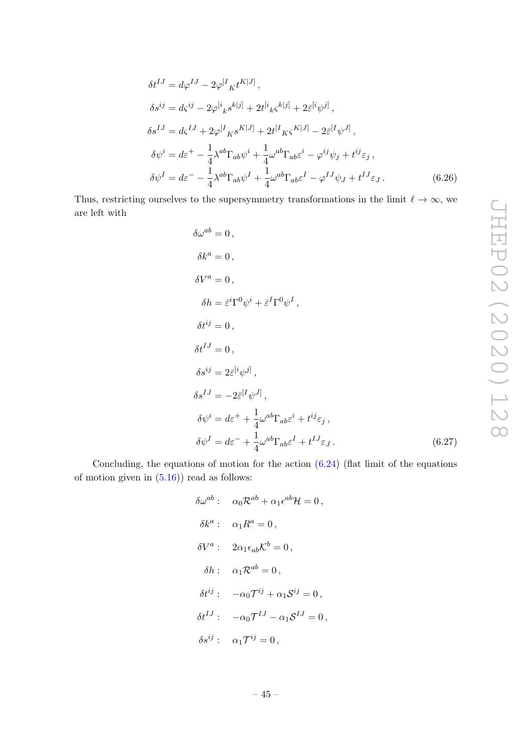$$
\delta t^{IJ} = d\varphi^{IJ} - 2\varphi^{[I}{}_{K}t^{K|J]},
$$
  
\n
$$
\delta s^{ij} = d\varsigma^{ij} - 2\varphi^{[i}{}_{k} s^{k|j]} + 2t^{[i}{}_{k} \varsigma^{k|j]} + 2\bar{\varepsilon}^{[i}{}_{\psi}{}^{j]},
$$
  
\n
$$
\delta s^{IJ} = d\varsigma^{IJ} + 2\varphi^{[I}{}_{K} s^{K|J]} + 2t^{[I}{}_{K} \varsigma^{K|J]} - 2\bar{\varepsilon}^{[I}{}_{\psi}{}^{J]},
$$
  
\n
$$
\delta \psi^{i} = d\varepsilon^{+} - \frac{1}{4} \lambda^{ab} \Gamma_{ab} \psi^{i} + \frac{1}{4} \omega^{ab} \Gamma_{ab} \varepsilon^{i} - \varphi^{ij} \psi_{j} + t^{ij} \varepsilon_{j},
$$
  
\n
$$
\delta \psi^{I} = d\varepsilon^{-} - \frac{1}{4} \lambda^{ab} \Gamma_{ab} \psi^{I} + \frac{1}{4} \omega^{ab} \Gamma_{ab} \varepsilon^{I} - \varphi^{IJ} \psi_{J} + t^{IJ} \varepsilon_{J}.
$$
\n(6.26)

Thus, restricting ourselves to the supersymmetry transformations in the limit  $\ell \to \infty$ , we are left with

$$
\delta \omega^{ab} = 0,
$$
  
\n
$$
\delta k^{a} = 0,
$$
  
\n
$$
\delta h = \bar{\varepsilon}^{i} \Gamma^{0} \psi^{i} + \bar{\varepsilon}^{I} \Gamma^{0} \psi^{I},
$$
  
\n
$$
\delta t^{ij} = 0,
$$
  
\n
$$
\delta t^{IJ} = 0,
$$
  
\n
$$
\delta s^{ij} = 2\bar{\varepsilon}^{[i} \psi^{j]},
$$
  
\n
$$
\delta s^{IJ} = -2\bar{\varepsilon}^{[I} \psi^{J]},
$$
  
\n
$$
\delta \psi^{i} = d\varepsilon^{+} + \frac{1}{4} \omega^{ab} \Gamma_{ab} \varepsilon^{i} + t^{ij} \varepsilon_{j},
$$
  
\n
$$
\delta \psi^{I} = d\varepsilon^{-} + \frac{1}{4} \omega^{ab} \Gamma_{ab} \varepsilon^{I} + t^{IJ} \varepsilon_{J}.
$$
  
\n(6.27)

Concluding, the equations of motion for the action  $(6.24)$  (flat limit of the equations of motion given in  $(5.16)$  read as follows:

$$
\delta\omega^{ab} : \quad \alpha_0 \mathcal{R}^{ab} + \alpha_1 \epsilon^{ab} \mathcal{H} = 0,
$$
  
\n
$$
\delta k^a : \quad \alpha_1 R^a = 0,
$$
  
\n
$$
\delta V^a : \quad 2\alpha_1 \epsilon_{ab} \mathcal{K}^b = 0,
$$
  
\n
$$
\delta h : \quad \alpha_1 \mathcal{R}^{ab} = 0,
$$
  
\n
$$
\delta t^{ij} : \quad -\alpha_0 \mathcal{T}^{ij} + \alpha_1 \mathcal{S}^{ij} = 0,
$$
  
\n
$$
\delta t^{IJ} : \quad -\alpha_0 \mathcal{T}^{IJ} - \alpha_1 \mathcal{S}^{IJ} = 0,
$$
  
\n
$$
\delta s^{ij} : \quad \alpha_1 \mathcal{T}^{ij} = 0,
$$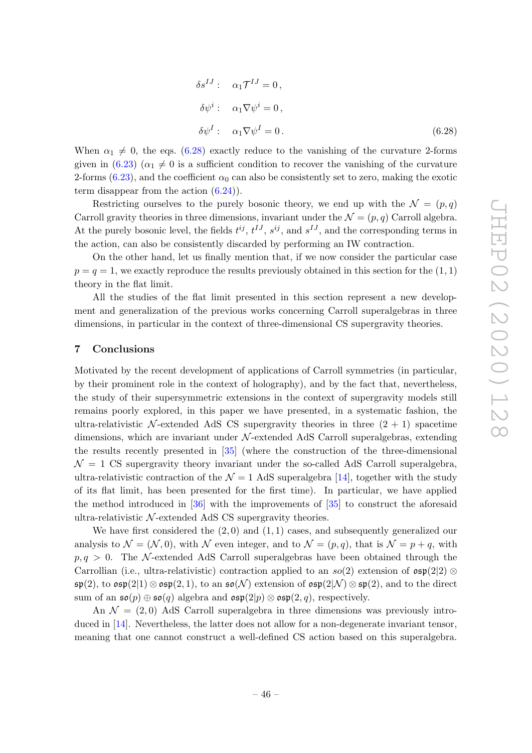$$
\delta s^{IJ}: \quad \alpha_1 \mathcal{T}^{IJ} = 0,
$$
  
\n
$$
\delta \psi^i: \quad \alpha_1 \nabla \psi^i = 0,
$$
  
\n
$$
\delta \psi^I: \quad \alpha_1 \nabla \psi^I = 0.
$$
\n(6.28)

When  $\alpha_1 \neq 0$ , the eqs. (6.28) exactly reduce to the vanishing of the curvature 2-forms given in (6.23) ( $\alpha_1 \neq 0$  is a sufficient condition to recover the vanishing of the curvature 2-forms (6.23), and the coefficient  $\alpha_0$  can also be consistently set to zero, making the exotic term disappear from the action (6.24)).

Restricting ourselves to the purely bosonic theory, we end up with the  $\mathcal{N} = (p,q)$ Carroll gravity theories in three dimensions, invariant under the  $\mathcal{N} = (p, q)$  Carroll algebra. At the purely bosonic level, the fields  $t^{ij}$ ,  $t^{IJ}$ ,  $s^{ij}$ , and  $s^{IJ}$ , and the corresponding terms in the action, can also be consistently discarded by performing an IW contraction.

On the other hand, let us finally mention that, if we now consider the particular case  $p = q = 1$ , we exactly reproduce the results previously obtained in this section for the  $(1, 1)$ theory in the flat limit.

All the studies of the flat limit presented in this section represent a new development and generalization of the previous works concerning Carroll superalgebras in three dimensions, in particular in the context of three-dimensional CS supergravity theories.

#### 7 Conclusions

Motivated by the recent development of applications of Carroll symmetries (in particular, by their prominent role in the context of holography), and by the fact that, nevertheless, the study of their supersymmetric extensions in the context of supergravity models still remains poorly explored, in this paper we have presented, in a systematic fashion, the ultra-relativistic N-extended AdS CS supergravity theories in three  $(2 + 1)$  spacetime dimensions, which are invariant under  $N$ -extended AdS Carroll superalgebras, extending the results recently presented in [35] (where the construction of the three-dimensional  $\mathcal{N} = 1$  CS supergravity theory invariant under the so-called AdS Carroll superalgebra. ultra-relativistic contraction of the  $\mathcal{N} = 1$  AdS superalgebra [14], together with the study of its flat limit, has been presented for the first time). In particular, we have applied the method introduced in [36] with the improvements of [35] to construct the aforesaid ultra-relativistic  $N$ -extended AdS CS supergravity theories.

We have first considered the  $(2,0)$  and  $(1,1)$  cases, and subsequently generalized our analysis to  $\mathcal{N} = (\mathcal{N}, 0)$ , with  $\mathcal{N}$  even integer, and to  $\mathcal{N} = (p, q)$ , that is  $\mathcal{N} = p + q$ , with  $p, q > 0$ . The N-extended AdS Carroll superalgebras have been obtained through the Carrollian (i.e., ultra-relativistic) contraction applied to an  $s\sigma(2)$  extension of  $\mathfrak{osp}(2|2)$  ⊗  $\mathfrak{sp}(2)$ , to  $\mathfrak{osp}(2|1) \otimes \mathfrak{osp}(2,1)$ , to an  $\mathfrak{so}(\mathcal{N})$  extension of  $\mathfrak{osp}(2|\mathcal{N}) \otimes \mathfrak{sp}(2)$ , and to the direct sum of an  $\mathfrak{so}(p) \oplus \mathfrak{so}(q)$  algebra and  $\mathfrak{osp}(2|p) \otimes \mathfrak{osp}(2,q)$ , respectively.

An  $\mathcal{N} = (2, 0)$  AdS Carroll superalgebra in three dimensions was previously introduced in [14]. Nevertheless, the latter does not allow for a non-degenerate invariant tensor, meaning that one cannot construct a well-defined CS action based on this superalgebra.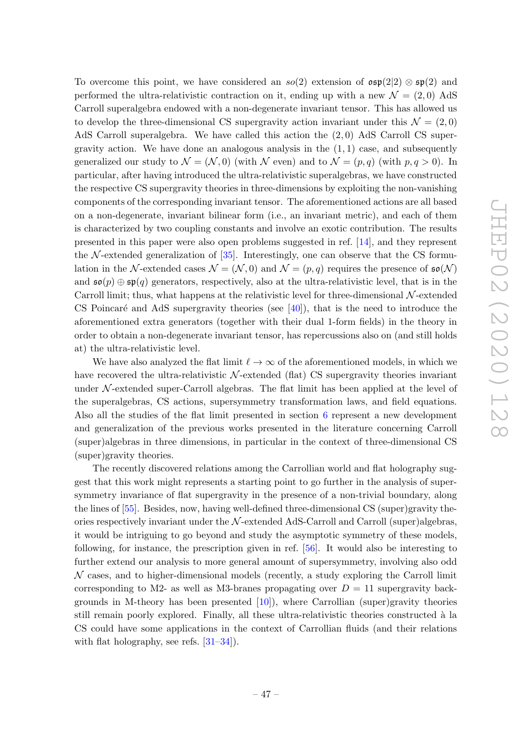To overcome this point, we have considered an  $s\sigma(2)$  extension of  $\mathfrak{osp}(2|2) \otimes \mathfrak{sp}(2)$  and performed the ultra-relativistic contraction on it, ending up with a new  $\mathcal{N} = (2, 0)$  AdS Carroll superalgebra endowed with a non-degenerate invariant tensor. This has allowed us to develop the three-dimensional CS supergravity action invariant under this  $\mathcal{N} = (2,0)$ AdS Carroll superalgebra. We have called this action the  $(2,0)$  AdS Carroll CS supergravity action. We have done an analogous analysis in the  $(1, 1)$  case, and subsequently generalized our study to  $\mathcal{N} = (\mathcal{N}, 0)$  (with  $\mathcal{N}$  even) and to  $\mathcal{N} = (p, q)$  (with  $p, q > 0$ ). In particular, after having introduced the ultra-relativistic superalgebras, we have constructed the respective CS supergravity theories in three-dimensions by exploiting the non-vanishing components of the corresponding invariant tensor. The aforementioned actions are all based on a non-degenerate, invariant bilinear form (i.e., an invariant metric), and each of them is characterized by two coupling constants and involve an exotic contribution. The results presented in this paper were also open problems suggested in ref. [14], and they represent the  $\mathcal N$ -extended generalization of [35]. Interestingly, one can observe that the CS formulation in the N-extended cases  $\mathcal{N} = (\mathcal{N}, 0)$  and  $\mathcal{N} = (p, q)$  requires the presence of  $\mathfrak{so}(\mathcal{N})$ and  $\mathfrak{so}(p) \oplus \mathfrak{sp}(q)$  generators, respectively, also at the ultra-relativistic level, that is in the Carroll limit; thus, what happens at the relativistic level for three-dimensional  $\mathcal{N}$ -extended CS Poincaré and AdS supergravity theories (see  $[40]$ ), that is the need to introduce the aforementioned extra generators (together with their dual 1-form fields) in the theory in order to obtain a non-degenerate invariant tensor, has repercussions also on (and still holds at) the ultra-relativistic level.

We have also analyzed the flat limit  $\ell \to \infty$  of the aforementioned models, in which we have recovered the ultra-relativistic  $\mathcal{N}$ -extended (flat) CS supergravity theories invariant under  $\mathcal N$ -extended super-Carroll algebras. The flat limit has been applied at the level of the superalgebras, CS actions, supersymmetry transformation laws, and field equations. Also all the studies of the flat limit presented in section 6 represent a new development and generalization of the previous works presented in the literature concerning Carroll (super)algebras in three dimensions, in particular in the context of three-dimensional CS (super)gravity theories.

The recently discovered relations among the Carrollian world and flat holography suggest that this work might represents a starting point to go further in the analysis of supersymmetry invariance of flat supergravity in the presence of a non-trivial boundary, along the lines of [55]. Besides, now, having well-defined three-dimensional CS (super)gravity theories respectively invariant under the  $N$ -extended AdS-Carroll and Carroll (super)algebras, it would be intriguing to go beyond and study the asymptotic symmetry of these models, following, for instance, the prescription given in ref. [56]. It would also be interesting to further extend our analysis to more general amount of supersymmetry, involving also odd  $N$  cases, and to higher-dimensional models (recently, a study exploring the Carroll limit corresponding to M2- as well as M3-branes propagating over  $D = 11$  supergravity backgrounds in M-theory has been presented  $[10]$ , where Carrollian (super)gravity theories still remain poorly explored. Finally, all these ultra-relativistic theories constructed à la CS could have some applications in the context of Carrollian fluids (and their relations with flat holography, see refs.  $[31-34]$ .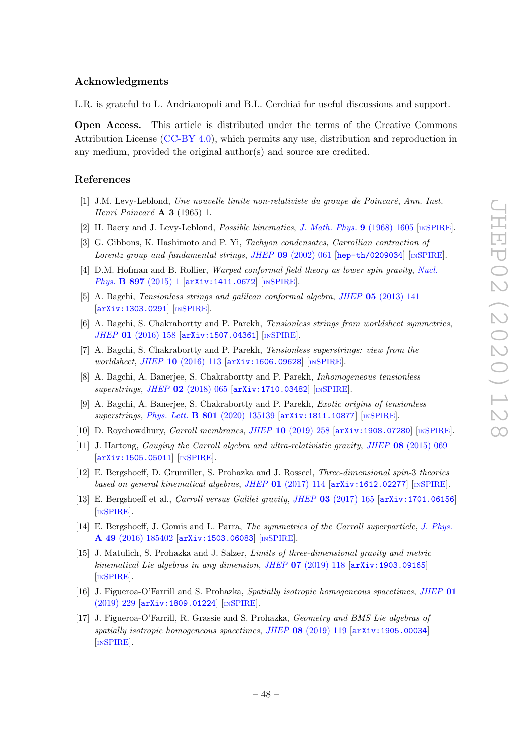#### Acknowledgments

L.R. is grateful to L. Andrianopoli and B.L. Cerchiai for useful discussions and support.

Open Access. This article is distributed under the terms of the Creative Commons Attribution License [\(CC-BY 4.0\)](https://creativecommons.org/licenses/by/4.0/), which permits any use, distribution and reproduction in any medium, provided the original author(s) and source are credited.

#### References

- [1] J.M. Levy-Leblond, Une nouvelle limite non-relativiste du groupe de Poincaré, Ann. Inst. Henri Poincaré  $\bf{A}$  3 (1965) 1.
- [2] H. Bacry and J. Levy-Leblond, *Possible kinematics*, *[J. Math. Phys.](https://doi.org/10.1063/1.1664490)* **9** (1968) 1605 [IN[SPIRE](https://inspirehep.net/search?p=find+J+%22J.Math.Phys.,9,1605%22)].
- [3] G. Gibbons, K. Hashimoto and P. Yi, Tachyon condensates, Carrollian contraction of Lorentz group and fundamental strings, JHEP 09 [\(2002\) 061](https://doi.org/10.1088/1126-6708/2002/09/061) [[hep-th/0209034](https://arxiv.org/abs/hep-th/0209034)] [IN[SPIRE](https://inspirehep.net/search?p=find+EPRINT+hep-th/0209034)].
- [4] D.M. Hofman and B. Rollier, Warped conformal field theory as lower spin gravity, [Nucl.](https://doi.org/10.1016/j.nuclphysb.2015.05.011) Phys. **B 897** [\(2015\) 1](https://doi.org/10.1016/j.nuclphysb.2015.05.011) [[arXiv:1411.0672](https://arxiv.org/abs/1411.0672)] [IN[SPIRE](https://inspirehep.net/search?p=find+EPRINT+arXiv:1411.0672)].
- [5] A. Bagchi, Tensionless strings and galilean conformal algebra, JHEP 05 [\(2013\) 141](https://doi.org/10.1007/JHEP05(2013)141) [[arXiv:1303.0291](https://arxiv.org/abs/1303.0291)] [IN[SPIRE](https://inspirehep.net/search?p=find+EPRINT+arXiv:1303.0291)].
- [6] A. Bagchi, S. Chakrabortty and P. Parekh, Tensionless strings from worldsheet symmetries, JHEP 01 [\(2016\) 158](https://doi.org/10.1007/JHEP01(2016)158) [[arXiv:1507.04361](https://arxiv.org/abs/1507.04361)] [IN[SPIRE](https://inspirehep.net/search?p=find+EPRINT+arXiv:1507.04361)].
- [7] A. Bagchi, S. Chakrabortty and P. Parekh, Tensionless superstrings: view from the worldsheet, JHEP 10 [\(2016\) 113](https://doi.org/10.1007/JHEP10(2016)113) [[arXiv:1606.09628](https://arxiv.org/abs/1606.09628)] [IN[SPIRE](https://inspirehep.net/search?p=find+EPRINT+arXiv:1606.09628)].
- [8] A. Bagchi, A. Banerjee, S. Chakrabortty and P. Parekh, Inhomogeneous tensionless superstrings, JHEP 02 [\(2018\) 065](https://doi.org/10.1007/JHEP02(2018)065) [[arXiv:1710.03482](https://arxiv.org/abs/1710.03482)] [IN[SPIRE](https://inspirehep.net/search?p=find+EPRINT+arXiv:1710.03482)].
- [9] A. Bagchi, A. Banerjee, S. Chakrabortty and P. Parekh, Exotic origins of tensionless superstrings, Phys. Lett. B 801 [\(2020\) 135139](https://doi.org/10.1016/j.physletb.2019.135139) [[arXiv:1811.10877](https://arxiv.org/abs/1811.10877)] [IN[SPIRE](https://inspirehep.net/search?p=find+EPRINT+arXiv:1811.10877)].
- [10] D. Roychowdhury, Carroll membranes, JHEP 10 [\(2019\) 258](https://doi.org/10.1007/JHEP10(2019)258) [[arXiv:1908.07280](https://arxiv.org/abs/1908.07280)] [IN[SPIRE](https://inspirehep.net/search?p=find+EPRINT+arXiv:1908.07280)].
- [11] J. Hartong, Gauging the Carroll algebra and ultra-relativistic gravity, JHEP 08 [\(2015\) 069](https://doi.org/10.1007/JHEP08(2015)069) [[arXiv:1505.05011](https://arxiv.org/abs/1505.05011)] [IN[SPIRE](https://inspirehep.net/search?p=find+EPRINT+arXiv:1505.05011)].
- [12] E. Bergshoeff, D. Grumiller, S. Prohazka and J. Rosseel, Three-dimensional spin-3 theories based on general kinematical algebras, JHEP  $01$  [\(2017\) 114](https://doi.org/10.1007/JHEP01(2017)114)  $\text{arXiv:1612.02277}$  $\text{arXiv:1612.02277}$  $\text{arXiv:1612.02277}$  [IN[SPIRE](https://inspirehep.net/search?p=find+EPRINT+arXiv:1612.02277)].
- [13] E. Bergshoeff et al., Carroll versus Galilei gravity, JHEP 03 [\(2017\) 165](https://doi.org/10.1007/JHEP03(2017)165) [[arXiv:1701.06156](https://arxiv.org/abs/1701.06156)] [IN[SPIRE](https://inspirehep.net/search?p=find+EPRINT+arXiv:1701.06156)].
- [14] E. Bergshoeff, J. Gomis and L. Parra, The symmetries of the Carroll superparticle, [J. Phys.](https://doi.org/10.1088/1751-8113/49/18/185402) A 49 [\(2016\) 185402](https://doi.org/10.1088/1751-8113/49/18/185402) [[arXiv:1503.06083](https://arxiv.org/abs/1503.06083)] [IN[SPIRE](https://inspirehep.net/search?p=find+EPRINT+arXiv:1503.06083)].
- [15] J. Matulich, S. Prohazka and J. Salzer, Limits of three-dimensional gravity and metric kinematical Lie algebras in any dimension, JHEP  $07$  [\(2019\) 118](https://doi.org/10.1007/JHEP07(2019)118)  $\left[$ [arXiv:1903.09165](https://arxiv.org/abs/1903.09165) $\right]$ [IN[SPIRE](https://inspirehep.net/search?p=find+EPRINT+arXiv:1903.09165)].
- [16] J. Figueroa-O'Farrill and S. Prohazka, Spatially isotropic homogeneous spacetimes, [JHEP](https://doi.org/10.1007/JHEP01(2019)229) 01 [\(2019\) 229](https://doi.org/10.1007/JHEP01(2019)229) [[arXiv:1809.01224](https://arxiv.org/abs/1809.01224)] [IN[SPIRE](https://inspirehep.net/search?p=find+EPRINT+arXiv:1809.01224)].
- [17] J. Figueroa-O'Farrill, R. Grassie and S. Prohazka, Geometry and BMS Lie algebras of spatially isotropic homogeneous spacetimes, JHEP 08 [\(2019\) 119](https://doi.org/10.1007/JHEP08(2019)119) [[arXiv:1905.00034](https://arxiv.org/abs/1905.00034)] [IN[SPIRE](https://inspirehep.net/search?p=find+EPRINT+arXiv:1905.00034)].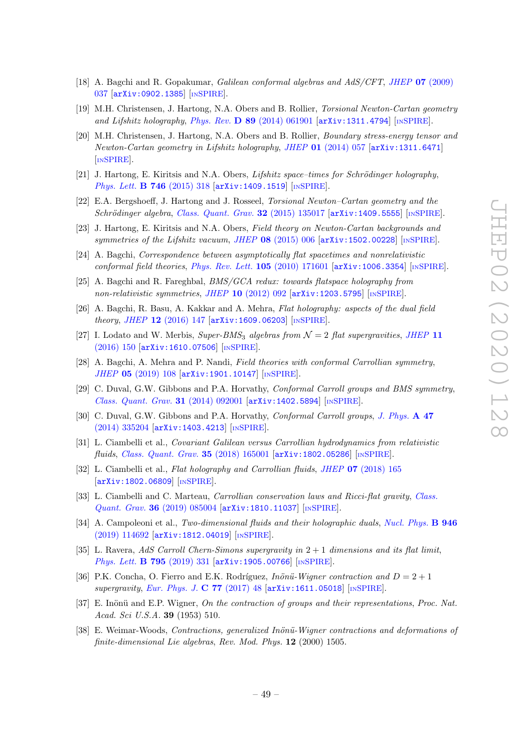- [18] A. Bagchi and R. Gopakumar, Galilean conformal algebras and AdS/CFT, JHEP 07 [\(2009\)](https://doi.org/10.1088/1126-6708/2009/07/037) [037](https://doi.org/10.1088/1126-6708/2009/07/037) [[arXiv:0902.1385](https://arxiv.org/abs/0902.1385)] [IN[SPIRE](https://inspirehep.net/search?p=find+EPRINT+arXiv:0902.1385)].
- [19] M.H. Christensen, J. Hartong, N.A. Obers and B. Rollier, Torsional Newton-Cartan geometry and Lifshitz holography, Phys. Rev.  $\overline{D}$  89 [\(2014\) 061901](https://doi.org/10.1103/PhysRevD.89.061901) [[arXiv:1311.4794](https://arxiv.org/abs/1311.4794)] [IN[SPIRE](https://inspirehep.net/search?p=find+EPRINT+arXiv:1311.4794)].
- [20] M.H. Christensen, J. Hartong, N.A. Obers and B. Rollier, Boundary stress-energy tensor and Newton-Cartan geometry in Lifshitz holography, JHEP 01 [\(2014\) 057](https://doi.org/10.1007/JHEP01(2014)057) [[arXiv:1311.6471](https://arxiv.org/abs/1311.6471)] [IN[SPIRE](https://inspirehep.net/search?p=find+EPRINT+arXiv:1311.6471)].
- [21] J. Hartong, E. Kiritsis and N.A. Obers, *Lifshitz space–times for Schrödinger holography*, [Phys. Lett.](https://doi.org/10.1016/j.physletb.2015.05.010) **B 746** (2015) 318 [[arXiv:1409.1519](https://arxiv.org/abs/1409.1519)] [IN[SPIRE](https://inspirehep.net/search?p=find+EPRINT+arXiv:1409.1519)].
- [22] E.A. Bergshoeff, J. Hartong and J. Rosseel, Torsional Newton–Cartan geometry and the  $Schrödinger algebra, Class. Quantum, Grav. 32 (2015) 135017 [arXiv:1409.5555] [NSPIRE].$  $Schrödinger algebra, Class. Quantum, Grav. 32 (2015) 135017 [arXiv:1409.5555] [NSPIRE].$  $Schrödinger algebra, Class. Quantum, Grav. 32 (2015) 135017 [arXiv:1409.5555] [NSPIRE].$  $Schrödinger algebra, Class. Quantum, Grav. 32 (2015) 135017 [arXiv:1409.5555] [NSPIRE].$  $Schrödinger algebra, Class. Quantum, Grav. 32 (2015) 135017 [arXiv:1409.5555] [NSPIRE].$
- [23] J. Hartong, E. Kiritsis and N.A. Obers, Field theory on Newton-Cartan backgrounds and symmetries of the Lifshitz vacuum, JHEP 08 [\(2015\) 006](https://doi.org/10.1007/JHEP08(2015)006) [[arXiv:1502.00228](https://arxiv.org/abs/1502.00228)] [IN[SPIRE](https://inspirehep.net/search?p=find+EPRINT+arXiv:1502.00228)].
- [24] A. Bagchi, Correspondence between asymptotically flat spacetimes and nonrelativistic conformal field theories, [Phys. Rev. Lett.](https://doi.org/10.1103/PhysRevLett.105.171601)  $105$  (2010) 171601 [[arXiv:1006.3354](https://arxiv.org/abs/1006.3354)] [IN[SPIRE](https://inspirehep.net/search?p=find+EPRINT+arXiv:1006.3354)].
- [25] A. Bagchi and R. Fareghbal, BMS/GCA redux: towards flatspace holography from non-relativistic symmetries, JHEP 10 [\(2012\) 092](https://doi.org/10.1007/JHEP10(2012)092)  $\left[$ [arXiv:1203.5795](https://arxiv.org/abs/1203.5795) $\right]$   $\left[$ IN[SPIRE](https://inspirehep.net/search?p=find+EPRINT+arXiv:1203.5795) $\right]$ .
- [26] A. Bagchi, R. Basu, A. Kakkar and A. Mehra, Flat holography: aspects of the dual field theory, JHEP  $12$  [\(2016\) 147](https://doi.org/10.1007/JHEP12(2016)147)  $\text{arXiv:1609.06203}$  $\text{arXiv:1609.06203}$  $\text{arXiv:1609.06203}$  [IN[SPIRE](https://inspirehep.net/search?p=find+EPRINT+arXiv:1609.06203)].
- [27] I. Lodato and W. Merbis,  $Super-BMS_3$  algebras from  $\mathcal{N}=2$  flat supergravities, [JHEP](https://doi.org/10.1007/JHEP11(2016)150) 11 [\(2016\) 150](https://doi.org/10.1007/JHEP11(2016)150) [[arXiv:1610.07506](https://arxiv.org/abs/1610.07506)] [IN[SPIRE](https://inspirehep.net/search?p=find+EPRINT+arXiv:1610.07506)].
- [28] A. Bagchi, A. Mehra and P. Nandi, Field theories with conformal Carrollian symmetry, JHEP 05 [\(2019\) 108](https://doi.org/10.1007/JHEP05(2019)108) [[arXiv:1901.10147](https://arxiv.org/abs/1901.10147)] [IN[SPIRE](https://inspirehep.net/search?p=find+EPRINT+arXiv:1901.10147)].
- [29] C. Duval, G.W. Gibbons and P.A. Horvathy, *Conformal Carroll groups and BMS symmetry*, [Class. Quant. Grav.](https://doi.org/10.1088/0264-9381/31/9/092001) 31 (2014) 092001 [[arXiv:1402.5894](https://arxiv.org/abs/1402.5894)] [IN[SPIRE](https://inspirehep.net/search?p=find+EPRINT+arXiv:1402.5894)].
- [30] C. Duval, G.W. Gibbons and P.A. Horvathy, *Conformal Carroll groups*, *[J. Phys.](https://doi.org/10.1088/1751-8113/47/33/335204)* A 47 [\(2014\) 335204](https://doi.org/10.1088/1751-8113/47/33/335204) [[arXiv:1403.4213](https://arxiv.org/abs/1403.4213)] [IN[SPIRE](https://inspirehep.net/search?p=find+EPRINT+arXiv:1403.4213)].
- [31] L. Ciambelli et al., Covariant Galilean versus Carrollian hydrodynamics from relativistic fluids, [Class. Quant. Grav.](https://doi.org/10.1088/1361-6382/aacf1a) 35 (2018) 165001 [[arXiv:1802.05286](https://arxiv.org/abs/1802.05286)] [IN[SPIRE](https://inspirehep.net/search?p=find+EPRINT+arXiv:1802.05286)].
- [32] L. Ciambelli et al., Flat holography and Carrollian fluids, JHEP 07 [\(2018\) 165](https://doi.org/10.1007/JHEP07(2018)165) [[arXiv:1802.06809](https://arxiv.org/abs/1802.06809)] [IN[SPIRE](https://inspirehep.net/search?p=find+EPRINT+arXiv:1802.06809)].
- [33] L. Ciambelli and C. Marteau, Carrollian conservation laws and Ricci-flat gravity, [Class.](https://doi.org/10.1088/1361-6382/ab0d37) Quant. Grav. 36 [\(2019\) 085004](https://doi.org/10.1088/1361-6382/ab0d37) [[arXiv:1810.11037](https://arxiv.org/abs/1810.11037)] [IN[SPIRE](https://inspirehep.net/search?p=find+EPRINT+arXiv:1810.11037)].
- [34] A. Campoleoni et al., Two-dimensional fluids and their holographic duals, [Nucl. Phys.](https://doi.org/10.1016/j.nuclphysb.2019.114692) **B** 946 [\(2019\) 114692](https://doi.org/10.1016/j.nuclphysb.2019.114692) [[arXiv:1812.04019](https://arxiv.org/abs/1812.04019)] [IN[SPIRE](https://inspirehep.net/search?p=find+EPRINT+arXiv:1812.04019)].
- [35] L. Ravera, AdS Carroll Chern-Simons supergravity in  $2+1$  dimensions and its flat limit, [Phys. Lett.](https://doi.org/10.1016/j.physletb.2019.06.026) **B 795** (2019) 331 [[arXiv:1905.00766](https://arxiv.org/abs/1905.00766)] [IN[SPIRE](https://inspirehep.net/search?p=find+EPRINT+arXiv:1905.00766)].
- [36] P.K. Concha, O. Fierro and E.K. Rodríguez, *Inönü-Wigner contraction and*  $D = 2 + 1$ supergravity, [Eur. Phys. J.](https://doi.org/10.1140/epjc/s10052-017-4615-1) C 77 (2017) 48  $\left[$ [arXiv:1611.05018](https://arxiv.org/abs/1611.05018) $\right]$  [IN[SPIRE](https://inspirehep.net/search?p=find+EPRINT+arXiv:1611.05018)].
- [37] E. Inönü and E.P. Wigner, On the contraction of groups and their representations, Proc. Nat. Acad. Sci U.S.A. 39 (1953) 510.
- [38] E. Weimar-Woods, Contractions, generalized Inönü-Wigner contractions and deformations of finite-dimensional Lie algebras, Rev. Mod. Phys. 12 (2000) 1505.